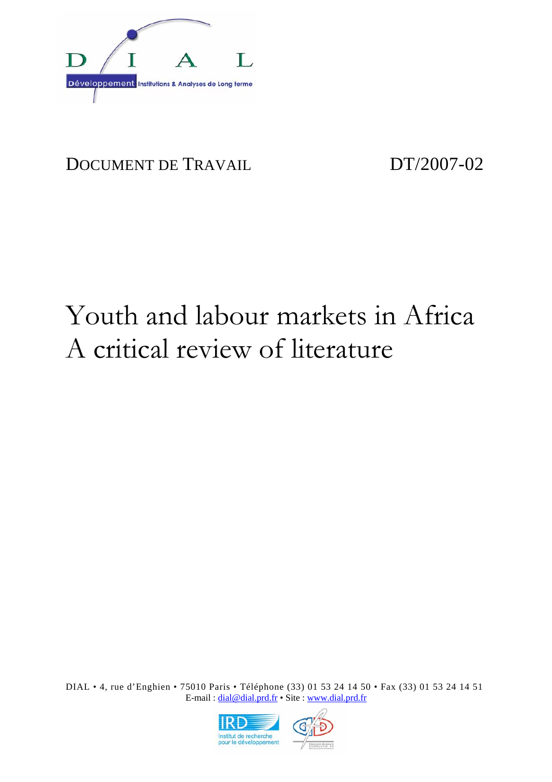

# DOCUMENT DE TRAVAIL DT/2007-02

# Youth and labour markets in Africa A critical review of literature

DIAL • 4, rue d'Enghien • 75010 Paris • Téléphone (33) 01 53 24 14 50 • Fax (33) 01 53 24 14 51 E-mail : dial@dial.prd.fr • Site : www.dial.prd.fr

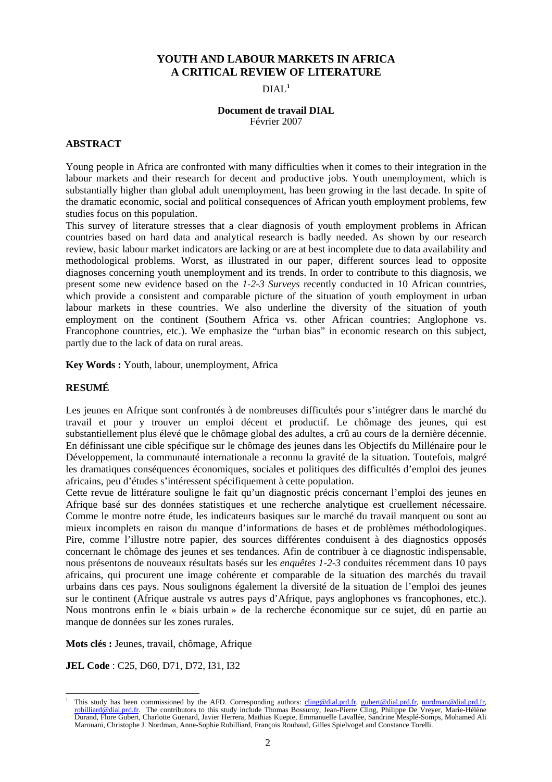#### **YOUTH AND LABOUR MARKETS IN AFRICA A CRITICAL REVIEW OF LITERATURE**

DIAL**<sup>1</sup>**

#### **Document de travail DIAL**  Février 2007

#### **ABSTRACT**

Young people in Africa are confronted with many difficulties when it comes to their integration in the labour markets and their research for decent and productive jobs. Youth unemployment, which is substantially higher than global adult unemployment, has been growing in the last decade. In spite of the dramatic economic, social and political consequences of African youth employment problems, few studies focus on this population.

This survey of literature stresses that a clear diagnosis of youth employment problems in African countries based on hard data and analytical research is badly needed. As shown by our research review, basic labour market indicators are lacking or are at best incomplete due to data availability and methodological problems. Worst, as illustrated in our paper, different sources lead to opposite diagnoses concerning youth unemployment and its trends. In order to contribute to this diagnosis, we present some new evidence based on the *1-2-3 Surveys* recently conducted in 10 African countries, which provide a consistent and comparable picture of the situation of youth employment in urban labour markets in these countries. We also underline the diversity of the situation of youth employment on the continent (Southern Africa vs. other African countries; Anglophone vs. Francophone countries, etc.). We emphasize the "urban bias" in economic research on this subject, partly due to the lack of data on rural areas.

**Key Words :** Youth, labour, unemployment, Africa

#### **RESUMÉ**

Les jeunes en Afrique sont confrontés à de nombreuses difficultés pour s'intégrer dans le marché du travail et pour y trouver un emploi décent et productif. Le chômage des jeunes, qui est substantiellement plus élevé que le chômage global des adultes, a crû au cours de la dernière décennie. En définissant une cible spécifique sur le chômage des jeunes dans les Objectifs du Millénaire pour le Développement, la communauté internationale a reconnu la gravité de la situation. Toutefois, malgré les dramatiques conséquences économiques, sociales et politiques des difficultés d'emploi des jeunes africains, peu d'études s'intéressent spécifiquement à cette population.

Cette revue de littérature souligne le fait qu'un diagnostic précis concernant l'emploi des jeunes en Afrique basé sur des données statistiques et une recherche analytique est cruellement nécessaire. Comme le montre notre étude, les indicateurs basiques sur le marché du travail manquent ou sont au mieux incomplets en raison du manque d'informations de bases et de problèmes méthodologiques. Pire, comme l'illustre notre papier, des sources différentes conduisent à des diagnostics opposés concernant le chômage des jeunes et ses tendances. Afin de contribuer à ce diagnostic indispensable, nous présentons de nouveaux résultats basés sur les *enquêtes 1-2-3* conduites récemment dans 10 pays africains, qui procurent une image cohérente et comparable de la situation des marchés du travail urbains dans ces pays. Nous soulignons également la diversité de la situation de l'emploi des jeunes sur le continent (Afrique australe vs autres pays d'Afrique, pays anglophones vs francophones, etc.). Nous montrons enfin le « biais urbain » de la recherche économique sur ce sujet, dû en partie au manque de données sur les zones rurales.

**Mots clés :** Jeunes, travail, chômage, Afrique

**JEL Code** : C25, D60, D71, D72, I31, I32

l 1 This study has been commissioned by the AFD. Corresponding authors:  $\frac{\text{cling}\textcircled{d} \text{dal.pdf}}{\text{pred}}$ , gubert $\textcircled{d} \text{dal.pdf}$ ,  $\text{r}, \text{normal}\textcircled{d} \text{dal.pdf}$ ,  $\text{r}, \text{normal}\textcircled{d} \text{tal.pdf}$ robilliard@dial.prd.fr. The contributors to this study include Thomas Bossuroy, Jean-Pierre Cling, Philippe De Vreyer, Marie-Hélène Durand, Flore Gubert, Charlotte Guenard, Javier Herrera, Mathias Kuepie, Emmanuelle Lavallée, Sandrine Mesplé-Somps, Mohamed Ali Marouani, Christophe J. Nordman, Anne-Sophie Robilliard, François Roubaud, Gilles Spielvogel and Constance Torelli.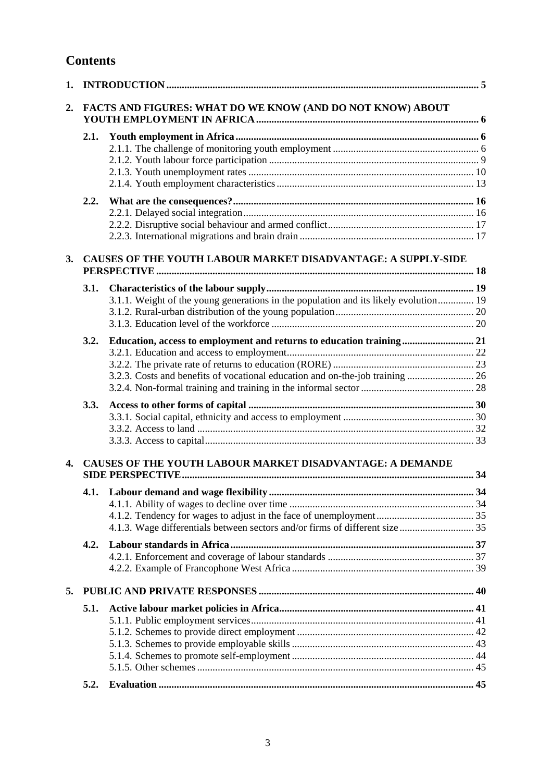# **Contents**

| 1. |                                                               |                                                                                      |  |  |
|----|---------------------------------------------------------------|--------------------------------------------------------------------------------------|--|--|
| 2. | FACTS AND FIGURES: WHAT DO WE KNOW (AND DO NOT KNOW) ABOUT    |                                                                                      |  |  |
|    | 2.1.                                                          |                                                                                      |  |  |
|    |                                                               |                                                                                      |  |  |
|    |                                                               |                                                                                      |  |  |
|    |                                                               |                                                                                      |  |  |
|    |                                                               |                                                                                      |  |  |
|    | 2.2.                                                          |                                                                                      |  |  |
|    |                                                               |                                                                                      |  |  |
|    |                                                               |                                                                                      |  |  |
|    |                                                               |                                                                                      |  |  |
| 3. | CAUSES OF THE YOUTH LABOUR MARKET DISADVANTAGE: A SUPPLY-SIDE |                                                                                      |  |  |
|    |                                                               |                                                                                      |  |  |
|    | 3.1.                                                          |                                                                                      |  |  |
|    |                                                               | 3.1.1. Weight of the young generations in the population and its likely evolution 19 |  |  |
|    |                                                               |                                                                                      |  |  |
|    |                                                               |                                                                                      |  |  |
|    | 3.2.                                                          |                                                                                      |  |  |
|    |                                                               |                                                                                      |  |  |
|    |                                                               |                                                                                      |  |  |
|    |                                                               |                                                                                      |  |  |
|    |                                                               |                                                                                      |  |  |
|    | 3.3.                                                          |                                                                                      |  |  |
|    |                                                               |                                                                                      |  |  |
|    |                                                               |                                                                                      |  |  |
|    |                                                               |                                                                                      |  |  |
| 4. |                                                               | CAUSES OF THE YOUTH LABOUR MARKET DISADVANTAGE: A DEMANDE                            |  |  |
|    |                                                               |                                                                                      |  |  |
|    |                                                               |                                                                                      |  |  |
|    |                                                               |                                                                                      |  |  |
|    |                                                               |                                                                                      |  |  |
|    | 4.2.                                                          |                                                                                      |  |  |
|    |                                                               |                                                                                      |  |  |
|    |                                                               |                                                                                      |  |  |
| 5. |                                                               |                                                                                      |  |  |
|    | 5.1.                                                          |                                                                                      |  |  |
|    |                                                               |                                                                                      |  |  |
|    |                                                               |                                                                                      |  |  |
|    |                                                               |                                                                                      |  |  |
|    |                                                               |                                                                                      |  |  |
|    |                                                               |                                                                                      |  |  |
|    | 5.2.                                                          |                                                                                      |  |  |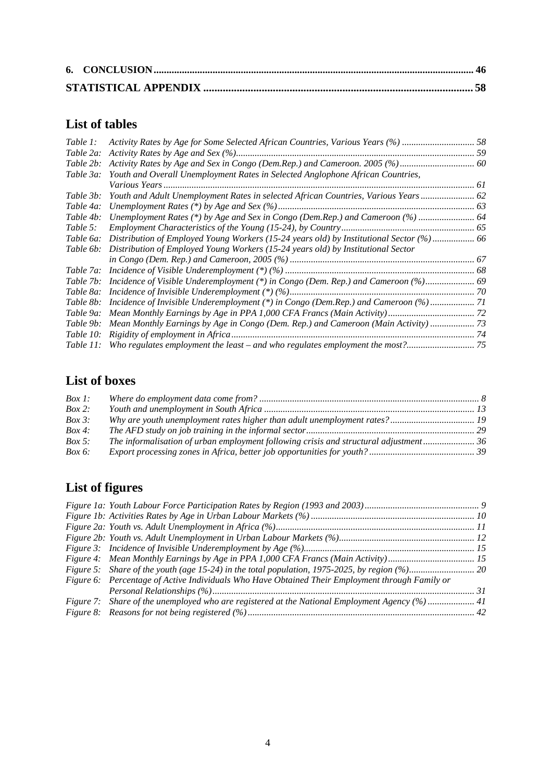# **List of tables**

| Table 1:  | Activity Rates by Age for Some Selected African Countries, Various Years (%)  58             |  |
|-----------|----------------------------------------------------------------------------------------------|--|
| Table 2a: |                                                                                              |  |
| Table 2b: |                                                                                              |  |
| Table 3a: | Youth and Overall Unemployment Rates in Selected Anglophone African Countries,               |  |
|           |                                                                                              |  |
| Table 3b: | Youth and Adult Unemployment Rates in selected African Countries, Various Years 62           |  |
| Table 4a: |                                                                                              |  |
| Table 4b: | Unemployment Rates (*) by Age and Sex in Congo (Dem.Rep.) and Cameroon (%)  64               |  |
| Table 5:  |                                                                                              |  |
| Table 6a: | Distribution of Employed Young Workers (15-24 years old) by Institutional Sector (%) 66      |  |
| Table 6b: | Distribution of Employed Young Workers (15-24 years old) by Institutional Sector             |  |
|           |                                                                                              |  |
|           |                                                                                              |  |
|           | Table 7b: Incidence of Visible Underemployment (*) in Congo (Dem. Rep.) and Cameroon (%) 69  |  |
|           |                                                                                              |  |
| Table 8b: | Incidence of Invisible Underemployment (*) in Congo (Dem.Rep.) and Cameroon (%) 71           |  |
| Table 9a: |                                                                                              |  |
|           | Table 9b: Mean Monthly Earnings by Age in Congo (Dem. Rep.) and Cameroon (Main Activity)  73 |  |
|           |                                                                                              |  |
|           |                                                                                              |  |

# **List of boxes**

| $Box 1$ :  |                                                                                           |  |
|------------|-------------------------------------------------------------------------------------------|--|
| $Box 2$ :  |                                                                                           |  |
| $Box\ 3:$  |                                                                                           |  |
| $Box\ 4$ : |                                                                                           |  |
| $Box 5$ :  | 16. The informalisation of urban employment following crisis and structural adjustment 36 |  |
| $Box 6$ :  |                                                                                           |  |

# **List of figures**

| Figure 6: Percentage of Active Individuals Who Have Obtained Their Employment through Family or |  |
|-------------------------------------------------------------------------------------------------|--|
|                                                                                                 |  |
| Figure 7: Share of the unemployed who are registered at the National Employment Agency (%)  41  |  |
|                                                                                                 |  |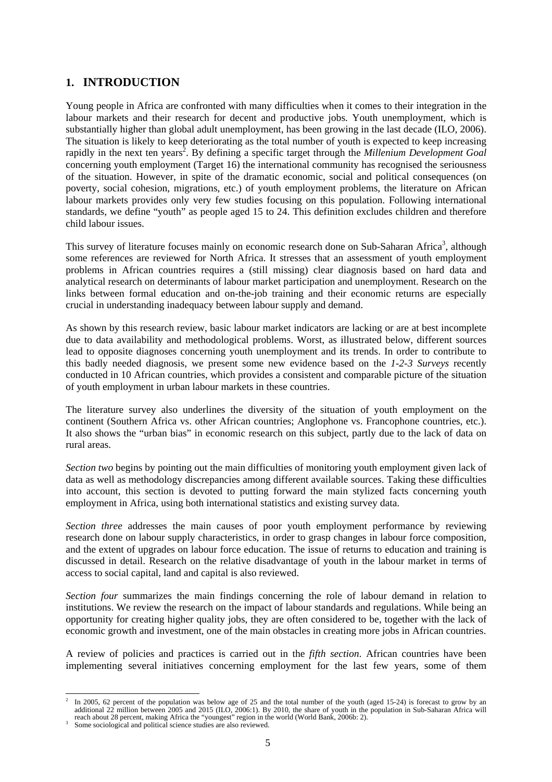# **1. INTRODUCTION**

Young people in Africa are confronted with many difficulties when it comes to their integration in the labour markets and their research for decent and productive jobs. Youth unemployment, which is substantially higher than global adult unemployment, has been growing in the last decade (ILO, 2006). The situation is likely to keep deteriorating as the total number of youth is expected to keep increasing rapidly in the next ten years<sup>2</sup>. By defining a specific target through the *Millenium Development Goal* concerning youth employment (Target 16) the international community has recognised the seriousness of the situation. However, in spite of the dramatic economic, social and political consequences (on poverty, social cohesion, migrations, etc.) of youth employment problems, the literature on African labour markets provides only very few studies focusing on this population. Following international standards, we define "youth" as people aged 15 to 24. This definition excludes children and therefore child labour issues.

This survey of literature focuses mainly on economic research done on Sub-Saharan Africa<sup>3</sup>, although some references are reviewed for North Africa. It stresses that an assessment of youth employment problems in African countries requires a (still missing) clear diagnosis based on hard data and analytical research on determinants of labour market participation and unemployment. Research on the links between formal education and on-the-job training and their economic returns are especially crucial in understanding inadequacy between labour supply and demand.

As shown by this research review, basic labour market indicators are lacking or are at best incomplete due to data availability and methodological problems. Worst, as illustrated below, different sources lead to opposite diagnoses concerning youth unemployment and its trends. In order to contribute to this badly needed diagnosis, we present some new evidence based on the *1-2-3 Surveys* recently conducted in 10 African countries, which provides a consistent and comparable picture of the situation of youth employment in urban labour markets in these countries.

The literature survey also underlines the diversity of the situation of youth employment on the continent (Southern Africa vs. other African countries; Anglophone vs. Francophone countries, etc.). It also shows the "urban bias" in economic research on this subject, partly due to the lack of data on rural areas.

*Section two* begins by pointing out the main difficulties of monitoring youth employment given lack of data as well as methodology discrepancies among different available sources. Taking these difficulties into account, this section is devoted to putting forward the main stylized facts concerning youth employment in Africa, using both international statistics and existing survey data.

*Section three* addresses the main causes of poor youth employment performance by reviewing research done on labour supply characteristics, in order to grasp changes in labour force composition, and the extent of upgrades on labour force education. The issue of returns to education and training is discussed in detail. Research on the relative disadvantage of youth in the labour market in terms of access to social capital, land and capital is also reviewed.

*Section four* summarizes the main findings concerning the role of labour demand in relation to institutions. We review the research on the impact of labour standards and regulations. While being an opportunity for creating higher quality jobs, they are often considered to be, together with the lack of economic growth and investment, one of the main obstacles in creating more jobs in African countries.

A review of policies and practices is carried out in the *fifth section*. African countries have been implementing several initiatives concerning employment for the last few years, some of them

l

<sup>2</sup> In 2005, 62 percent of the population was below age of 25 and the total number of the youth (aged 15-24) is forecast to grow by an additional 22 million between 2005 and 2015 (ILO, 2006:1). By 2010, the share of youth in the population in Sub-Saharan Africa will reach about 28 percent, making Africa the "youngest" region in the world (World Bank, 2006b: 2).<br><sup>3</sup> Same cociological and political science studies are also reviewed.

Some sociological and political science studies are also reviewed.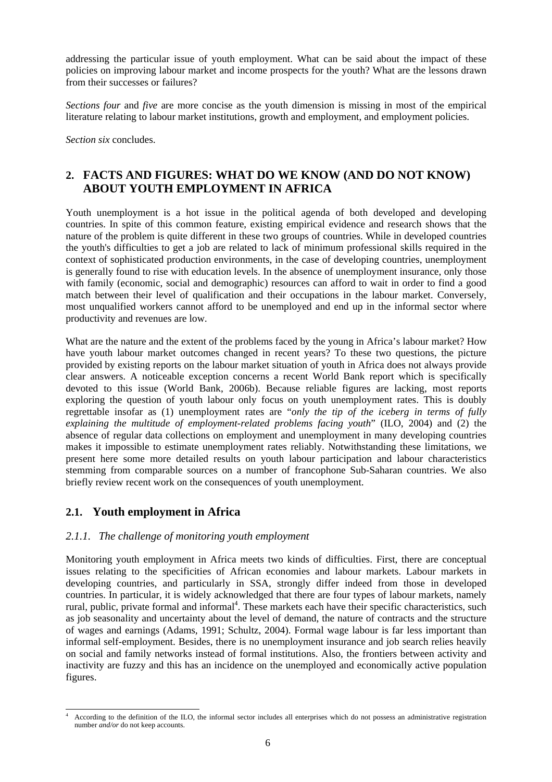addressing the particular issue of youth employment. What can be said about the impact of these policies on improving labour market and income prospects for the youth? What are the lessons drawn from their successes or failures?

*Sections four* and *five* are more concise as the youth dimension is missing in most of the empirical literature relating to labour market institutions, growth and employment, and employment policies.

*Section six* concludes.

# **2. FACTS AND FIGURES: WHAT DO WE KNOW (AND DO NOT KNOW) ABOUT YOUTH EMPLOYMENT IN AFRICA**

Youth unemployment is a hot issue in the political agenda of both developed and developing countries. In spite of this common feature, existing empirical evidence and research shows that the nature of the problem is quite different in these two groups of countries. While in developed countries the youth's difficulties to get a job are related to lack of minimum professional skills required in the context of sophisticated production environments, in the case of developing countries, unemployment is generally found to rise with education levels. In the absence of unemployment insurance, only those with family (economic, social and demographic) resources can afford to wait in order to find a good match between their level of qualification and their occupations in the labour market. Conversely, most unqualified workers cannot afford to be unemployed and end up in the informal sector where productivity and revenues are low.

What are the nature and the extent of the problems faced by the young in Africa's labour market? How have youth labour market outcomes changed in recent years? To these two questions, the picture provided by existing reports on the labour market situation of youth in Africa does not always provide clear answers. A noticeable exception concerns a recent World Bank report which is specifically devoted to this issue (World Bank, 2006b). Because reliable figures are lacking, most reports exploring the question of youth labour only focus on youth unemployment rates. This is doubly regrettable insofar as (1) unemployment rates are "*only the tip of the iceberg in terms of fully explaining the multitude of employment-related problems facing youth*" (ILO, 2004) and (2) the absence of regular data collections on employment and unemployment in many developing countries makes it impossible to estimate unemployment rates reliably. Notwithstanding these limitations, we present here some more detailed results on youth labour participation and labour characteristics stemming from comparable sources on a number of francophone Sub-Saharan countries. We also briefly review recent work on the consequences of youth unemployment.

# **2.1. Youth employment in Africa**

#### *2.1.1. The challenge of monitoring youth employment*

Monitoring youth employment in Africa meets two kinds of difficulties. First, there are conceptual issues relating to the specificities of African economies and labour markets. Labour markets in developing countries, and particularly in SSA, strongly differ indeed from those in developed countries. In particular, it is widely acknowledged that there are four types of labour markets, namely rural, public, private formal and informal<sup>4</sup>. These markets each have their specific characteristics, such as job seasonality and uncertainty about the level of demand, the nature of contracts and the structure of wages and earnings (Adams, 1991; Schultz, 2004). Formal wage labour is far less important than informal self-employment. Besides, there is no unemployment insurance and job search relies heavily on social and family networks instead of formal institutions. Also, the frontiers between activity and inactivity are fuzzy and this has an incidence on the unemployed and economically active population figures.

l 4 According to the definition of the ILO, the informal sector includes all enterprises which do not possess an administrative registration number *and/or* do not keep accounts.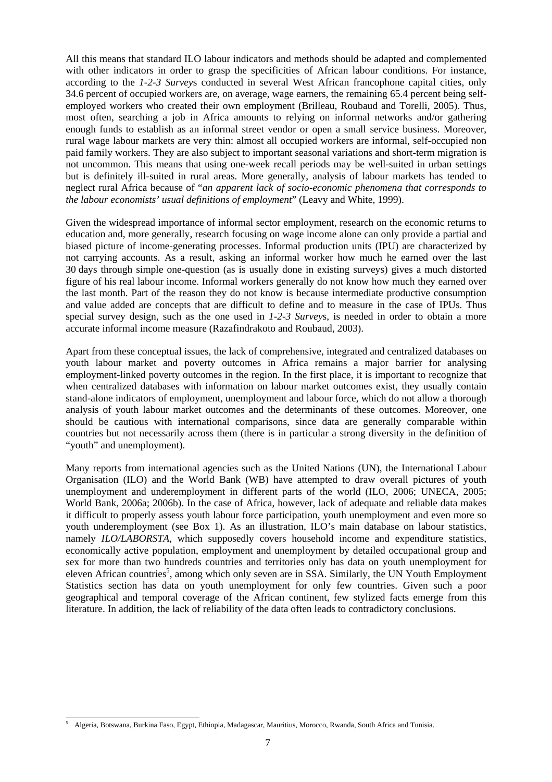All this means that standard ILO labour indicators and methods should be adapted and complemented with other indicators in order to grasp the specificities of African labour conditions. For instance, according to the *1-2-3 Survey*s conducted in several West African francophone capital cities, only 34.6 percent of occupied workers are, on average, wage earners, the remaining 65.4 percent being selfemployed workers who created their own employment (Brilleau, Roubaud and Torelli, 2005). Thus, most often, searching a job in Africa amounts to relying on informal networks and/or gathering enough funds to establish as an informal street vendor or open a small service business. Moreover, rural wage labour markets are very thin: almost all occupied workers are informal, self-occupied non paid family workers. They are also subject to important seasonal variations and short-term migration is not uncommon. This means that using one-week recall periods may be well-suited in urban settings but is definitely ill-suited in rural areas. More generally, analysis of labour markets has tended to neglect rural Africa because of "*an apparent lack of socio-economic phenomena that corresponds to the labour economists' usual definitions of employment*" (Leavy and White, 1999).

Given the widespread importance of informal sector employment, research on the economic returns to education and, more generally, research focusing on wage income alone can only provide a partial and biased picture of income-generating processes. Informal production units (IPU) are characterized by not carrying accounts. As a result, asking an informal worker how much he earned over the last 30 days through simple one-question (as is usually done in existing surveys) gives a much distorted figure of his real labour income. Informal workers generally do not know how much they earned over the last month. Part of the reason they do not know is because intermediate productive consumption and value added are concepts that are difficult to define and to measure in the case of IPUs. Thus special survey design, such as the one used in *1-2-3 Survey*s, is needed in order to obtain a more accurate informal income measure (Razafindrakoto and Roubaud, 2003).

Apart from these conceptual issues, the lack of comprehensive, integrated and centralized databases on youth labour market and poverty outcomes in Africa remains a major barrier for analysing employment-linked poverty outcomes in the region. In the first place, it is important to recognize that when centralized databases with information on labour market outcomes exist, they usually contain stand-alone indicators of employment, unemployment and labour force, which do not allow a thorough analysis of youth labour market outcomes and the determinants of these outcomes. Moreover, one should be cautious with international comparisons, since data are generally comparable within countries but not necessarily across them (there is in particular a strong diversity in the definition of "youth" and unemployment).

Many reports from international agencies such as the United Nations (UN), the International Labour Organisation (ILO) and the World Bank (WB) have attempted to draw overall pictures of youth unemployment and underemployment in different parts of the world (ILO, 2006; UNECA, 2005; World Bank, 2006a; 2006b). In the case of Africa, however, lack of adequate and reliable data makes it difficult to properly assess youth labour force participation, youth unemployment and even more so youth underemployment (see Box 1). As an illustration, ILO's main database on labour statistics, namely *ILO/LABORSTA*, which supposedly covers household income and expenditure statistics, economically active population, employment and unemployment by detailed occupational group and sex for more than two hundreds countries and territories only has data on youth unemployment for eleven African countries<sup>5</sup>, among which only seven are in SSA. Similarly, the UN Youth Employment Statistics section has data on youth unemployment for only few countries. Given such a poor geographical and temporal coverage of the African continent, few stylized facts emerge from this literature. In addition, the lack of reliability of the data often leads to contradictory conclusions.

l 5 Algeria, Botswana, Burkina Faso, Egypt, Ethiopia, Madagascar, Mauritius, Morocco, Rwanda, South Africa and Tunisia.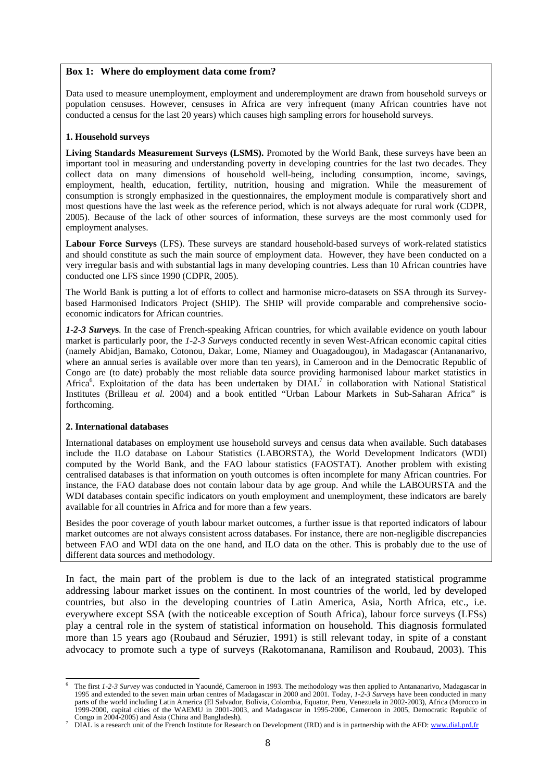#### **Box 1: Where do employment data come from?**

Data used to measure unemployment, employment and underemployment are drawn from household surveys or population censuses. However, censuses in Africa are very infrequent (many African countries have not conducted a census for the last 20 years) which causes high sampling errors for household surveys.

#### **1. Household surveys**

Living Standards Measurement Surveys (LSMS). Promoted by the World Bank, these surveys have been an important tool in measuring and understanding poverty in developing countries for the last two decades. They collect data on many dimensions of household well-being, including consumption, income, savings, employment, health, education, fertility, nutrition, housing and migration. While the measurement of consumption is strongly emphasized in the questionnaires, the employment module is comparatively short and most questions have the last week as the reference period, which is not always adequate for rural work (CDPR, 2005). Because of the lack of other sources of information, these surveys are the most commonly used for employment analyses.

**Labour Force Surveys** (LFS). These surveys are standard household-based surveys of work-related statistics and should constitute as such the main source of employment data. However, they have been conducted on a very irregular basis and with substantial lags in many developing countries. Less than 10 African countries have conducted one LFS since 1990 (CDPR, 2005).

The World Bank is putting a lot of efforts to collect and harmonise micro-datasets on SSA through its Surveybased Harmonised Indicators Project (SHIP). The SHIP will provide comparable and comprehensive socioeconomic indicators for African countries.

*1-2-3 Survey***s**. In the case of French-speaking African countries, for which available evidence on youth labour market is particularly poor, the *1-2-3 Survey*s conducted recently in seven West-African economic capital cities (namely Abidjan, Bamako, Cotonou, Dakar, Lome, Niamey and Ouagadougou), in Madagascar (Antananarivo, where an annual series is available over more than ten years), in Cameroon and in the Democratic Republic of Congo are (to date) probably the most reliable data source providing harmonised labour market statistics in Africa<sup>6</sup>. Exploitation of the data has been undertaken by DIAL<sup>7</sup> in collaboration with National Statistical Institutes (Brilleau *et al.* 2004) and a book entitled "Urban Labour Markets in Sub-Saharan Africa" is forthcoming.

#### **2. International databases**

International databases on employment use household surveys and census data when available. Such databases include the ILO database on Labour Statistics (LABORSTA), the World Development Indicators (WDI) computed by the World Bank, and the FAO labour statistics (FAOSTAT). Another problem with existing centralised databases is that information on youth outcomes is often incomplete for many African countries. For instance, the FAO database does not contain labour data by age group. And while the LABOURSTA and the WDI databases contain specific indicators on youth employment and unemployment, these indicators are barely available for all countries in Africa and for more than a few years.

Besides the poor coverage of youth labour market outcomes, a further issue is that reported indicators of labour market outcomes are not always consistent across databases. For instance, there are non-negligible discrepancies between FAO and WDI data on the one hand, and ILO data on the other. This is probably due to the use of different data sources and methodology.

In fact, the main part of the problem is due to the lack of an integrated statistical programme addressing labour market issues on the continent. In most countries of the world, led by developed countries, but also in the developing countries of Latin America, Asia, North Africa, etc., i.e. everywhere except SSA (with the noticeable exception of South Africa), labour force surveys (LFSs) play a central role in the system of statistical information on household. This diagnosis formulated more than 15 years ago (Roubaud and Séruzier, 1991) is still relevant today, in spite of a constant advocacy to promote such a type of surveys (Rakotomanana, Ramilison and Roubaud, 2003). This

 $\overline{a}$ 6 The first *1-2-3 Survey* was conducted in Yaoundé, Cameroon in 1993. The methodology was then applied to Antananarivo, Madagascar in 1995 and extended to the seven main urban centres of Madagascar in 2000 and 2001. Today, *1-2-3 Survey*s have been conducted in many parts of the world including Latin America (El Salvador, Bolivia, Colombia, Equator, Peru, Venezuela in 2002-2003), Africa (Morocco in 1999-2000, capital cities of the WAEMU in 2001-2003, and Madagascar in 1995-2006, Cameroon in 2005, Democratic Republic of Congo in 2004-2005) and Asia (China and Bangladesh).

DIAL is a research unit of the French Institute for Research on Development (IRD) and is in partnership with the AFD: www.dial.prd.fr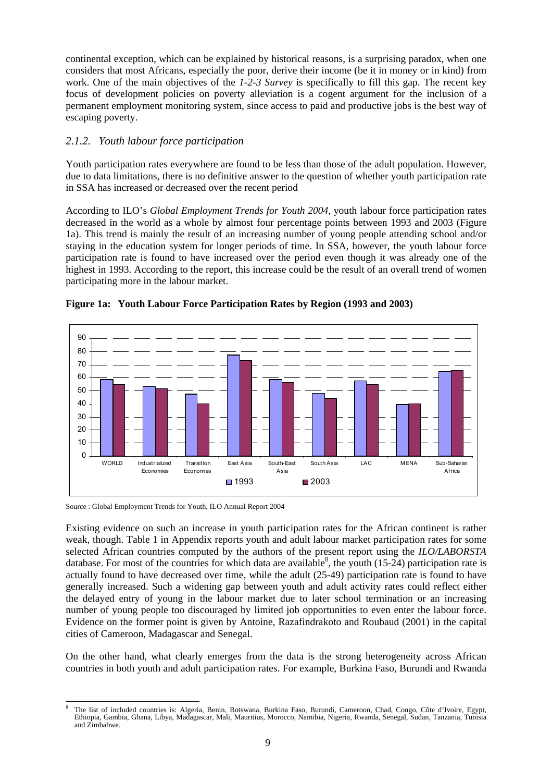continental exception, which can be explained by historical reasons, is a surprising paradox, when one considers that most Africans, especially the poor, derive their income (be it in money or in kind) from work. One of the main objectives of the *1-2-3 Survey* is specifically to fill this gap. The recent key focus of development policies on poverty alleviation is a cogent argument for the inclusion of a permanent employment monitoring system, since access to paid and productive jobs is the best way of escaping poverty.

#### *2.1.2. Youth labour force participation*

Youth participation rates everywhere are found to be less than those of the adult population. However, due to data limitations, there is no definitive answer to the question of whether youth participation rate in SSA has increased or decreased over the recent period

According to ILO's *Global Employment Trends for Youth 2004,* youth labour force participation rates decreased in the world as a whole by almost four percentage points between 1993 and 2003 (Figure 1a). This trend is mainly the result of an increasing number of young people attending school and/or staying in the education system for longer periods of time. In SSA, however, the youth labour force participation rate is found to have increased over the period even though it was already one of the highest in 1993. According to the report, this increase could be the result of an overall trend of women participating more in the labour market.





Source : Global Employment Trends for Youth, ILO Annual Report 2004

Existing evidence on such an increase in youth participation rates for the African continent is rather weak, though. Table 1 in Appendix reports youth and adult labour market participation rates for some selected African countries computed by the authors of the present report using the *ILO/LABORSTA* database. For most of the countries for which data are available<sup>8</sup>, the youth (15-24) participation rate is actually found to have decreased over time, while the adult (25-49) participation rate is found to have generally increased. Such a widening gap between youth and adult activity rates could reflect either the delayed entry of young in the labour market due to later school termination or an increasing number of young people too discouraged by limited job opportunities to even enter the labour force. Evidence on the former point is given by Antoine, Razafindrakoto and Roubaud (2001) in the capital cities of Cameroon, Madagascar and Senegal.

On the other hand, what clearly emerges from the data is the strong heterogeneity across African countries in both youth and adult participation rates. For example, Burkina Faso, Burundi and Rwanda

l 8 The list of included countries is: Algeria, Benin, Botswana, Burkina Faso, Burundi, Cameroon, Chad, Congo, Côte d'Ivoire, Egypt, Ethiopia, Gambia, Ghana, Libya, Madagascar, Mali, Mauritius, Morocco, Namibia, Nigeria, Rwanda, Senegal, Sudan, Tanzania, Tunisia and Zimbabwe.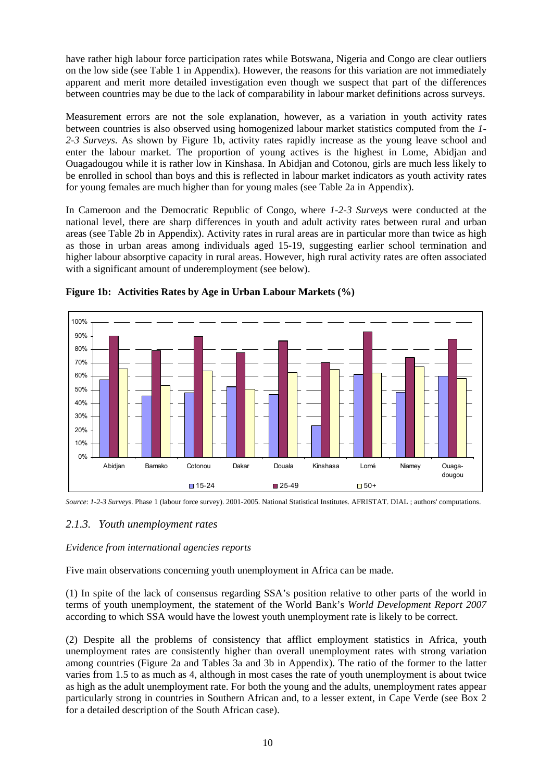have rather high labour force participation rates while Botswana, Nigeria and Congo are clear outliers on the low side (see Table 1 in Appendix). However, the reasons for this variation are not immediately apparent and merit more detailed investigation even though we suspect that part of the differences between countries may be due to the lack of comparability in labour market definitions across surveys.

Measurement errors are not the sole explanation, however, as a variation in youth activity rates between countries is also observed using homogenized labour market statistics computed from the *1- 2-3 Surveys*. As shown by Figure 1b, activity rates rapidly increase as the young leave school and enter the labour market. The proportion of young actives is the highest in Lome, Abidjan and Ouagadougou while it is rather low in Kinshasa. In Abidjan and Cotonou, girls are much less likely to be enrolled in school than boys and this is reflected in labour market indicators as youth activity rates for young females are much higher than for young males (see Table 2a in Appendix).

In Cameroon and the Democratic Republic of Congo, where *1-2-3 Survey*s were conducted at the national level, there are sharp differences in youth and adult activity rates between rural and urban areas (see Table 2b in Appendix). Activity rates in rural areas are in particular more than twice as high as those in urban areas among individuals aged 15-19, suggesting earlier school termination and higher labour absorptive capacity in rural areas. However, high rural activity rates are often associated with a significant amount of underemployment (see below).



**Figure 1b: Activities Rates by Age in Urban Labour Markets (%)** 

*Source*: *1-2-3 Survey*s. Phase 1 (labour force survey). 2001-2005. National Statistical Institutes. AFRISTAT. DIAL ; authors' computations.

# *2.1.3. Youth unemployment rates*

# *Evidence from international agencies reports*

Five main observations concerning youth unemployment in Africa can be made.

(1) In spite of the lack of consensus regarding SSA's position relative to other parts of the world in terms of youth unemployment, the statement of the World Bank's *World Development Report 2007* according to which SSA would have the lowest youth unemployment rate is likely to be correct.

(2) Despite all the problems of consistency that afflict employment statistics in Africa, youth unemployment rates are consistently higher than overall unemployment rates with strong variation among countries (Figure 2a and Tables 3a and 3b in Appendix). The ratio of the former to the latter varies from 1.5 to as much as 4, although in most cases the rate of youth unemployment is about twice as high as the adult unemployment rate. For both the young and the adults, unemployment rates appear particularly strong in countries in Southern African and, to a lesser extent, in Cape Verde (see Box 2 for a detailed description of the South African case).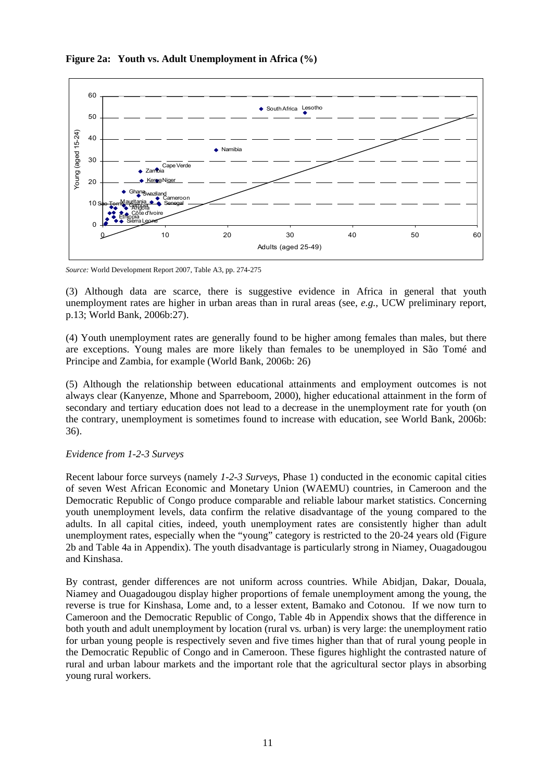

#### **Figure 2a: Youth vs. Adult Unemployment in Africa (%)**

*Source:* World Development Report 2007, Table A3, pp. 274-275

(3) Although data are scarce, there is suggestive evidence in Africa in general that youth unemployment rates are higher in urban areas than in rural areas (see, *e.g.*, UCW preliminary report, p.13; World Bank, 2006b:27).

(4) Youth unemployment rates are generally found to be higher among females than males, but there are exceptions. Young males are more likely than females to be unemployed in São Tomé and Principe and Zambia, for example (World Bank, 2006b: 26)

(5) Although the relationship between educational attainments and employment outcomes is not always clear (Kanyenze, Mhone and Sparreboom, 2000), higher educational attainment in the form of secondary and tertiary education does not lead to a decrease in the unemployment rate for youth (on the contrary, unemployment is sometimes found to increase with education, see World Bank, 2006b: 36).

#### *Evidence from 1-2-3 Surveys*

Recent labour force surveys (namely *1-2-3 Survey*s, Phase 1) conducted in the economic capital cities of seven West African Economic and Monetary Union (WAEMU) countries, in Cameroon and the Democratic Republic of Congo produce comparable and reliable labour market statistics. Concerning youth unemployment levels, data confirm the relative disadvantage of the young compared to the adults. In all capital cities, indeed, youth unemployment rates are consistently higher than adult unemployment rates, especially when the "young" category is restricted to the 20-24 years old (Figure 2b and Table 4a in Appendix). The youth disadvantage is particularly strong in Niamey, Ouagadougou and Kinshasa.

By contrast, gender differences are not uniform across countries. While Abidjan, Dakar, Douala, Niamey and Ouagadougou display higher proportions of female unemployment among the young, the reverse is true for Kinshasa, Lome and, to a lesser extent, Bamako and Cotonou. If we now turn to Cameroon and the Democratic Republic of Congo, Table 4b in Appendix shows that the difference in both youth and adult unemployment by location (rural vs. urban) is very large: the unemployment ratio for urban young people is respectively seven and five times higher than that of rural young people in the Democratic Republic of Congo and in Cameroon. These figures highlight the contrasted nature of rural and urban labour markets and the important role that the agricultural sector plays in absorbing young rural workers.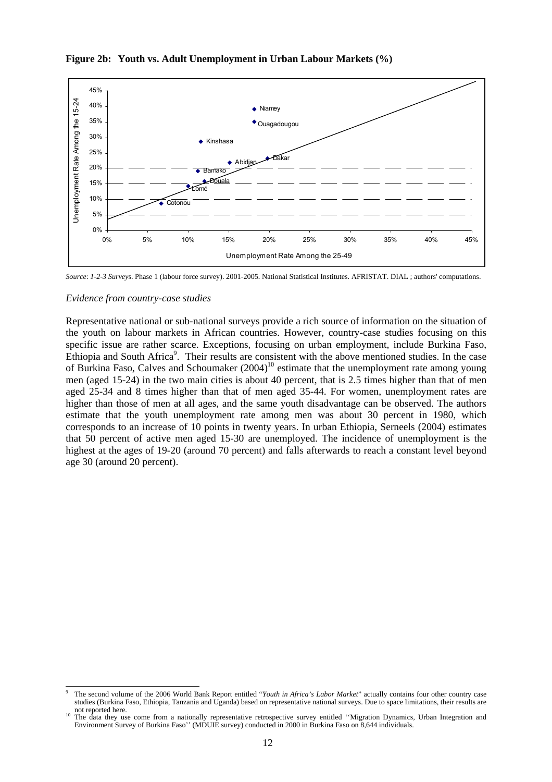

# **Figure 2b: Youth vs. Adult Unemployment in Urban Labour Markets (%)**

*Source*: *1-2-3 Survey*s. Phase 1 (labour force survey). 2001-2005. National Statistical Institutes. AFRISTAT. DIAL ; authors' computations.

#### *Evidence from country-case studies*

Representative national or sub-national surveys provide a rich source of information on the situation of the youth on labour markets in African countries. However, country-case studies focusing on this specific issue are rather scarce. Exceptions, focusing on urban employment, include Burkina Faso, Ethiopia and South Africa<sup>9</sup>. Their results are consistent with the above mentioned studies. In the case of Burkina Faso, Calves and Schoumaker  $(2004)^{10}$  estimate that the unemployment rate among young men (aged 15-24) in the two main cities is about 40 percent, that is 2.5 times higher than that of men aged 25-34 and 8 times higher than that of men aged 35-44. For women, unemployment rates are higher than those of men at all ages, and the same youth disadvantage can be observed. The authors estimate that the youth unemployment rate among men was about 30 percent in 1980, which corresponds to an increase of 10 points in twenty years. In urban Ethiopia, Serneels (2004) estimates that 50 percent of active men aged 15-30 are unemployed. The incidence of unemployment is the highest at the ages of 19-20 (around 70 percent) and falls afterwards to reach a constant level beyond age 30 (around 20 percent).

l 9 The second volume of the 2006 World Bank Report entitled "*Youth in Africa's Labor Market*" actually contains four other country case studies (Burkina Faso, Ethiopia, Tanzania and Uganda) based on representative national surveys. Due to space limitations, their results are not reported here.<br><sup>10</sup> The data they use come from a nationally representative retrospective survey entitled "Migration Dynamics, Urban Integration and

Environment Survey of Burkina Faso'' (MDUIE survey) conducted in 2000 in Burkina Faso on 8,644 individuals.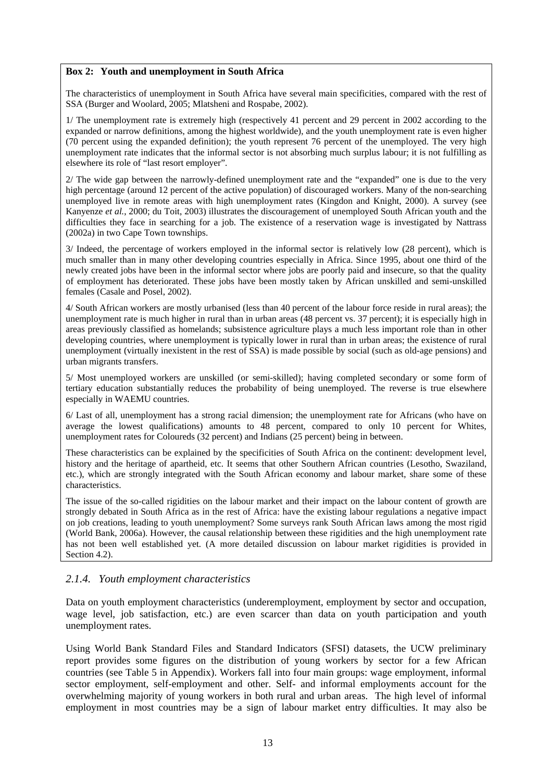#### **Box 2: Youth and unemployment in South Africa**

The characteristics of unemployment in South Africa have several main specificities, compared with the rest of SSA (Burger and Woolard, 2005; Mlatsheni and Rospabe, 2002).

1/ The unemployment rate is extremely high (respectively 41 percent and 29 percent in 2002 according to the expanded or narrow definitions, among the highest worldwide), and the youth unemployment rate is even higher (70 percent using the expanded definition); the youth represent 76 percent of the unemployed. The very high unemployment rate indicates that the informal sector is not absorbing much surplus labour; it is not fulfilling as elsewhere its role of "last resort employer".

2/ The wide gap between the narrowly-defined unemployment rate and the "expanded" one is due to the very high percentage (around 12 percent of the active population) of discouraged workers. Many of the non-searching unemployed live in remote areas with high unemployment rates (Kingdon and Knight, 2000). A survey (see Kanyenze *et al.*, 2000; du Toit, 2003) illustrates the discouragement of unemployed South African youth and the difficulties they face in searching for a job. The existence of a reservation wage is investigated by Nattrass (2002a) in two Cape Town townships.

3/ Indeed, the percentage of workers employed in the informal sector is relatively low (28 percent), which is much smaller than in many other developing countries especially in Africa. Since 1995, about one third of the newly created jobs have been in the informal sector where jobs are poorly paid and insecure, so that the quality of employment has deteriorated. These jobs have been mostly taken by African unskilled and semi-unskilled females (Casale and Posel, 2002).

4/ South African workers are mostly urbanised (less than 40 percent of the labour force reside in rural areas); the unemployment rate is much higher in rural than in urban areas (48 percent vs. 37 percent); it is especially high in areas previously classified as homelands; subsistence agriculture plays a much less important role than in other developing countries, where unemployment is typically lower in rural than in urban areas; the existence of rural unemployment (virtually inexistent in the rest of SSA) is made possible by social (such as old-age pensions) and urban migrants transfers.

5/ Most unemployed workers are unskilled (or semi-skilled); having completed secondary or some form of tertiary education substantially reduces the probability of being unemployed. The reverse is true elsewhere especially in WAEMU countries.

6/ Last of all, unemployment has a strong racial dimension; the unemployment rate for Africans (who have on average the lowest qualifications) amounts to 48 percent, compared to only 10 percent for Whites, unemployment rates for Coloureds (32 percent) and Indians (25 percent) being in between.

These characteristics can be explained by the specificities of South Africa on the continent: development level, history and the heritage of apartheid, etc. It seems that other Southern African countries (Lesotho, Swaziland, etc.), which are strongly integrated with the South African economy and labour market, share some of these characteristics.

The issue of the so-called rigidities on the labour market and their impact on the labour content of growth are strongly debated in South Africa as in the rest of Africa: have the existing labour regulations a negative impact on job creations, leading to youth unemployment? Some surveys rank South African laws among the most rigid (World Bank, 2006a). However, the causal relationship between these rigidities and the high unemployment rate has not been well established yet. (A more detailed discussion on labour market rigidities is provided in Section 4.2).

#### *2.1.4. Youth employment characteristics*

Data on youth employment characteristics (underemployment, employment by sector and occupation, wage level, job satisfaction, etc.) are even scarcer than data on youth participation and youth unemployment rates.

Using World Bank Standard Files and Standard Indicators (SFSI) datasets, the UCW preliminary report provides some figures on the distribution of young workers by sector for a few African countries (see Table 5 in Appendix). Workers fall into four main groups: wage employment, informal sector employment, self-employment and other. Self- and informal employments account for the overwhelming majority of young workers in both rural and urban areas. The high level of informal employment in most countries may be a sign of labour market entry difficulties. It may also be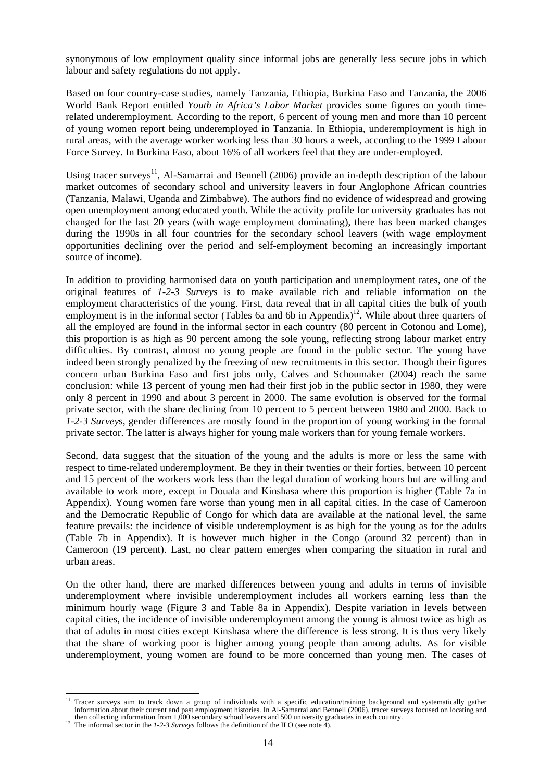synonymous of low employment quality since informal jobs are generally less secure jobs in which labour and safety regulations do not apply.

Based on four country-case studies, namely Tanzania, Ethiopia, Burkina Faso and Tanzania, the 2006 World Bank Report entitled *Youth in Africa's Labor Market* provides some figures on youth timerelated underemployment. According to the report, 6 percent of young men and more than 10 percent of young women report being underemployed in Tanzania. In Ethiopia, underemployment is high in rural areas, with the average worker working less than 30 hours a week, according to the 1999 Labour Force Survey. In Burkina Faso, about 16% of all workers feel that they are under-employed.

Using tracer surveys<sup>11</sup>, Al-Samarrai and Bennell (2006) provide an in-depth description of the labour market outcomes of secondary school and university leavers in four Anglophone African countries (Tanzania, Malawi, Uganda and Zimbabwe). The authors find no evidence of widespread and growing open unemployment among educated youth. While the activity profile for university graduates has not changed for the last 20 years (with wage employment dominating), there has been marked changes during the 1990s in all four countries for the secondary school leavers (with wage employment opportunities declining over the period and self-employment becoming an increasingly important source of income).

In addition to providing harmonised data on youth participation and unemployment rates, one of the original features of *1-2-3 Survey*s is to make available rich and reliable information on the employment characteristics of the young. First, data reveal that in all capital cities the bulk of youth employment is in the informal sector (Tables 6a and 6b in Appendix)<sup>12</sup>. While about three quarters of all the employed are found in the informal sector in each country (80 percent in Cotonou and Lome), this proportion is as high as 90 percent among the sole young, reflecting strong labour market entry difficulties. By contrast, almost no young people are found in the public sector. The young have indeed been strongly penalized by the freezing of new recruitments in this sector. Though their figures concern urban Burkina Faso and first jobs only, Calves and Schoumaker (2004) reach the same conclusion: while 13 percent of young men had their first job in the public sector in 1980, they were only 8 percent in 1990 and about 3 percent in 2000. The same evolution is observed for the formal private sector, with the share declining from 10 percent to 5 percent between 1980 and 2000. Back to *1-2-3 Survey*s, gender differences are mostly found in the proportion of young working in the formal private sector. The latter is always higher for young male workers than for young female workers.

Second, data suggest that the situation of the young and the adults is more or less the same with respect to time-related underemployment. Be they in their twenties or their forties, between 10 percent and 15 percent of the workers work less than the legal duration of working hours but are willing and available to work more, except in Douala and Kinshasa where this proportion is higher (Table 7a in Appendix). Young women fare worse than young men in all capital cities. In the case of Cameroon and the Democratic Republic of Congo for which data are available at the national level, the same feature prevails: the incidence of visible underemployment is as high for the young as for the adults (Table 7b in Appendix). It is however much higher in the Congo (around 32 percent) than in Cameroon (19 percent). Last, no clear pattern emerges when comparing the situation in rural and urban areas.

On the other hand, there are marked differences between young and adults in terms of invisible underemployment where invisible underemployment includes all workers earning less than the minimum hourly wage (Figure 3 and Table 8a in Appendix). Despite variation in levels between capital cities, the incidence of invisible underemployment among the young is almost twice as high as that of adults in most cities except Kinshasa where the difference is less strong. It is thus very likely that the share of working poor is higher among young people than among adults. As for visible underemployment, young women are found to be more concerned than young men. The cases of

l

<sup>&</sup>lt;sup>11</sup> Tracer surveys aim to track down a group of individuals with a specific education/training background and systematically gather information about their current and past employment histories. In Al-Samarrai and Bennell (2006), tracer surveys focused on locating and then collecting information from 1,000 secondary school leavers and 500 university graduates in each country.<br><sup>12</sup> The informal sector in the *1-2-3 Surveys* follows the definition of the ILO (see note 4).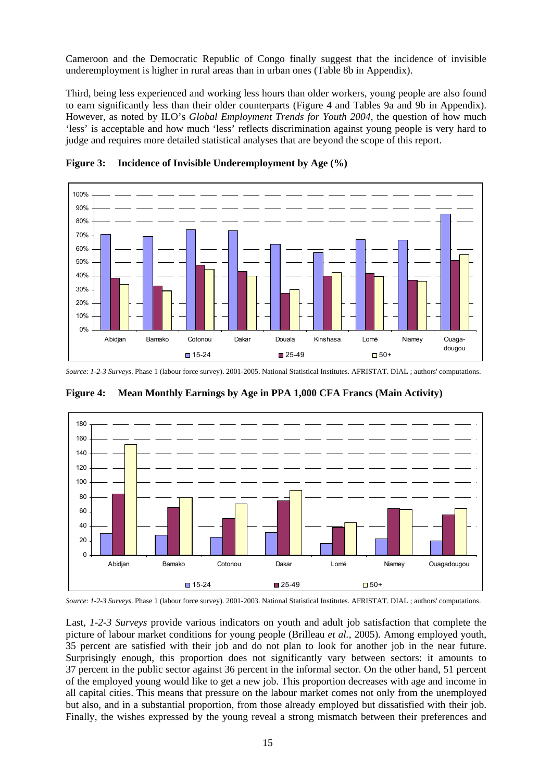Cameroon and the Democratic Republic of Congo finally suggest that the incidence of invisible underemployment is higher in rural areas than in urban ones (Table 8b in Appendix).

Third, being less experienced and working less hours than older workers, young people are also found to earn significantly less than their older counterparts (Figure 4 and Tables 9a and 9b in Appendix). However, as noted by ILO's *Global Employment Trends for Youth 2004*, the question of how much 'less' is acceptable and how much 'less' reflects discrimination against young people is very hard to judge and requires more detailed statistical analyses that are beyond the scope of this report.





*Source*: *1-2-3 Surveys*. Phase 1 (labour force survey). 2001-2005. National Statistical Institutes. AFRISTAT. DIAL ; authors' computations.



**Figure 4: Mean Monthly Earnings by Age in PPA 1,000 CFA Francs (Main Activity)** 

*Source*: *1-2-3 Surveys*. Phase 1 (labour force survey). 2001-2003. National Statistical Institutes. AFRISTAT. DIAL ; authors' computations.

Last, *1-2-3 Surveys* provide various indicators on youth and adult job satisfaction that complete the picture of labour market conditions for young people (Brilleau *et al.*, 2005). Among employed youth, 35 percent are satisfied with their job and do not plan to look for another job in the near future. Surprisingly enough, this proportion does not significantly vary between sectors: it amounts to 37 percent in the public sector against 36 percent in the informal sector. On the other hand, 51 percent of the employed young would like to get a new job. This proportion decreases with age and income in all capital cities. This means that pressure on the labour market comes not only from the unemployed but also, and in a substantial proportion, from those already employed but dissatisfied with their job. Finally, the wishes expressed by the young reveal a strong mismatch between their preferences and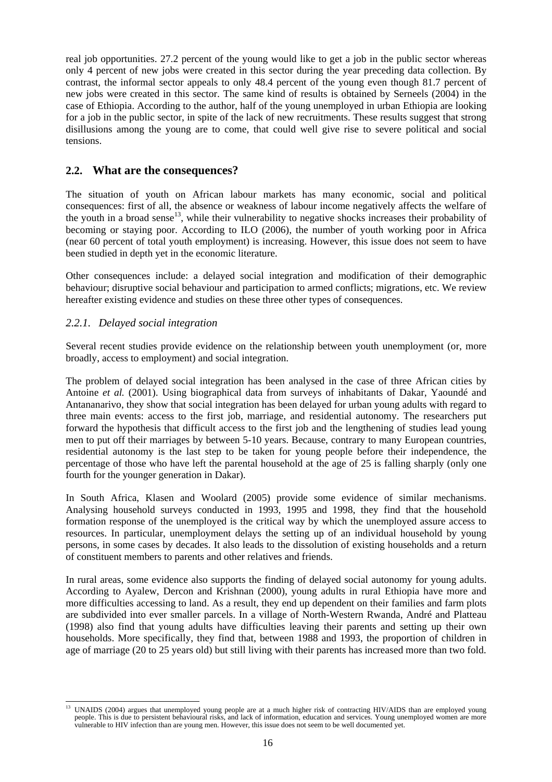real job opportunities. 27.2 percent of the young would like to get a job in the public sector whereas only 4 percent of new jobs were created in this sector during the year preceding data collection. By contrast, the informal sector appeals to only 48.4 percent of the young even though 81.7 percent of new jobs were created in this sector. The same kind of results is obtained by Serneels (2004) in the case of Ethiopia. According to the author, half of the young unemployed in urban Ethiopia are looking for a job in the public sector, in spite of the lack of new recruitments. These results suggest that strong disillusions among the young are to come, that could well give rise to severe political and social tensions.

# **2.2. What are the consequences?**

The situation of youth on African labour markets has many economic, social and political consequences: first of all, the absence or weakness of labour income negatively affects the welfare of the youth in a broad sense<sup>13</sup>, while their vulnerability to negative shocks increases their probability of becoming or staying poor. According to ILO (2006), the number of youth working poor in Africa (near 60 percent of total youth employment) is increasing. However, this issue does not seem to have been studied in depth yet in the economic literature.

Other consequences include: a delayed social integration and modification of their demographic behaviour; disruptive social behaviour and participation to armed conflicts; migrations, etc. We review hereafter existing evidence and studies on these three other types of consequences.

#### *2.2.1. Delayed social integration*

Several recent studies provide evidence on the relationship between youth unemployment (or, more broadly, access to employment) and social integration.

The problem of delayed social integration has been analysed in the case of three African cities by Antoine *et al.* (2001). Using biographical data from surveys of inhabitants of Dakar, Yaoundé and Antananarivo, they show that social integration has been delayed for urban young adults with regard to three main events: access to the first job, marriage, and residential autonomy. The researchers put forward the hypothesis that difficult access to the first job and the lengthening of studies lead young men to put off their marriages by between 5-10 years. Because, contrary to many European countries, residential autonomy is the last step to be taken for young people before their independence, the percentage of those who have left the parental household at the age of 25 is falling sharply (only one fourth for the younger generation in Dakar).

In South Africa, Klasen and Woolard (2005) provide some evidence of similar mechanisms. Analysing household surveys conducted in 1993, 1995 and 1998, they find that the household formation response of the unemployed is the critical way by which the unemployed assure access to resources. In particular, unemployment delays the setting up of an individual household by young persons, in some cases by decades. It also leads to the dissolution of existing households and a return of constituent members to parents and other relatives and friends.

In rural areas, some evidence also supports the finding of delayed social autonomy for young adults. According to Ayalew, Dercon and Krishnan (2000), young adults in rural Ethiopia have more and more difficulties accessing to land. As a result, they end up dependent on their families and farm plots are subdivided into ever smaller parcels. In a village of North-Western Rwanda, André and Platteau (1998) also find that young adults have difficulties leaving their parents and setting up their own households. More specifically, they find that, between 1988 and 1993, the proportion of children in age of marriage (20 to 25 years old) but still living with their parents has increased more than two fold.

l 13 UNAIDS (2004) argues that unemployed young people are at a much higher risk of contracting HIV/AIDS than are employed young people. This is due to persistent behavioural risks, and lack of information, education and services. Young unemployed women are more vulnerable to HIV infection than are young men. However, this issue does not seem to be well documented yet.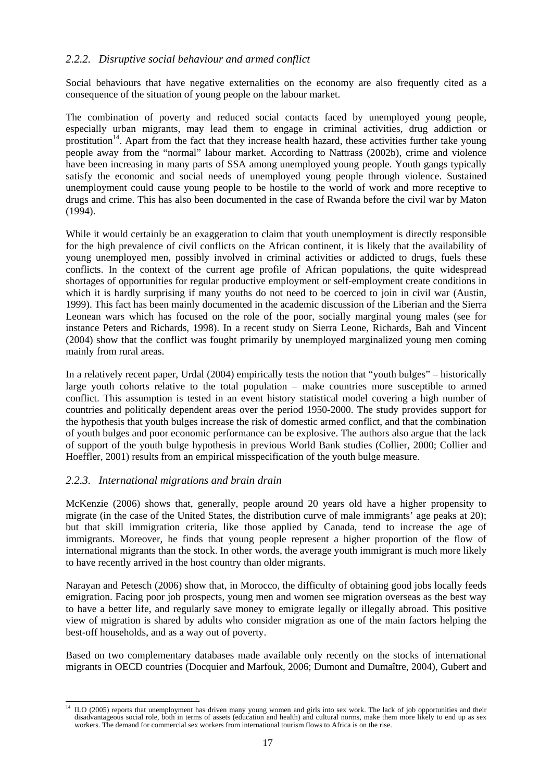#### *2.2.2. Disruptive social behaviour and armed conflict*

Social behaviours that have negative externalities on the economy are also frequently cited as a consequence of the situation of young people on the labour market.

The combination of poverty and reduced social contacts faced by unemployed young people, especially urban migrants, may lead them to engage in criminal activities, drug addiction or prostitution<sup>14</sup>. Apart from the fact that they increase health hazard, these activities further take young people away from the "normal" labour market. According to Nattrass (2002b), crime and violence have been increasing in many parts of SSA among unemployed young people. Youth gangs typically satisfy the economic and social needs of unemployed young people through violence. Sustained unemployment could cause young people to be hostile to the world of work and more receptive to drugs and crime. This has also been documented in the case of Rwanda before the civil war by Maton (1994).

While it would certainly be an exaggeration to claim that youth unemployment is directly responsible for the high prevalence of civil conflicts on the African continent, it is likely that the availability of young unemployed men, possibly involved in criminal activities or addicted to drugs, fuels these conflicts. In the context of the current age profile of African populations, the quite widespread shortages of opportunities for regular productive employment or self-employment create conditions in which it is hardly surprising if many youths do not need to be coerced to join in civil war (Austin, 1999). This fact has been mainly documented in the academic discussion of the Liberian and the Sierra Leonean wars which has focused on the role of the poor, socially marginal young males (see for instance Peters and Richards, 1998). In a recent study on Sierra Leone, Richards, Bah and Vincent (2004) show that the conflict was fought primarily by unemployed marginalized young men coming mainly from rural areas.

In a relatively recent paper, Urdal (2004) empirically tests the notion that "youth bulges" – historically large youth cohorts relative to the total population – make countries more susceptible to armed conflict. This assumption is tested in an event history statistical model covering a high number of countries and politically dependent areas over the period 1950-2000. The study provides support for the hypothesis that youth bulges increase the risk of domestic armed conflict, and that the combination of youth bulges and poor economic performance can be explosive. The authors also argue that the lack of support of the youth bulge hypothesis in previous World Bank studies (Collier, 2000; Collier and Hoeffler, 2001) results from an empirical misspecification of the youth bulge measure.

#### *2.2.3. International migrations and brain drain*

McKenzie (2006) shows that, generally, people around 20 years old have a higher propensity to migrate (in the case of the United States, the distribution curve of male immigrants' age peaks at 20); but that skill immigration criteria, like those applied by Canada, tend to increase the age of immigrants. Moreover, he finds that young people represent a higher proportion of the flow of international migrants than the stock. In other words, the average youth immigrant is much more likely to have recently arrived in the host country than older migrants.

Narayan and Petesch (2006) show that, in Morocco, the difficulty of obtaining good jobs locally feeds emigration. Facing poor job prospects, young men and women see migration overseas as the best way to have a better life, and regularly save money to emigrate legally or illegally abroad. This positive view of migration is shared by adults who consider migration as one of the main factors helping the best-off households, and as a way out of poverty.

Based on two complementary databases made available only recently on the stocks of international migrants in OECD countries (Docquier and Marfouk, 2006; Dumont and Dumaître, 2004), Gubert and

l 14 ILO (2005) reports that unemployment has driven many young women and girls into sex work. The lack of job opportunities and their disadvantageous social role, both in terms of assets (education and health) and cultural norms, make them more likely to end up as sex workers. The demand for commercial sex workers from international tourism flows to Africa is on the rise.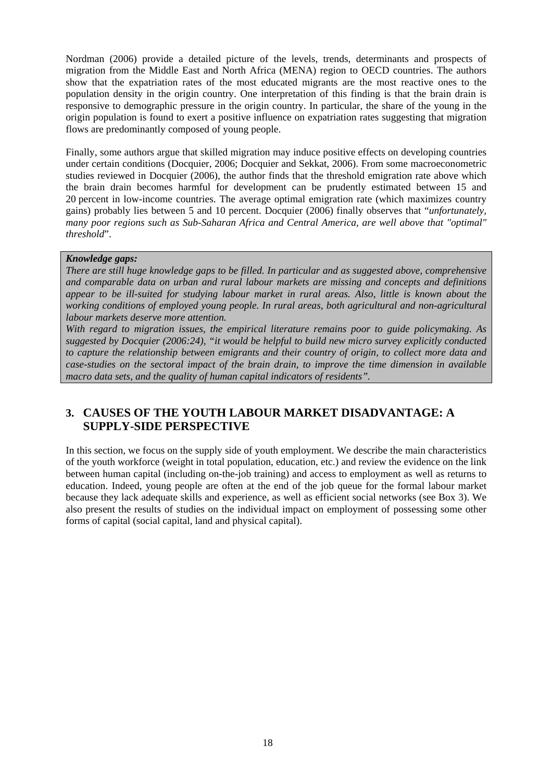Nordman (2006) provide a detailed picture of the levels, trends, determinants and prospects of migration from the Middle East and North Africa (MENA) region to OECD countries. The authors show that the expatriation rates of the most educated migrants are the most reactive ones to the population density in the origin country. One interpretation of this finding is that the brain drain is responsive to demographic pressure in the origin country. In particular, the share of the young in the origin population is found to exert a positive influence on expatriation rates suggesting that migration flows are predominantly composed of young people.

Finally, some authors argue that skilled migration may induce positive effects on developing countries under certain conditions (Docquier, 2006; Docquier and Sekkat, 2006). From some macroeconometric studies reviewed in Docquier (2006), the author finds that the threshold emigration rate above which the brain drain becomes harmful for development can be prudently estimated between 15 and 20 percent in low-income countries. The average optimal emigration rate (which maximizes country gains) probably lies between 5 and 10 percent. Docquier (2006) finally observes that "*unfortunately, many poor regions such as Sub-Saharan Africa and Central America, are well above that "optimal" threshold*".

#### *Knowledge gaps:*

*There are still huge knowledge gaps to be filled. In particular and as suggested above, comprehensive and comparable data on urban and rural labour markets are missing and concepts and definitions appear to be ill-suited for studying labour market in rural areas. Also, little is known about the working conditions of employed young people. In rural areas, both agricultural and non-agricultural labour markets deserve more attention.* 

*With regard to migration issues, the empirical literature remains poor to guide policymaking. As suggested by Docquier (2006:24), "it would be helpful to build new micro survey explicitly conducted to capture the relationship between emigrants and their country of origin, to collect more data and case-studies on the sectoral impact of the brain drain, to improve the time dimension in available macro data sets, and the quality of human capital indicators of residents".* 

# **3. CAUSES OF THE YOUTH LABOUR MARKET DISADVANTAGE: A SUPPLY-SIDE PERSPECTIVE**

In this section, we focus on the supply side of youth employment. We describe the main characteristics of the youth workforce (weight in total population, education, etc.) and review the evidence on the link between human capital (including on-the-job training) and access to employment as well as returns to education. Indeed, young people are often at the end of the job queue for the formal labour market because they lack adequate skills and experience, as well as efficient social networks (see Box 3). We also present the results of studies on the individual impact on employment of possessing some other forms of capital (social capital, land and physical capital).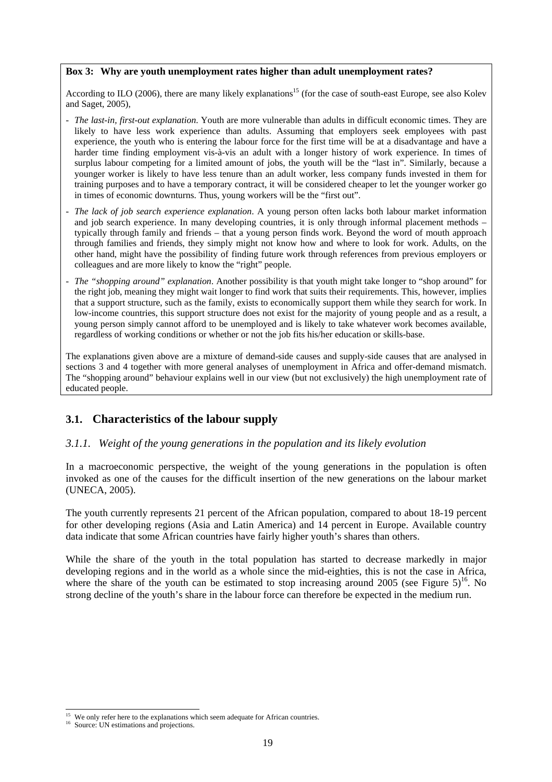#### **Box 3: Why are youth unemployment rates higher than adult unemployment rates?**

According to ILO (2006), there are many likely explanations<sup>15</sup> (for the case of south-east Europe, see also Kolev and Saget, 2005),

- *The last-in, first-out explanation*. Youth are more vulnerable than adults in difficult economic times. They are likely to have less work experience than adults. Assuming that employers seek employees with past experience, the youth who is entering the labour force for the first time will be at a disadvantage and have a harder time finding employment vis-à-vis an adult with a longer history of work experience. In times of surplus labour competing for a limited amount of jobs, the youth will be the "last in". Similarly, because a younger worker is likely to have less tenure than an adult worker, less company funds invested in them for training purposes and to have a temporary contract, it will be considered cheaper to let the younger worker go in times of economic downturns. Thus, young workers will be the "first out".
- *The lack of job search experience explanation*. A young person often lacks both labour market information and job search experience. In many developing countries, it is only through informal placement methods – typically through family and friends – that a young person finds work. Beyond the word of mouth approach through families and friends, they simply might not know how and where to look for work. Adults, on the other hand, might have the possibility of finding future work through references from previous employers or colleagues and are more likely to know the "right" people.
- *The "shopping around" explanation*. Another possibility is that youth might take longer to "shop around" for the right job, meaning they might wait longer to find work that suits their requirements. This, however, implies that a support structure, such as the family, exists to economically support them while they search for work. In low-income countries, this support structure does not exist for the majority of young people and as a result, a young person simply cannot afford to be unemployed and is likely to take whatever work becomes available, regardless of working conditions or whether or not the job fits his/her education or skills-base.

The explanations given above are a mixture of demand-side causes and supply-side causes that are analysed in sections 3 and 4 together with more general analyses of unemployment in Africa and offer-demand mismatch. The "shopping around" behaviour explains well in our view (but not exclusively) the high unemployment rate of educated people.

# **3.1. Characteristics of the labour supply**

#### *3.1.1. Weight of the young generations in the population and its likely evolution*

In a macroeconomic perspective, the weight of the young generations in the population is often invoked as one of the causes for the difficult insertion of the new generations on the labour market (UNECA, 2005).

The youth currently represents 21 percent of the African population, compared to about 18-19 percent for other developing regions (Asia and Latin America) and 14 percent in Europe. Available country data indicate that some African countries have fairly higher youth's shares than others.

While the share of the youth in the total population has started to decrease markedly in major developing regions and in the world as a whole since the mid-eighties, this is not the case in Africa, where the share of the youth can be estimated to stop increasing around 2005 (see Figure  $5$ )<sup>16</sup>. No strong decline of the youth's share in the labour force can therefore be expected in the medium run.

l <sup>15</sup> We only refer here to the explanations which seem adequate for African countries.<br><sup>16</sup> Source: UN estimations and projections.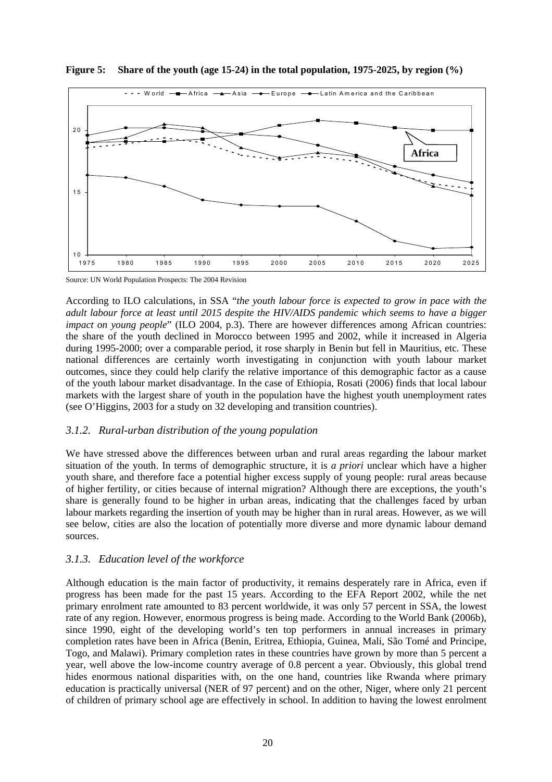

**Figure 5: Share of the youth (age 15-24) in the total population, 1975-2025, by region (%)** 

Source: UN World Population Prospects: The 2004 Revision

According to ILO calculations, in SSA "*the youth labour force is expected to grow in pace with the adult labour force at least until 2015 despite the HIV/AIDS pandemic which seems to have a bigger impact on young people*" (ILO 2004, p.3). There are however differences among African countries: the share of the youth declined in Morocco between 1995 and 2002, while it increased in Algeria during 1995-2000; over a comparable period, it rose sharply in Benin but fell in Mauritius, etc. These national differences are certainly worth investigating in conjunction with youth labour market outcomes, since they could help clarify the relative importance of this demographic factor as a cause of the youth labour market disadvantage. In the case of Ethiopia, Rosati (2006) finds that local labour markets with the largest share of youth in the population have the highest youth unemployment rates (see O'Higgins, 2003 for a study on 32 developing and transition countries).

#### *3.1.2. Rural-urban distribution of the young population*

We have stressed above the differences between urban and rural areas regarding the labour market situation of the youth. In terms of demographic structure, it is *a priori* unclear which have a higher youth share, and therefore face a potential higher excess supply of young people: rural areas because of higher fertility, or cities because of internal migration? Although there are exceptions, the youth's share is generally found to be higher in urban areas, indicating that the challenges faced by urban labour markets regarding the insertion of youth may be higher than in rural areas. However, as we will see below, cities are also the location of potentially more diverse and more dynamic labour demand sources.

#### *3.1.3. Education level of the workforce*

Although education is the main factor of productivity, it remains desperately rare in Africa, even if progress has been made for the past 15 years. According to the EFA Report 2002, while the net primary enrolment rate amounted to 83 percent worldwide, it was only 57 percent in SSA, the lowest rate of any region. However, enormous progress is being made. According to the World Bank (2006b), since 1990, eight of the developing world's ten top performers in annual increases in primary completion rates have been in Africa (Benin, Eritrea, Ethiopia, Guinea, Mali, São Tomé and Principe, Togo, and Malawi). Primary completion rates in these countries have grown by more than 5 percent a year, well above the low-income country average of 0.8 percent a year. Obviously, this global trend hides enormous national disparities with, on the one hand, countries like Rwanda where primary education is practically universal (NER of 97 percent) and on the other, Niger, where only 21 percent of children of primary school age are effectively in school. In addition to having the lowest enrolment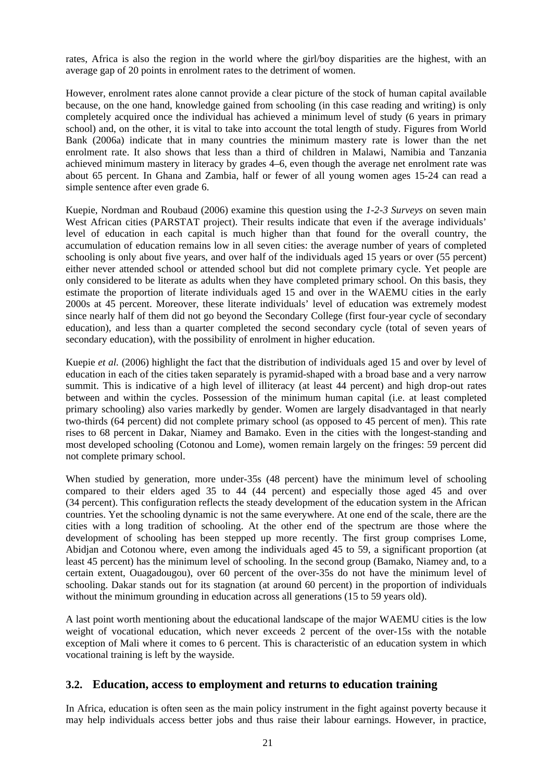rates, Africa is also the region in the world where the girl/boy disparities are the highest, with an average gap of 20 points in enrolment rates to the detriment of women.

However, enrolment rates alone cannot provide a clear picture of the stock of human capital available because, on the one hand, knowledge gained from schooling (in this case reading and writing) is only completely acquired once the individual has achieved a minimum level of study (6 years in primary school) and, on the other, it is vital to take into account the total length of study. Figures from World Bank (2006a) indicate that in many countries the minimum mastery rate is lower than the net enrolment rate. It also shows that less than a third of children in Malawi, Namibia and Tanzania achieved minimum mastery in literacy by grades 4–6, even though the average net enrolment rate was about 65 percent. In Ghana and Zambia, half or fewer of all young women ages 15-24 can read a simple sentence after even grade 6.

Kuepie, Nordman and Roubaud (2006) examine this question using the *1-2-3 Surveys* on seven main West African cities (PARSTAT project). Their results indicate that even if the average individuals' level of education in each capital is much higher than that found for the overall country, the accumulation of education remains low in all seven cities: the average number of years of completed schooling is only about five years, and over half of the individuals aged 15 years or over (55 percent) either never attended school or attended school but did not complete primary cycle. Yet people are only considered to be literate as adults when they have completed primary school. On this basis, they estimate the proportion of literate individuals aged 15 and over in the WAEMU cities in the early 2000s at 45 percent. Moreover, these literate individuals' level of education was extremely modest since nearly half of them did not go beyond the Secondary College (first four-year cycle of secondary education), and less than a quarter completed the second secondary cycle (total of seven years of secondary education), with the possibility of enrolment in higher education.

Kuepie *et al.* (2006) highlight the fact that the distribution of individuals aged 15 and over by level of education in each of the cities taken separately is pyramid-shaped with a broad base and a very narrow summit. This is indicative of a high level of illiteracy (at least 44 percent) and high drop-out rates between and within the cycles. Possession of the minimum human capital (i.e. at least completed primary schooling) also varies markedly by gender. Women are largely disadvantaged in that nearly two-thirds (64 percent) did not complete primary school (as opposed to 45 percent of men). This rate rises to 68 percent in Dakar, Niamey and Bamako. Even in the cities with the longest-standing and most developed schooling (Cotonou and Lome), women remain largely on the fringes: 59 percent did not complete primary school.

When studied by generation, more under-35s (48 percent) have the minimum level of schooling compared to their elders aged 35 to 44 (44 percent) and especially those aged 45 and over (34 percent). This configuration reflects the steady development of the education system in the African countries. Yet the schooling dynamic is not the same everywhere. At one end of the scale, there are the cities with a long tradition of schooling. At the other end of the spectrum are those where the development of schooling has been stepped up more recently. The first group comprises Lome, Abidjan and Cotonou where, even among the individuals aged 45 to 59, a significant proportion (at least 45 percent) has the minimum level of schooling. In the second group (Bamako, Niamey and, to a certain extent, Ouagadougou), over 60 percent of the over-35s do not have the minimum level of schooling. Dakar stands out for its stagnation (at around 60 percent) in the proportion of individuals without the minimum grounding in education across all generations (15 to 59 years old).

A last point worth mentioning about the educational landscape of the major WAEMU cities is the low weight of vocational education, which never exceeds 2 percent of the over-15s with the notable exception of Mali where it comes to 6 percent. This is characteristic of an education system in which vocational training is left by the wayside.

#### **3.2. Education, access to employment and returns to education training**

In Africa, education is often seen as the main policy instrument in the fight against poverty because it may help individuals access better jobs and thus raise their labour earnings. However, in practice,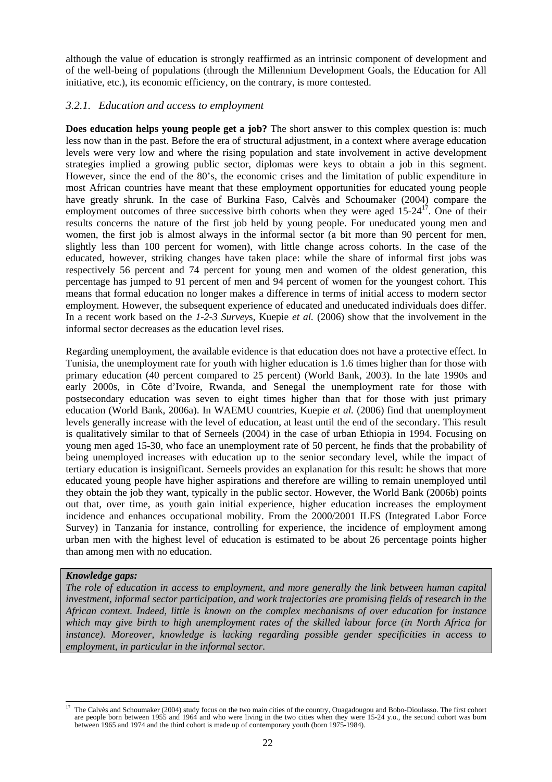although the value of education is strongly reaffirmed as an intrinsic component of development and of the well-being of populations (through the Millennium Development Goals, the Education for All initiative, etc.), its economic efficiency, on the contrary, is more contested.

#### *3.2.1. Education and access to employment*

**Does education helps young people get a job?** The short answer to this complex question is: much less now than in the past. Before the era of structural adjustment, in a context where average education levels were very low and where the rising population and state involvement in active development strategies implied a growing public sector, diplomas were keys to obtain a job in this segment. However, since the end of the 80's, the economic crises and the limitation of public expenditure in most African countries have meant that these employment opportunities for educated young people have greatly shrunk. In the case of Burkina Faso, Calvès and Schoumaker (2004) compare the employment outcomes of three successive birth cohorts when they were aged  $15{\text -}24^{17}$ . One of their results concerns the nature of the first job held by young people. For uneducated young men and women, the first job is almost always in the informal sector (a bit more than 90 percent for men, slightly less than 100 percent for women), with little change across cohorts. In the case of the educated, however, striking changes have taken place: while the share of informal first jobs was respectively 56 percent and 74 percent for young men and women of the oldest generation, this percentage has jumped to 91 percent of men and 94 percent of women for the youngest cohort. This means that formal education no longer makes a difference in terms of initial access to modern sector employment. However, the subsequent experience of educated and uneducated individuals does differ. In a recent work based on the *1-2-3 Survey*s, Kuepie *et al.* (2006) show that the involvement in the informal sector decreases as the education level rises.

Regarding unemployment, the available evidence is that education does not have a protective effect. In Tunisia, the unemployment rate for youth with higher education is 1.6 times higher than for those with primary education (40 percent compared to 25 percent) (World Bank, 2003). In the late 1990s and early 2000s, in Côte d'Ivoire, Rwanda, and Senegal the unemployment rate for those with postsecondary education was seven to eight times higher than that for those with just primary education (World Bank, 2006a). In WAEMU countries, Kuepie *et al.* (2006) find that unemployment levels generally increase with the level of education, at least until the end of the secondary. This result is qualitatively similar to that of Serneels (2004) in the case of urban Ethiopia in 1994. Focusing on young men aged 15-30, who face an unemployment rate of 50 percent, he finds that the probability of being unemployed increases with education up to the senior secondary level, while the impact of tertiary education is insignificant. Serneels provides an explanation for this result: he shows that more educated young people have higher aspirations and therefore are willing to remain unemployed until they obtain the job they want, typically in the public sector. However, the World Bank (2006b) points out that, over time, as youth gain initial experience, higher education increases the employment incidence and enhances occupational mobility. From the 2000/2001 ILFS (Integrated Labor Force Survey) in Tanzania for instance, controlling for experience, the incidence of employment among urban men with the highest level of education is estimated to be about 26 percentage points higher than among men with no education.

#### *Knowledge gaps:*

*The role of education in access to employment, and more generally the link between human capital investment, informal sector participation, and work trajectories are promising fields of research in the African context. Indeed, little is known on the complex mechanisms of over education for instance which may give birth to high unemployment rates of the skilled labour force (in North Africa for instance). Moreover, knowledge is lacking regarding possible gender specificities in access to employment, in particular in the informal sector.* 

l 17 The Calvès and Schoumaker (2004) study focus on the two main cities of the country, Ouagadougou and Bobo-Dioulasso. The first cohort are people born between 1955 and 1964 and who were living in the two cities when they were 15-24 y.o., the second cohort was born between 1965 and 1974 and the third cohort is made up of contemporary youth (born 1975-1984).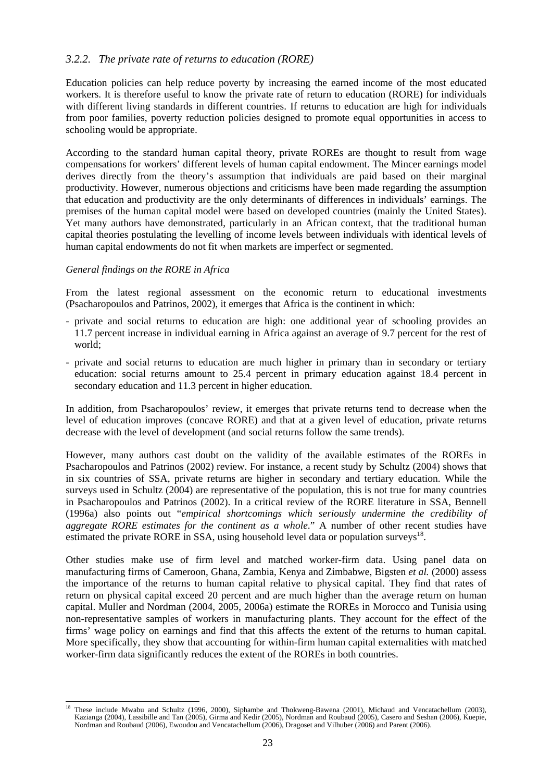#### *3.2.2. The private rate of returns to education (RORE)*

Education policies can help reduce poverty by increasing the earned income of the most educated workers. It is therefore useful to know the private rate of return to education (RORE) for individuals with different living standards in different countries. If returns to education are high for individuals from poor families, poverty reduction policies designed to promote equal opportunities in access to schooling would be appropriate.

According to the standard human capital theory, private ROREs are thought to result from wage compensations for workers' different levels of human capital endowment. The Mincer earnings model derives directly from the theory's assumption that individuals are paid based on their marginal productivity. However, numerous objections and criticisms have been made regarding the assumption that education and productivity are the only determinants of differences in individuals' earnings. The premises of the human capital model were based on developed countries (mainly the United States). Yet many authors have demonstrated, particularly in an African context, that the traditional human capital theories postulating the levelling of income levels between individuals with identical levels of human capital endowments do not fit when markets are imperfect or segmented.

#### *General findings on the RORE in Africa*

From the latest regional assessment on the economic return to educational investments (Psacharopoulos and Patrinos, 2002), it emerges that Africa is the continent in which:

- private and social returns to education are high: one additional year of schooling provides an 11.7 percent increase in individual earning in Africa against an average of 9.7 percent for the rest of world;
- private and social returns to education are much higher in primary than in secondary or tertiary education: social returns amount to 25.4 percent in primary education against 18.4 percent in secondary education and 11.3 percent in higher education.

In addition, from Psacharopoulos' review, it emerges that private returns tend to decrease when the level of education improves (concave RORE) and that at a given level of education, private returns decrease with the level of development (and social returns follow the same trends).

However, many authors cast doubt on the validity of the available estimates of the ROREs in Psacharopoulos and Patrinos (2002) review. For instance, a recent study by Schultz (2004) shows that in six countries of SSA, private returns are higher in secondary and tertiary education. While the surveys used in Schultz (2004) are representative of the population, this is not true for many countries in Psacharopoulos and Patrinos (2002). In a critical review of the RORE literature in SSA, Bennell (1996a) also points out "*empirical shortcomings which seriously undermine the credibility of aggregate RORE estimates for the continent as a whole*." A number of other recent studies have estimated the private RORE in SSA, using household level data or population surveys $^{18}$ .

Other studies make use of firm level and matched worker-firm data. Using panel data on manufacturing firms of Cameroon, Ghana, Zambia, Kenya and Zimbabwe, Bigsten *et al.* (2000) assess the importance of the returns to human capital relative to physical capital. They find that rates of return on physical capital exceed 20 percent and are much higher than the average return on human capital. Muller and Nordman (2004, 2005, 2006a) estimate the ROREs in Morocco and Tunisia using non-representative samples of workers in manufacturing plants. They account for the effect of the firms' wage policy on earnings and find that this affects the extent of the returns to human capital. More specifically, they show that accounting for within-firm human capital externalities with matched worker-firm data significantly reduces the extent of the ROREs in both countries.

l 18 These include Mwabu and Schultz (1996, 2000), Siphambe and Thokweng-Bawena (2001), Michaud and Vencatachellum (2003), Kazianga (2004), Lassibille and Tan (2005), Girma and Kedir (2005), Nordman and Roubaud (2005), Casero and Seshan (2006), Kuepie, Nordman and Roubaud (2006), Ewoudou and Vencatachellum (2006), Dragoset and Vilhuber (2006) and Parent (2006).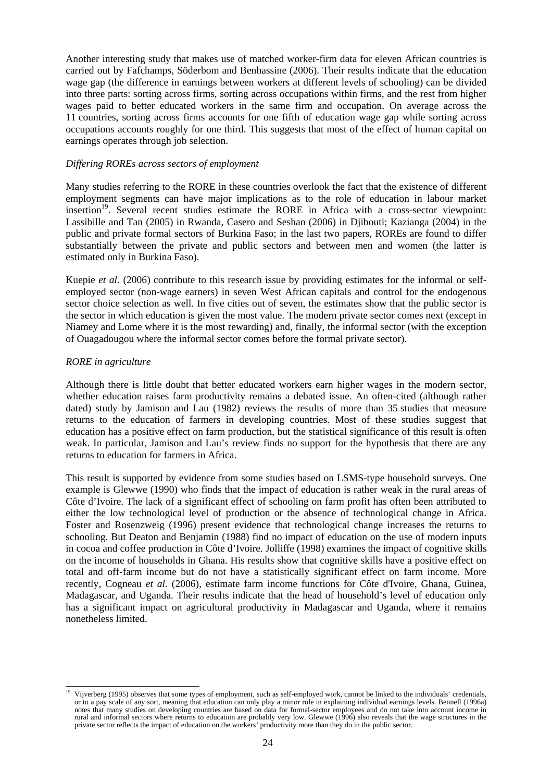Another interesting study that makes use of matched worker-firm data for eleven African countries is carried out by Fafchamps, Söderbom and Benhassine (2006). Their results indicate that the education wage gap (the difference in earnings between workers at different levels of schooling) can be divided into three parts: sorting across firms, sorting across occupations within firms, and the rest from higher wages paid to better educated workers in the same firm and occupation. On average across the 11 countries, sorting across firms accounts for one fifth of education wage gap while sorting across occupations accounts roughly for one third. This suggests that most of the effect of human capital on earnings operates through job selection.

#### *Differing ROREs across sectors of employment*

Many studies referring to the RORE in these countries overlook the fact that the existence of different employment segments can have major implications as to the role of education in labour market insertion<sup>19</sup>. Several recent studies estimate the RORE in Africa with a cross-sector viewpoint: Lassibille and Tan (2005) in Rwanda, Casero and Seshan (2006) in Djibouti; Kazianga (2004) in the public and private formal sectors of Burkina Faso; in the last two papers, ROREs are found to differ substantially between the private and public sectors and between men and women (the latter is estimated only in Burkina Faso).

Kuepie *et al.* (2006) contribute to this research issue by providing estimates for the informal or selfemployed sector (non-wage earners) in seven West African capitals and control for the endogenous sector choice selection as well. In five cities out of seven, the estimates show that the public sector is the sector in which education is given the most value. The modern private sector comes next (except in Niamey and Lome where it is the most rewarding) and, finally, the informal sector (with the exception of Ouagadougou where the informal sector comes before the formal private sector).

#### *RORE in agriculture*

Although there is little doubt that better educated workers earn higher wages in the modern sector, whether education raises farm productivity remains a debated issue. An often-cited (although rather dated) study by Jamison and Lau (1982) reviews the results of more than 35 studies that measure returns to the education of farmers in developing countries. Most of these studies suggest that education has a positive effect on farm production, but the statistical significance of this result is often weak. In particular, Jamison and Lau's review finds no support for the hypothesis that there are any returns to education for farmers in Africa.

This result is supported by evidence from some studies based on LSMS-type household surveys. One example is Glewwe (1990) who finds that the impact of education is rather weak in the rural areas of Côte d'Ivoire. The lack of a significant effect of schooling on farm profit has often been attributed to either the low technological level of production or the absence of technological change in Africa. Foster and Rosenzweig (1996) present evidence that technological change increases the returns to schooling. But Deaton and Benjamin (1988) find no impact of education on the use of modern inputs in cocoa and coffee production in Côte d'Ivoire. Jolliffe (1998) examines the impact of cognitive skills on the income of households in Ghana. His results show that cognitive skills have a positive effect on total and off-farm income but do not have a statistically significant effect on farm income. More recently, Cogneau *et al.* (2006), estimate farm income functions for Côte d'Ivoire, Ghana, Guinea, Madagascar, and Uganda. Their results indicate that the head of household's level of education only has a significant impact on agricultural productivity in Madagascar and Uganda, where it remains nonetheless limited.

l 19 Vijverberg (1995) observes that some types of employment, such as self-employed work, cannot be linked to the individuals' credentials, or to a pay scale of any sort, meaning that education can only play a minor role in explaining individual earnings levels. Bennell (1996a) notes that many studies on developing countries are based on data for formal-sector employees and do not take into account income in rural and informal sectors where returns to education are probably very low. Glewwe (1996) also reveals that the wage structures in the private sector reflects the impact of education on the workers' productivity more than they do in the public sector.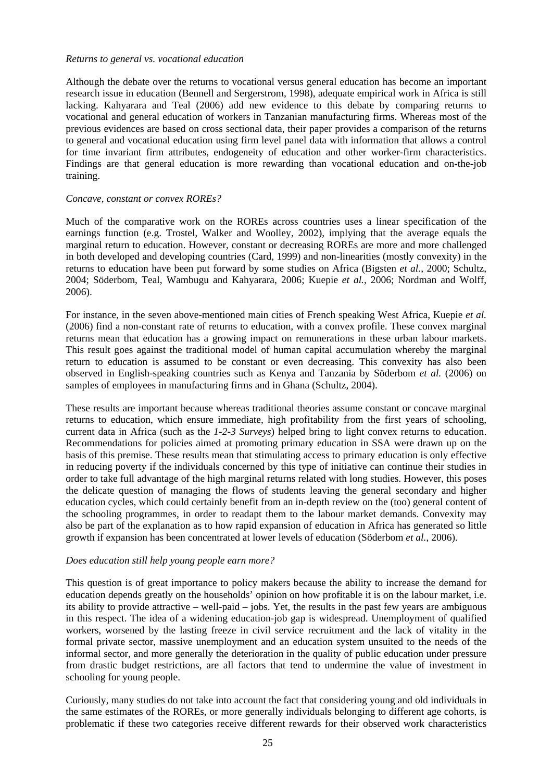#### *Returns to general vs. vocational education*

Although the debate over the returns to vocational versus general education has become an important research issue in education (Bennell and Sergerstrom, 1998), adequate empirical work in Africa is still lacking. Kahyarara and Teal (2006) add new evidence to this debate by comparing returns to vocational and general education of workers in Tanzanian manufacturing firms. Whereas most of the previous evidences are based on cross sectional data, their paper provides a comparison of the returns to general and vocational education using firm level panel data with information that allows a control for time invariant firm attributes, endogeneity of education and other worker-firm characteristics. Findings are that general education is more rewarding than vocational education and on-the-job training.

#### *Concave, constant or convex ROREs?*

Much of the comparative work on the ROREs across countries uses a linear specification of the earnings function (e.g. Trostel, Walker and Woolley, 2002), implying that the average equals the marginal return to education. However, constant or decreasing ROREs are more and more challenged in both developed and developing countries (Card, 1999) and non-linearities (mostly convexity) in the returns to education have been put forward by some studies on Africa (Bigsten *et al.*, 2000; Schultz, 2004; Söderbom, Teal, Wambugu and Kahyarara, 2006; Kuepie *et al.*, 2006; Nordman and Wolff, 2006).

For instance, in the seven above-mentioned main cities of French speaking West Africa, Kuepie *et al.* (2006) find a non-constant rate of returns to education, with a convex profile. These convex marginal returns mean that education has a growing impact on remunerations in these urban labour markets. This result goes against the traditional model of human capital accumulation whereby the marginal return to education is assumed to be constant or even decreasing. This convexity has also been observed in English-speaking countries such as Kenya and Tanzania by Söderbom *et al.* (2006) on samples of employees in manufacturing firms and in Ghana (Schultz, 2004).

These results are important because whereas traditional theories assume constant or concave marginal returns to education, which ensure immediate, high profitability from the first years of schooling, current data in Africa (such as the *1-2-3 Surveys*) helped bring to light convex returns to education. Recommendations for policies aimed at promoting primary education in SSA were drawn up on the basis of this premise. These results mean that stimulating access to primary education is only effective in reducing poverty if the individuals concerned by this type of initiative can continue their studies in order to take full advantage of the high marginal returns related with long studies. However, this poses the delicate question of managing the flows of students leaving the general secondary and higher education cycles, which could certainly benefit from an in-depth review on the (too) general content of the schooling programmes, in order to readapt them to the labour market demands. Convexity may also be part of the explanation as to how rapid expansion of education in Africa has generated so little growth if expansion has been concentrated at lower levels of education (Söderbom *et al.*, 2006).

#### *Does education still help young people earn more?*

This question is of great importance to policy makers because the ability to increase the demand for education depends greatly on the households' opinion on how profitable it is on the labour market, i.e. its ability to provide attractive – well-paid – jobs. Yet, the results in the past few years are ambiguous in this respect. The idea of a widening education-job gap is widespread. Unemployment of qualified workers, worsened by the lasting freeze in civil service recruitment and the lack of vitality in the formal private sector, massive unemployment and an education system unsuited to the needs of the informal sector, and more generally the deterioration in the quality of public education under pressure from drastic budget restrictions, are all factors that tend to undermine the value of investment in schooling for young people.

Curiously, many studies do not take into account the fact that considering young and old individuals in the same estimates of the ROREs, or more generally individuals belonging to different age cohorts, is problematic if these two categories receive different rewards for their observed work characteristics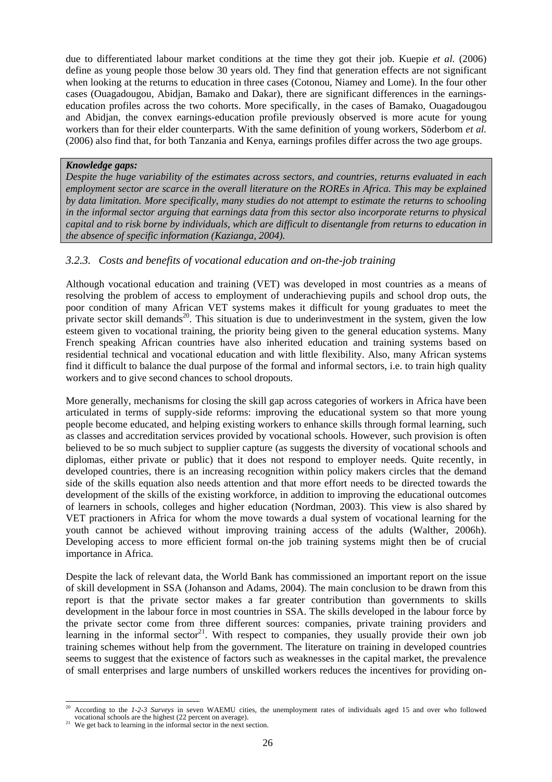due to differentiated labour market conditions at the time they got their job. Kuepie *et al.* (2006) define as young people those below 30 years old. They find that generation effects are not significant when looking at the returns to education in three cases (Cotonou, Niamey and Lome). In the four other cases (Ouagadougou, Abidjan, Bamako and Dakar), there are significant differences in the earningseducation profiles across the two cohorts. More specifically, in the cases of Bamako, Ouagadougou and Abidjan, the convex earnings-education profile previously observed is more acute for young workers than for their elder counterparts. With the same definition of young workers, Söderbom *et al.* (2006) also find that, for both Tanzania and Kenya, earnings profiles differ across the two age groups.

#### *Knowledge gaps:*

*Despite the huge variability of the estimates across sectors, and countries, returns evaluated in each employment sector are scarce in the overall literature on the ROREs in Africa. This may be explained by data limitation. More specifically, many studies do not attempt to estimate the returns to schooling in the informal sector arguing that earnings data from this sector also incorporate returns to physical capital and to risk borne by individuals, which are difficult to disentangle from returns to education in the absence of specific information (Kazianga, 2004).* 

#### *3.2.3. Costs and benefits of vocational education and on-the-job training*

Although vocational education and training (VET) was developed in most countries as a means of resolving the problem of access to employment of underachieving pupils and school drop outs, the poor condition of many African VET systems makes it difficult for young graduates to meet the private sector skill demands<sup>20</sup>. This situation is due to underinvestment in the system, given the low esteem given to vocational training, the priority being given to the general education systems. Many French speaking African countries have also inherited education and training systems based on residential technical and vocational education and with little flexibility. Also, many African systems find it difficult to balance the dual purpose of the formal and informal sectors, i.e. to train high quality workers and to give second chances to school dropouts.

More generally, mechanisms for closing the skill gap across categories of workers in Africa have been articulated in terms of supply-side reforms: improving the educational system so that more young people become educated, and helping existing workers to enhance skills through formal learning, such as classes and accreditation services provided by vocational schools. However, such provision is often believed to be so much subject to supplier capture (as suggests the diversity of vocational schools and diplomas, either private or public) that it does not respond to employer needs. Quite recently, in developed countries, there is an increasing recognition within policy makers circles that the demand side of the skills equation also needs attention and that more effort needs to be directed towards the development of the skills of the existing workforce, in addition to improving the educational outcomes of learners in schools, colleges and higher education (Nordman, 2003). This view is also shared by VET practioners in Africa for whom the move towards a dual system of vocational learning for the youth cannot be achieved without improving training access of the adults (Walther, 2006h). Developing access to more efficient formal on-the job training systems might then be of crucial importance in Africa.

Despite the lack of relevant data, the World Bank has commissioned an important report on the issue of skill development in SSA (Johanson and Adams, 2004). The main conclusion to be drawn from this report is that the private sector makes a far greater contribution than governments to skills development in the labour force in most countries in SSA. The skills developed in the labour force by the private sector come from three different sources: companies, private training providers and learning in the informal sector<sup>21</sup>. With respect to companies, they usually provide their own job training schemes without help from the government. The literature on training in developed countries seems to suggest that the existence of factors such as weaknesses in the capital market, the prevalence of small enterprises and large numbers of unskilled workers reduces the incentives for providing on-

l According to the *1-2-3 Surveys* in seven WAEMU cities, the unemployment rates of individuals aged 15 and over who followed vocational schools are the highest (22 percent on average).

 $\frac{21}{21}$  We get back to learning in the informal sector in the next section.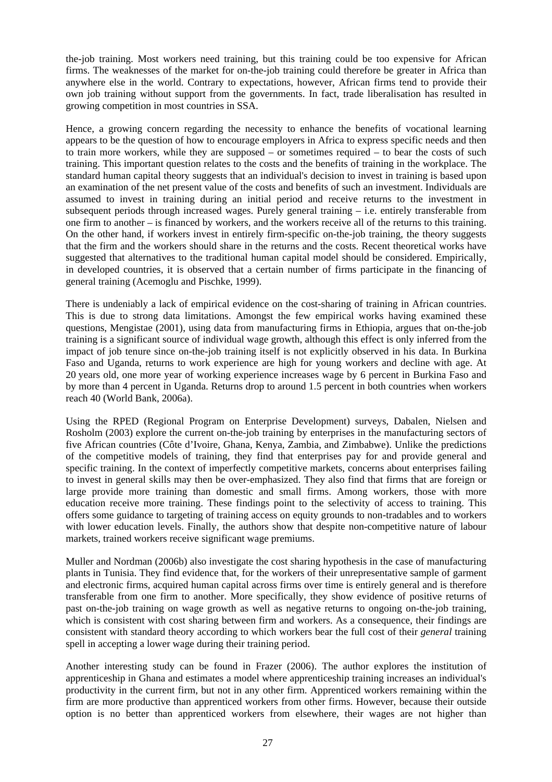the-job training. Most workers need training, but this training could be too expensive for African firms. The weaknesses of the market for on-the-job training could therefore be greater in Africa than anywhere else in the world. Contrary to expectations, however, African firms tend to provide their own job training without support from the governments. In fact, trade liberalisation has resulted in growing competition in most countries in SSA.

Hence, a growing concern regarding the necessity to enhance the benefits of vocational learning appears to be the question of how to encourage employers in Africa to express specific needs and then to train more workers, while they are supposed – or sometimes required – to bear the costs of such training. This important question relates to the costs and the benefits of training in the workplace. The standard human capital theory suggests that an individual's decision to invest in training is based upon an examination of the net present value of the costs and benefits of such an investment. Individuals are assumed to invest in training during an initial period and receive returns to the investment in subsequent periods through increased wages. Purely general training – i.e. entirely transferable from one firm to another – is financed by workers, and the workers receive all of the returns to this training. On the other hand, if workers invest in entirely firm-specific on-the-job training, the theory suggests that the firm and the workers should share in the returns and the costs. Recent theoretical works have suggested that alternatives to the traditional human capital model should be considered. Empirically, in developed countries, it is observed that a certain number of firms participate in the financing of general training (Acemoglu and Pischke, 1999).

There is undeniably a lack of empirical evidence on the cost-sharing of training in African countries. This is due to strong data limitations. Amongst the few empirical works having examined these questions, Mengistae (2001), using data from manufacturing firms in Ethiopia, argues that on-the-job training is a significant source of individual wage growth, although this effect is only inferred from the impact of job tenure since on-the-job training itself is not explicitly observed in his data. In Burkina Faso and Uganda, returns to work experience are high for young workers and decline with age. At 20 years old, one more year of working experience increases wage by 6 percent in Burkina Faso and by more than 4 percent in Uganda. Returns drop to around 1.5 percent in both countries when workers reach 40 (World Bank, 2006a).

Using the RPED (Regional Program on Enterprise Development) surveys, Dabalen, Nielsen and Rosholm (2003) explore the current on-the-job training by enterprises in the manufacturing sectors of five African countries (Côte d'Ivoire, Ghana, Kenya, Zambia, and Zimbabwe). Unlike the predictions of the competitive models of training, they find that enterprises pay for and provide general and specific training. In the context of imperfectly competitive markets, concerns about enterprises failing to invest in general skills may then be over-emphasized. They also find that firms that are foreign or large provide more training than domestic and small firms. Among workers, those with more education receive more training. These findings point to the selectivity of access to training. This offers some guidance to targeting of training access on equity grounds to non-tradables and to workers with lower education levels. Finally, the authors show that despite non-competitive nature of labour markets, trained workers receive significant wage premiums.

Muller and Nordman (2006b) also investigate the cost sharing hypothesis in the case of manufacturing plants in Tunisia. They find evidence that, for the workers of their unrepresentative sample of garment and electronic firms, acquired human capital across firms over time is entirely general and is therefore transferable from one firm to another. More specifically, they show evidence of positive returns of past on-the-job training on wage growth as well as negative returns to ongoing on-the-job training, which is consistent with cost sharing between firm and workers. As a consequence, their findings are consistent with standard theory according to which workers bear the full cost of their *general* training spell in accepting a lower wage during their training period.

Another interesting study can be found in Frazer (2006). The author explores the institution of apprenticeship in Ghana and estimates a model where apprenticeship training increases an individual's productivity in the current firm, but not in any other firm. Apprenticed workers remaining within the firm are more productive than apprenticed workers from other firms. However, because their outside option is no better than apprenticed workers from elsewhere, their wages are not higher than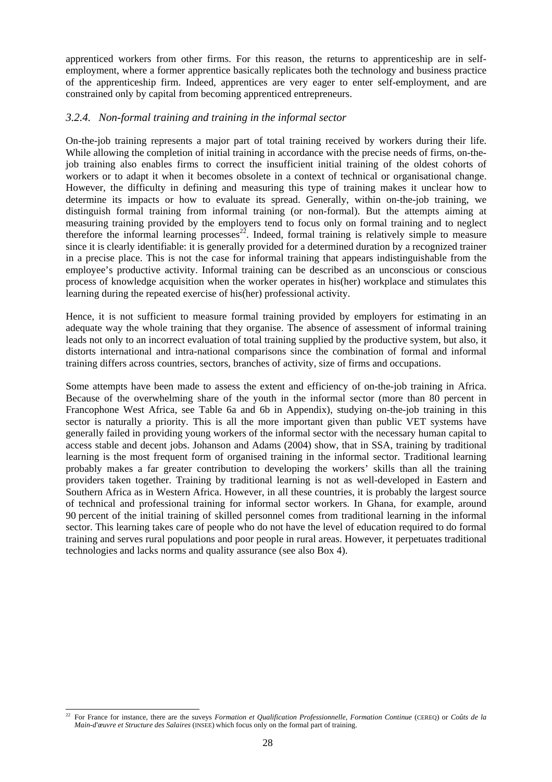apprenticed workers from other firms. For this reason, the returns to apprenticeship are in selfemployment, where a former apprentice basically replicates both the technology and business practice of the apprenticeship firm. Indeed, apprentices are very eager to enter self-employment, and are constrained only by capital from becoming apprenticed entrepreneurs.

#### *3.2.4. Non-formal training and training in the informal sector*

On-the-job training represents a major part of total training received by workers during their life. While allowing the completion of initial training in accordance with the precise needs of firms, on-thejob training also enables firms to correct the insufficient initial training of the oldest cohorts of workers or to adapt it when it becomes obsolete in a context of technical or organisational change. However, the difficulty in defining and measuring this type of training makes it unclear how to determine its impacts or how to evaluate its spread. Generally, within on-the-job training, we distinguish formal training from informal training (or non-formal). But the attempts aiming at measuring training provided by the employers tend to focus only on formal training and to neglect therefore the informal learning processes<sup>22</sup>. Indeed, formal training is relatively simple to measure since it is clearly identifiable: it is generally provided for a determined duration by a recognized trainer in a precise place. This is not the case for informal training that appears indistinguishable from the employee's productive activity. Informal training can be described as an unconscious or conscious process of knowledge acquisition when the worker operates in his(her) workplace and stimulates this learning during the repeated exercise of his(her) professional activity.

Hence, it is not sufficient to measure formal training provided by employers for estimating in an adequate way the whole training that they organise. The absence of assessment of informal training leads not only to an incorrect evaluation of total training supplied by the productive system, but also, it distorts international and intra-national comparisons since the combination of formal and informal training differs across countries, sectors, branches of activity, size of firms and occupations.

Some attempts have been made to assess the extent and efficiency of on-the-job training in Africa. Because of the overwhelming share of the youth in the informal sector (more than 80 percent in Francophone West Africa, see Table 6a and 6b in Appendix), studying on-the-job training in this sector is naturally a priority. This is all the more important given than public VET systems have generally failed in providing young workers of the informal sector with the necessary human capital to access stable and decent jobs. Johanson and Adams (2004) show, that in SSA, training by traditional learning is the most frequent form of organised training in the informal sector. Traditional learning probably makes a far greater contribution to developing the workers' skills than all the training providers taken together. Training by traditional learning is not as well-developed in Eastern and Southern Africa as in Western Africa. However, in all these countries, it is probably the largest source of technical and professional training for informal sector workers. In Ghana, for example, around 90 percent of the initial training of skilled personnel comes from traditional learning in the informal sector. This learning takes care of people who do not have the level of education required to do formal training and serves rural populations and poor people in rural areas. However, it perpetuates traditional technologies and lacks norms and quality assurance (see also Box 4).

 $22$ 22 For France for instance, there are the suveys *Formation et Qualification Professionnelle, Formation Continue* (CEREQ) or *Coûts de la Main-d'œuvre et Structure des Salaires* (INSEE) which focus only on the formal part of training.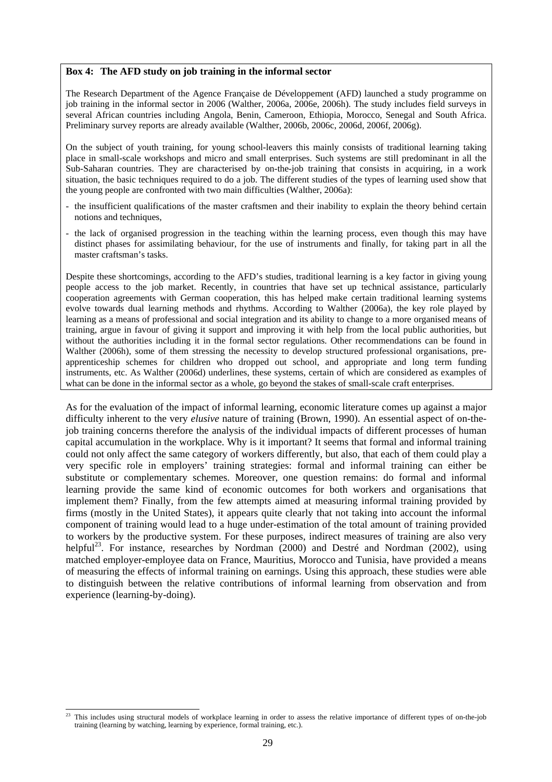#### **Box 4: The AFD study on job training in the informal sector**

The Research Department of the Agence Française de Développement (AFD) launched a study programme on job training in the informal sector in 2006 (Walther, 2006a, 2006e, 2006h). The study includes field surveys in several African countries including Angola, Benin, Cameroon, Ethiopia, Morocco, Senegal and South Africa. Preliminary survey reports are already available (Walther, 2006b, 2006c, 2006d, 2006f, 2006g).

On the subject of youth training, for young school-leavers this mainly consists of traditional learning taking place in small-scale workshops and micro and small enterprises. Such systems are still predominant in all the Sub-Saharan countries. They are characterised by on-the-job training that consists in acquiring, in a work situation, the basic techniques required to do a job. The different studies of the types of learning used show that the young people are confronted with two main difficulties (Walther, 2006a):

- the insufficient qualifications of the master craftsmen and their inability to explain the theory behind certain notions and techniques,
- the lack of organised progression in the teaching within the learning process, even though this may have distinct phases for assimilating behaviour, for the use of instruments and finally, for taking part in all the master craftsman's tasks.

Despite these shortcomings, according to the AFD's studies, traditional learning is a key factor in giving young people access to the job market. Recently, in countries that have set up technical assistance, particularly cooperation agreements with German cooperation, this has helped make certain traditional learning systems evolve towards dual learning methods and rhythms. According to Walther (2006a), the key role played by learning as a means of professional and social integration and its ability to change to a more organised means of training, argue in favour of giving it support and improving it with help from the local public authorities, but without the authorities including it in the formal sector regulations. Other recommendations can be found in Walther (2006h), some of them stressing the necessity to develop structured professional organisations, preapprenticeship schemes for children who dropped out school, and appropriate and long term funding instruments, etc. As Walther (2006d) underlines, these systems, certain of which are considered as examples of what can be done in the informal sector as a whole, go beyond the stakes of small-scale craft enterprises.

As for the evaluation of the impact of informal learning, economic literature comes up against a major difficulty inherent to the very *elusive* nature of training (Brown, 1990). An essential aspect of on-thejob training concerns therefore the analysis of the individual impacts of different processes of human capital accumulation in the workplace. Why is it important? It seems that formal and informal training could not only affect the same category of workers differently, but also, that each of them could play a very specific role in employers' training strategies: formal and informal training can either be substitute or complementary schemes. Moreover, one question remains: do formal and informal learning provide the same kind of economic outcomes for both workers and organisations that implement them? Finally, from the few attempts aimed at measuring informal training provided by firms (mostly in the United States), it appears quite clearly that not taking into account the informal component of training would lead to a huge under-estimation of the total amount of training provided to workers by the productive system. For these purposes, indirect measures of training are also very helpful<sup>23</sup>. For instance, researches by Nordman  $(2000)$  and Destré and Nordman  $(2002)$ , using matched employer-employee data on France, Mauritius, Morocco and Tunisia, have provided a means of measuring the effects of informal training on earnings. Using this approach, these studies were able to distinguish between the relative contributions of informal learning from observation and from experience (learning-by-doing).

 $23$ This includes using structural models of workplace learning in order to assess the relative importance of different types of on-the-job training (learning by watching, learning by experience, formal training, etc.).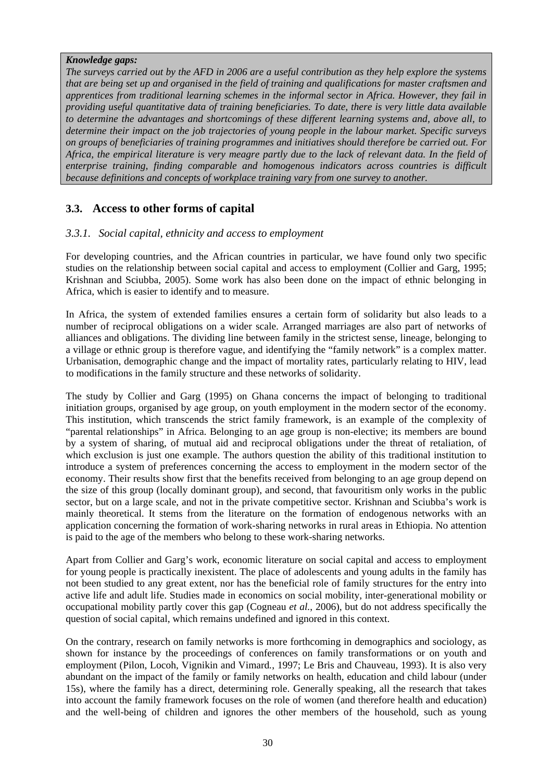#### *Knowledge gaps:*

*The surveys carried out by the AFD in 2006 are a useful contribution as they help explore the systems that are being set up and organised in the field of training and qualifications for master craftsmen and apprentices from traditional learning schemes in the informal sector in Africa. However, they fail in providing useful quantitative data of training beneficiaries. To date, there is very little data available to determine the advantages and shortcomings of these different learning systems and, above all, to determine their impact on the job trajectories of young people in the labour market. Specific surveys on groups of beneficiaries of training programmes and initiatives should therefore be carried out. For Africa, the empirical literature is very meagre partly due to the lack of relevant data. In the field of enterprise training, finding comparable and homogenous indicators across countries is difficult because definitions and concepts of workplace training vary from one survey to another.* 

# **3.3. Access to other forms of capital**

#### *3.3.1. Social capital, ethnicity and access to employment*

For developing countries, and the African countries in particular, we have found only two specific studies on the relationship between social capital and access to employment (Collier and Garg, 1995; Krishnan and Sciubba, 2005). Some work has also been done on the impact of ethnic belonging in Africa, which is easier to identify and to measure.

In Africa, the system of extended families ensures a certain form of solidarity but also leads to a number of reciprocal obligations on a wider scale. Arranged marriages are also part of networks of alliances and obligations. The dividing line between family in the strictest sense, lineage, belonging to a village or ethnic group is therefore vague, and identifying the "family network" is a complex matter. Urbanisation, demographic change and the impact of mortality rates, particularly relating to HIV, lead to modifications in the family structure and these networks of solidarity.

The study by Collier and Garg (1995) on Ghana concerns the impact of belonging to traditional initiation groups, organised by age group, on youth employment in the modern sector of the economy. This institution, which transcends the strict family framework, is an example of the complexity of "parental relationships" in Africa. Belonging to an age group is non-elective; its members are bound by a system of sharing, of mutual aid and reciprocal obligations under the threat of retaliation, of which exclusion is just one example. The authors question the ability of this traditional institution to introduce a system of preferences concerning the access to employment in the modern sector of the economy. Their results show first that the benefits received from belonging to an age group depend on the size of this group (locally dominant group), and second, that favouritism only works in the public sector, but on a large scale, and not in the private competitive sector. Krishnan and Sciubba's work is mainly theoretical. It stems from the literature on the formation of endogenous networks with an application concerning the formation of work-sharing networks in rural areas in Ethiopia. No attention is paid to the age of the members who belong to these work-sharing networks.

Apart from Collier and Garg's work, economic literature on social capital and access to employment for young people is practically inexistent. The place of adolescents and young adults in the family has not been studied to any great extent, nor has the beneficial role of family structures for the entry into active life and adult life. Studies made in economics on social mobility, inter-generational mobility or occupational mobility partly cover this gap (Cogneau *et al.*, 2006), but do not address specifically the question of social capital, which remains undefined and ignored in this context.

On the contrary, research on family networks is more forthcoming in demographics and sociology, as shown for instance by the proceedings of conferences on family transformations or on youth and employment (Pilon, Locoh, Vignikin and Vimard*.*, 1997; Le Bris and Chauveau, 1993). It is also very abundant on the impact of the family or family networks on health, education and child labour (under 15s), where the family has a direct, determining role. Generally speaking, all the research that takes into account the family framework focuses on the role of women (and therefore health and education) and the well-being of children and ignores the other members of the household, such as young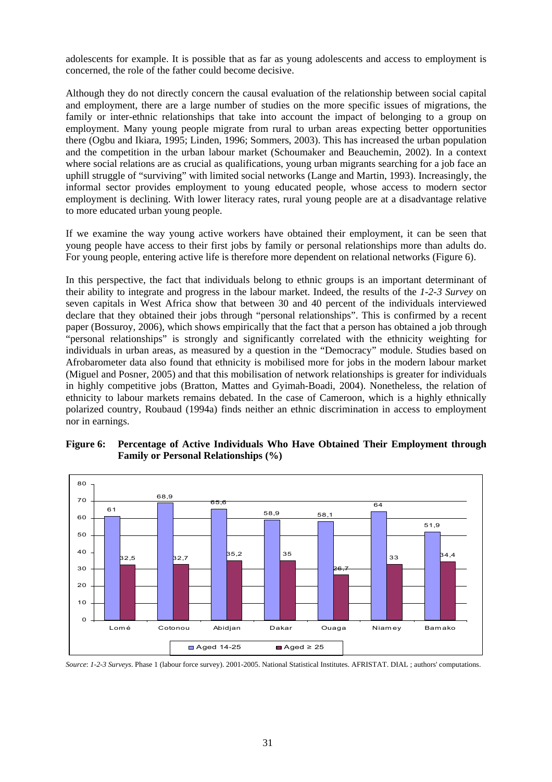adolescents for example. It is possible that as far as young adolescents and access to employment is concerned, the role of the father could become decisive.

Although they do not directly concern the causal evaluation of the relationship between social capital and employment, there are a large number of studies on the more specific issues of migrations, the family or inter-ethnic relationships that take into account the impact of belonging to a group on employment. Many young people migrate from rural to urban areas expecting better opportunities there (Ogbu and Ikiara, 1995; Linden, 1996; Sommers, 2003). This has increased the urban population and the competition in the urban labour market (Schoumaker and Beauchemin, 2002). In a context where social relations are as crucial as qualifications, young urban migrants searching for a job face an uphill struggle of "surviving" with limited social networks (Lange and Martin, 1993). Increasingly, the informal sector provides employment to young educated people, whose access to modern sector employment is declining. With lower literacy rates, rural young people are at a disadvantage relative to more educated urban young people.

If we examine the way young active workers have obtained their employment, it can be seen that young people have access to their first jobs by family or personal relationships more than adults do. For young people, entering active life is therefore more dependent on relational networks (Figure 6).

In this perspective, the fact that individuals belong to ethnic groups is an important determinant of their ability to integrate and progress in the labour market. Indeed, the results of the *1-2-3 Survey* on seven capitals in West Africa show that between 30 and 40 percent of the individuals interviewed declare that they obtained their jobs through "personal relationships". This is confirmed by a recent paper (Bossuroy, 2006), which shows empirically that the fact that a person has obtained a job through "personal relationships" is strongly and significantly correlated with the ethnicity weighting for individuals in urban areas, as measured by a question in the "Democracy" module. Studies based on Afrobarometer data also found that ethnicity is mobilised more for jobs in the modern labour market (Miguel and Posner, 2005) and that this mobilisation of network relationships is greater for individuals in highly competitive jobs (Bratton, Mattes and Gyimah-Boadi, 2004). Nonetheless, the relation of ethnicity to labour markets remains debated. In the case of Cameroon, which is a highly ethnically polarized country, Roubaud (1994a) finds neither an ethnic discrimination in access to employment nor in earnings.





*Source*: *1-2-3 Surveys*. Phase 1 (labour force survey). 2001-2005. National Statistical Institutes. AFRISTAT. DIAL ; authors' computations.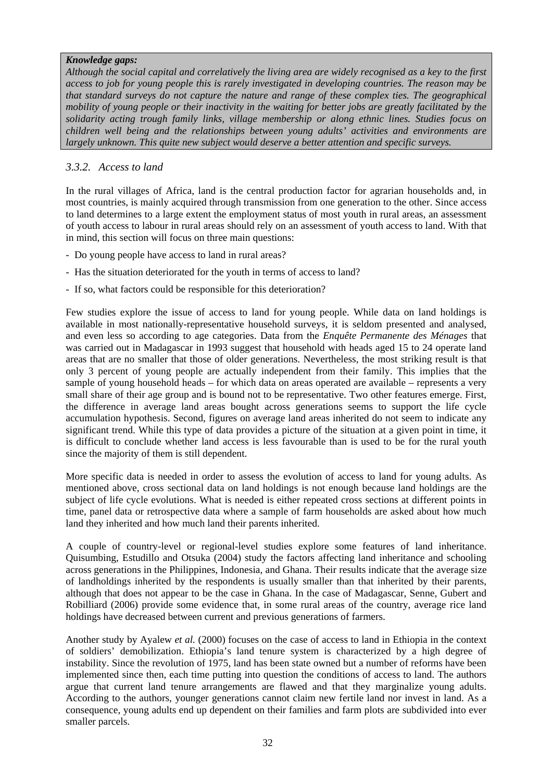#### *Knowledge gaps:*

*Although the social capital and correlatively the living area are widely recognised as a key to the first access to job for young people this is rarely investigated in developing countries. The reason may be that standard surveys do not capture the nature and range of these complex ties. The geographical mobility of young people or their inactivity in the waiting for better jobs are greatly facilitated by the solidarity acting trough family links, village membership or along ethnic lines. Studies focus on children well being and the relationships between young adults' activities and environments are largely unknown. This quite new subject would deserve a better attention and specific surveys.* 

#### *3.3.2. Access to land*

In the rural villages of Africa, land is the central production factor for agrarian households and, in most countries, is mainly acquired through transmission from one generation to the other. Since access to land determines to a large extent the employment status of most youth in rural areas, an assessment of youth access to labour in rural areas should rely on an assessment of youth access to land. With that in mind, this section will focus on three main questions:

- Do young people have access to land in rural areas?
- Has the situation deteriorated for the youth in terms of access to land?
- If so, what factors could be responsible for this deterioration?

Few studies explore the issue of access to land for young people. While data on land holdings is available in most nationally-representative household surveys, it is seldom presented and analysed, and even less so according to age categories. Data from the *Enquête Permanente des Ménages* that was carried out in Madagascar in 1993 suggest that household with heads aged 15 to 24 operate land areas that are no smaller that those of older generations. Nevertheless, the most striking result is that only 3 percent of young people are actually independent from their family. This implies that the sample of young household heads – for which data on areas operated are available – represents a very small share of their age group and is bound not to be representative. Two other features emerge. First, the difference in average land areas bought across generations seems to support the life cycle accumulation hypothesis. Second, figures on average land areas inherited do not seem to indicate any significant trend. While this type of data provides a picture of the situation at a given point in time, it is difficult to conclude whether land access is less favourable than is used to be for the rural youth since the majority of them is still dependent.

More specific data is needed in order to assess the evolution of access to land for young adults. As mentioned above, cross sectional data on land holdings is not enough because land holdings are the subject of life cycle evolutions. What is needed is either repeated cross sections at different points in time, panel data or retrospective data where a sample of farm households are asked about how much land they inherited and how much land their parents inherited.

A couple of country-level or regional-level studies explore some features of land inheritance. Quisumbing, Estudillo and Otsuka (2004) study the factors affecting land inheritance and schooling across generations in the Philippines, Indonesia, and Ghana. Their results indicate that the average size of landholdings inherited by the respondents is usually smaller than that inherited by their parents, although that does not appear to be the case in Ghana. In the case of Madagascar, Senne, Gubert and Robilliard (2006) provide some evidence that, in some rural areas of the country, average rice land holdings have decreased between current and previous generations of farmers.

Another study by Ayalew *et al.* (2000) focuses on the case of access to land in Ethiopia in the context of soldiers' demobilization. Ethiopia's land tenure system is characterized by a high degree of instability. Since the revolution of 1975, land has been state owned but a number of reforms have been implemented since then, each time putting into question the conditions of access to land. The authors argue that current land tenure arrangements are flawed and that they marginalize young adults. According to the authors, younger generations cannot claim new fertile land nor invest in land. As a consequence, young adults end up dependent on their families and farm plots are subdivided into ever smaller parcels.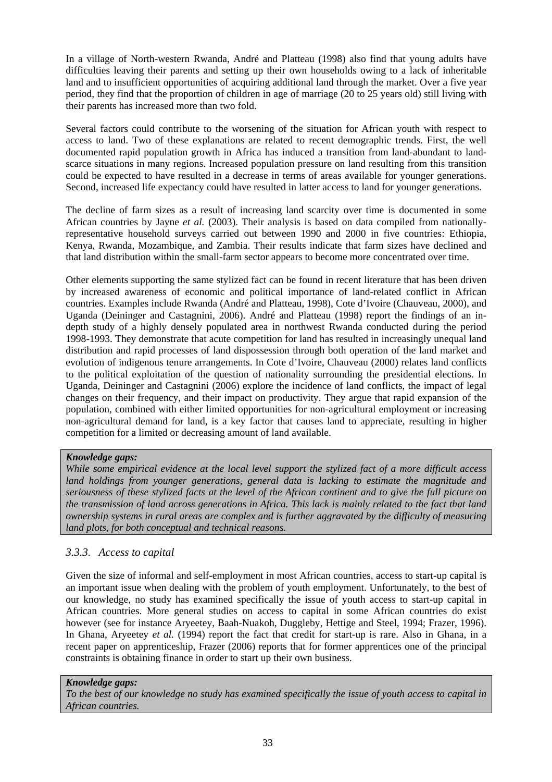In a village of North-western Rwanda, André and Platteau (1998) also find that young adults have difficulties leaving their parents and setting up their own households owing to a lack of inheritable land and to insufficient opportunities of acquiring additional land through the market. Over a five year period, they find that the proportion of children in age of marriage (20 to 25 years old) still living with their parents has increased more than two fold.

Several factors could contribute to the worsening of the situation for African youth with respect to access to land. Two of these explanations are related to recent demographic trends. First, the well documented rapid population growth in Africa has induced a transition from land-abundant to landscarce situations in many regions. Increased population pressure on land resulting from this transition could be expected to have resulted in a decrease in terms of areas available for younger generations. Second, increased life expectancy could have resulted in latter access to land for younger generations.

The decline of farm sizes as a result of increasing land scarcity over time is documented in some African countries by Jayne *et al.* (2003). Their analysis is based on data compiled from nationallyrepresentative household surveys carried out between 1990 and 2000 in five countries: Ethiopia, Kenya, Rwanda, Mozambique, and Zambia. Their results indicate that farm sizes have declined and that land distribution within the small-farm sector appears to become more concentrated over time.

Other elements supporting the same stylized fact can be found in recent literature that has been driven by increased awareness of economic and political importance of land-related conflict in African countries. Examples include Rwanda (André and Platteau, 1998), Cote d'Ivoire (Chauveau, 2000), and Uganda (Deininger and Castagnini, 2006). André and Platteau (1998) report the findings of an indepth study of a highly densely populated area in northwest Rwanda conducted during the period 1998-1993. They demonstrate that acute competition for land has resulted in increasingly unequal land distribution and rapid processes of land dispossession through both operation of the land market and evolution of indigenous tenure arrangements. In Cote d'Ivoire, Chauveau (2000) relates land conflicts to the political exploitation of the question of nationality surrounding the presidential elections. In Uganda, Deininger and Castagnini (2006) explore the incidence of land conflicts, the impact of legal changes on their frequency, and their impact on productivity. They argue that rapid expansion of the population, combined with either limited opportunities for non-agricultural employment or increasing non-agricultural demand for land, is a key factor that causes land to appreciate, resulting in higher competition for a limited or decreasing amount of land available.

#### *Knowledge gaps:*

*While some empirical evidence at the local level support the stylized fact of a more difficult access land holdings from younger generations, general data is lacking to estimate the magnitude and seriousness of these stylized facts at the level of the African continent and to give the full picture on the transmission of land across generations in Africa. This lack is mainly related to the fact that land ownership systems in rural areas are complex and is further aggravated by the difficulty of measuring land plots, for both conceptual and technical reasons.* 

#### *3.3.3. Access to capital*

Given the size of informal and self-employment in most African countries, access to start-up capital is an important issue when dealing with the problem of youth employment. Unfortunately, to the best of our knowledge, no study has examined specifically the issue of youth access to start-up capital in African countries. More general studies on access to capital in some African countries do exist however (see for instance Aryeetey, Baah-Nuakoh, Duggleby, Hettige and Steel, 1994; Frazer, 1996). In Ghana, Aryeetey *et al.* (1994) report the fact that credit for start-up is rare. Also in Ghana, in a recent paper on apprenticeship, Frazer (2006) reports that for former apprentices one of the principal constraints is obtaining finance in order to start up their own business.

#### *Knowledge gaps:*

*To the best of our knowledge no study has examined specifically the issue of youth access to capital in African countries.*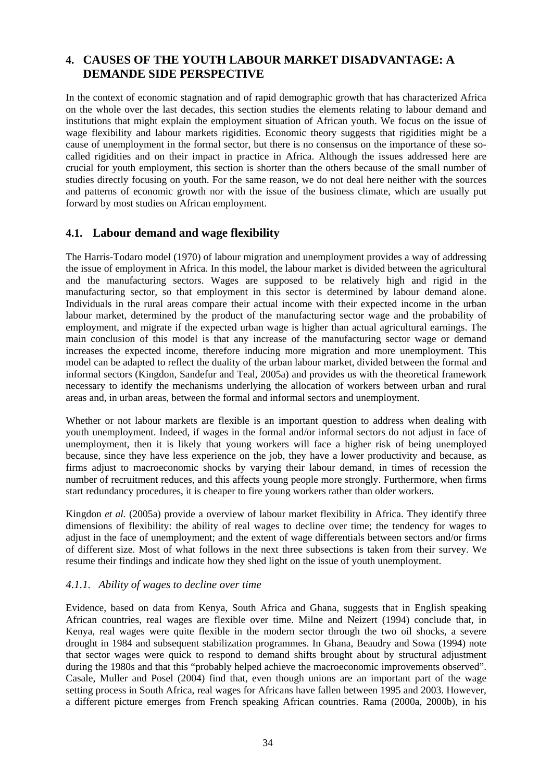# **4. CAUSES OF THE YOUTH LABOUR MARKET DISADVANTAGE: A DEMANDE SIDE PERSPECTIVE**

In the context of economic stagnation and of rapid demographic growth that has characterized Africa on the whole over the last decades, this section studies the elements relating to labour demand and institutions that might explain the employment situation of African youth. We focus on the issue of wage flexibility and labour markets rigidities. Economic theory suggests that rigidities might be a cause of unemployment in the formal sector, but there is no consensus on the importance of these socalled rigidities and on their impact in practice in Africa. Although the issues addressed here are crucial for youth employment, this section is shorter than the others because of the small number of studies directly focusing on youth. For the same reason, we do not deal here neither with the sources and patterns of economic growth nor with the issue of the business climate, which are usually put forward by most studies on African employment.

# **4.1. Labour demand and wage flexibility**

The Harris-Todaro model (1970) of labour migration and unemployment provides a way of addressing the issue of employment in Africa. In this model, the labour market is divided between the agricultural and the manufacturing sectors. Wages are supposed to be relatively high and rigid in the manufacturing sector, so that employment in this sector is determined by labour demand alone. Individuals in the rural areas compare their actual income with their expected income in the urban labour market, determined by the product of the manufacturing sector wage and the probability of employment, and migrate if the expected urban wage is higher than actual agricultural earnings. The main conclusion of this model is that any increase of the manufacturing sector wage or demand increases the expected income, therefore inducing more migration and more unemployment. This model can be adapted to reflect the duality of the urban labour market, divided between the formal and informal sectors (Kingdon, Sandefur and Teal, 2005a) and provides us with the theoretical framework necessary to identify the mechanisms underlying the allocation of workers between urban and rural areas and, in urban areas, between the formal and informal sectors and unemployment.

Whether or not labour markets are flexible is an important question to address when dealing with youth unemployment. Indeed, if wages in the formal and/or informal sectors do not adjust in face of unemployment, then it is likely that young workers will face a higher risk of being unemployed because, since they have less experience on the job, they have a lower productivity and because, as firms adjust to macroeconomic shocks by varying their labour demand, in times of recession the number of recruitment reduces, and this affects young people more strongly. Furthermore, when firms start redundancy procedures, it is cheaper to fire young workers rather than older workers.

Kingdon *et al.* (2005a) provide a overview of labour market flexibility in Africa. They identify three dimensions of flexibility: the ability of real wages to decline over time; the tendency for wages to adjust in the face of unemployment; and the extent of wage differentials between sectors and/or firms of different size. Most of what follows in the next three subsections is taken from their survey. We resume their findings and indicate how they shed light on the issue of youth unemployment.

# *4.1.1. Ability of wages to decline over time*

Evidence, based on data from Kenya, South Africa and Ghana, suggests that in English speaking African countries, real wages are flexible over time. Milne and Neizert (1994) conclude that, in Kenya, real wages were quite flexible in the modern sector through the two oil shocks, a severe drought in 1984 and subsequent stabilization programmes. In Ghana, Beaudry and Sowa (1994) note that sector wages were quick to respond to demand shifts brought about by structural adjustment during the 1980s and that this "probably helped achieve the macroeconomic improvements observed". Casale, Muller and Posel (2004) find that, even though unions are an important part of the wage setting process in South Africa, real wages for Africans have fallen between 1995 and 2003. However, a different picture emerges from French speaking African countries. Rama (2000a, 2000b), in his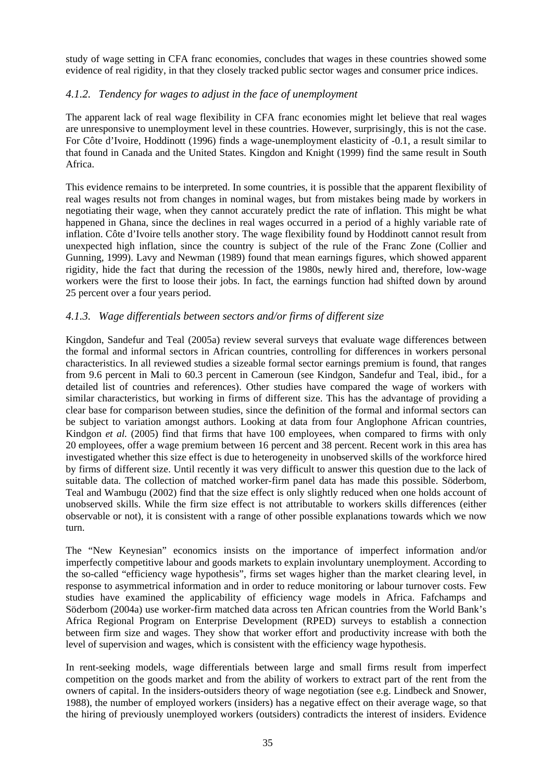study of wage setting in CFA franc economies, concludes that wages in these countries showed some evidence of real rigidity, in that they closely tracked public sector wages and consumer price indices.

#### *4.1.2. Tendency for wages to adjust in the face of unemployment*

The apparent lack of real wage flexibility in CFA franc economies might let believe that real wages are unresponsive to unemployment level in these countries. However, surprisingly, this is not the case. For Côte d'Ivoire, Hoddinott (1996) finds a wage-unemployment elasticity of -0.1, a result similar to that found in Canada and the United States. Kingdon and Knight (1999) find the same result in South Africa.

This evidence remains to be interpreted. In some countries, it is possible that the apparent flexibility of real wages results not from changes in nominal wages, but from mistakes being made by workers in negotiating their wage, when they cannot accurately predict the rate of inflation. This might be what happened in Ghana, since the declines in real wages occurred in a period of a highly variable rate of inflation. Côte d'Ivoire tells another story. The wage flexibility found by Hoddinott cannot result from unexpected high inflation, since the country is subject of the rule of the Franc Zone (Collier and Gunning, 1999). Lavy and Newman (1989) found that mean earnings figures, which showed apparent rigidity, hide the fact that during the recession of the 1980s, newly hired and, therefore, low-wage workers were the first to loose their jobs. In fact, the earnings function had shifted down by around 25 percent over a four years period.

#### *4.1.3. Wage differentials between sectors and/or firms of different size*

Kingdon, Sandefur and Teal (2005a) review several surveys that evaluate wage differences between the formal and informal sectors in African countries, controlling for differences in workers personal characteristics. In all reviewed studies a sizeable formal sector earnings premium is found, that ranges from 9.6 percent in Mali to 60.3 percent in Cameroun (see Kindgon, Sandefur and Teal, ibid., for a detailed list of countries and references). Other studies have compared the wage of workers with similar characteristics, but working in firms of different size. This has the advantage of providing a clear base for comparison between studies, since the definition of the formal and informal sectors can be subject to variation amongst authors. Looking at data from four Anglophone African countries, Kindgon *et al.* (2005) find that firms that have 100 employees, when compared to firms with only 20 employees, offer a wage premium between 16 percent and 38 percent. Recent work in this area has investigated whether this size effect is due to heterogeneity in unobserved skills of the workforce hired by firms of different size. Until recently it was very difficult to answer this question due to the lack of suitable data. The collection of matched worker-firm panel data has made this possible. Söderbom, Teal and Wambugu (2002) find that the size effect is only slightly reduced when one holds account of unobserved skills. While the firm size effect is not attributable to workers skills differences (either observable or not), it is consistent with a range of other possible explanations towards which we now turn.

The "New Keynesian" economics insists on the importance of imperfect information and/or imperfectly competitive labour and goods markets to explain involuntary unemployment. According to the so-called "efficiency wage hypothesis", firms set wages higher than the market clearing level, in response to asymmetrical information and in order to reduce monitoring or labour turnover costs. Few studies have examined the applicability of efficiency wage models in Africa. Fafchamps and Söderbom (2004a) use worker-firm matched data across ten African countries from the World Bank's Africa Regional Program on Enterprise Development (RPED) surveys to establish a connection between firm size and wages. They show that worker effort and productivity increase with both the level of supervision and wages, which is consistent with the efficiency wage hypothesis.

In rent-seeking models, wage differentials between large and small firms result from imperfect competition on the goods market and from the ability of workers to extract part of the rent from the owners of capital. In the insiders-outsiders theory of wage negotiation (see e.g. Lindbeck and Snower, 1988), the number of employed workers (insiders) has a negative effect on their average wage, so that the hiring of previously unemployed workers (outsiders) contradicts the interest of insiders. Evidence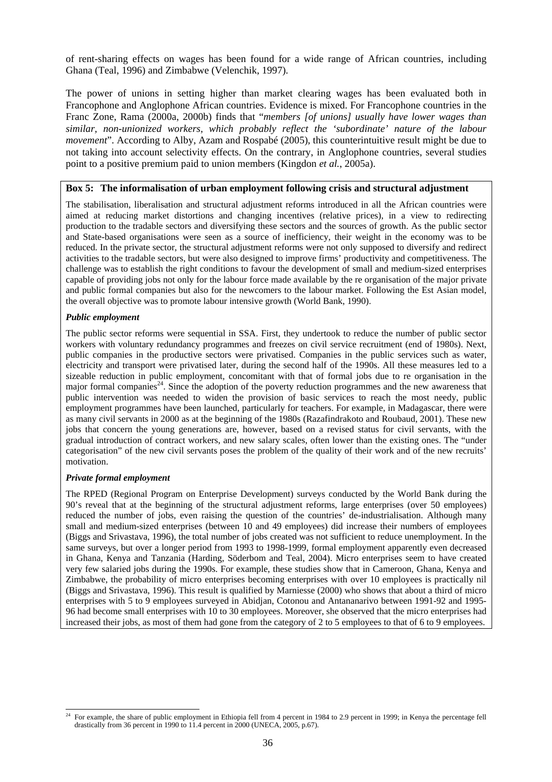of rent-sharing effects on wages has been found for a wide range of African countries, including Ghana (Teal, 1996) and Zimbabwe (Velenchik, 1997).

The power of unions in setting higher than market clearing wages has been evaluated both in Francophone and Anglophone African countries. Evidence is mixed. For Francophone countries in the Franc Zone, Rama (2000a, 2000b) finds that "*members [of unions] usually have lower wages than similar, non-unionized workers, which probably reflect the 'subordinate' nature of the labour movement*". According to Alby, Azam and Rospabé (2005), this counterintuitive result might be due to not taking into account selectivity effects. On the contrary, in Anglophone countries, several studies point to a positive premium paid to union members (Kingdon *et al.*, 2005a).

#### **Box 5: The informalisation of urban employment following crisis and structural adjustment**

The stabilisation, liberalisation and structural adjustment reforms introduced in all the African countries were aimed at reducing market distortions and changing incentives (relative prices), in a view to redirecting production to the tradable sectors and diversifying these sectors and the sources of growth. As the public sector and State-based organisations were seen as a source of inefficiency, their weight in the economy was to be reduced. In the private sector, the structural adjustment reforms were not only supposed to diversify and redirect activities to the tradable sectors, but were also designed to improve firms' productivity and competitiveness. The challenge was to establish the right conditions to favour the development of small and medium-sized enterprises capable of providing jobs not only for the labour force made available by the re organisation of the major private and public formal companies but also for the newcomers to the labour market. Following the Est Asian model, the overall objective was to promote labour intensive growth (World Bank, 1990).

#### *Public employment*

The public sector reforms were sequential in SSA. First, they undertook to reduce the number of public sector workers with voluntary redundancy programmes and freezes on civil service recruitment (end of 1980s). Next, public companies in the productive sectors were privatised. Companies in the public services such as water, electricity and transport were privatised later, during the second half of the 1990s. All these measures led to a sizeable reduction in public employment, concomitant with that of formal jobs due to re organisation in the major formal companies<sup>24</sup>. Since the adoption of the poverty reduction programmes and the new awareness that public intervention was needed to widen the provision of basic services to reach the most needy, public employment programmes have been launched, particularly for teachers. For example, in Madagascar, there were as many civil servants in 2000 as at the beginning of the 1980s (Razafindrakoto and Roubaud, 2001). These new jobs that concern the young generations are, however, based on a revised status for civil servants, with the gradual introduction of contract workers, and new salary scales, often lower than the existing ones. The "under categorisation" of the new civil servants poses the problem of the quality of their work and of the new recruits' motivation.

#### *Private formal employment*

The RPED (Regional Program on Enterprise Development) surveys conducted by the World Bank during the 90's reveal that at the beginning of the structural adjustment reforms, large enterprises (over 50 employees) reduced the number of jobs, even raising the question of the countries' de-industrialisation. Although many small and medium-sized enterprises (between 10 and 49 employees) did increase their numbers of employees (Biggs and Srivastava, 1996), the total number of jobs created was not sufficient to reduce unemployment. In the same surveys, but over a longer period from 1993 to 1998-1999, formal employment apparently even decreased in Ghana, Kenya and Tanzania (Harding, Söderbom and Teal, 2004). Micro enterprises seem to have created very few salaried jobs during the 1990s. For example, these studies show that in Cameroon, Ghana, Kenya and Zimbabwe, the probability of micro enterprises becoming enterprises with over 10 employees is practically nil (Biggs and Srivastava, 1996). This result is qualified by Marniesse (2000) who shows that about a third of micro enterprises with 5 to 9 employees surveyed in Abidjan, Cotonou and Antananarivo between 1991-92 and 1995- 96 had become small enterprises with 10 to 30 employees. Moreover, she observed that the micro enterprises had increased their jobs, as most of them had gone from the category of 2 to 5 employees to that of 6 to 9 employees.

l 24 For example, the share of public employment in Ethiopia fell from 4 percent in 1984 to 2.9 percent in 1999; in Kenya the percentage fell drastically from 36 percent in 1990 to 11.4 percent in 2000 (UNECA, 2005, p.67).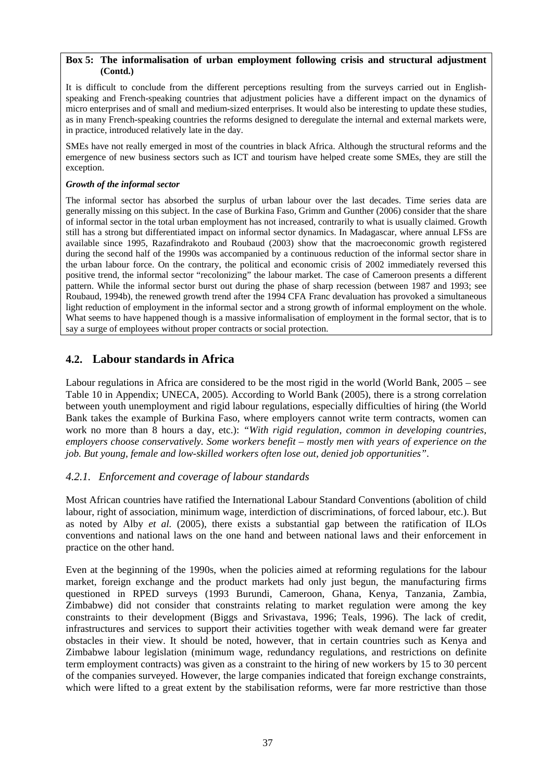#### **Box 5: The informalisation of urban employment following crisis and structural adjustment (Contd.)**

It is difficult to conclude from the different perceptions resulting from the surveys carried out in Englishspeaking and French-speaking countries that adjustment policies have a different impact on the dynamics of micro enterprises and of small and medium-sized enterprises. It would also be interesting to update these studies, as in many French-speaking countries the reforms designed to deregulate the internal and external markets were, in practice, introduced relatively late in the day.

SMEs have not really emerged in most of the countries in black Africa. Although the structural reforms and the emergence of new business sectors such as ICT and tourism have helped create some SMEs, they are still the exception.

#### *Growth of the informal sector*

The informal sector has absorbed the surplus of urban labour over the last decades. Time series data are generally missing on this subject. In the case of Burkina Faso, Grimm and Gunther (2006) consider that the share of informal sector in the total urban employment has not increased, contrarily to what is usually claimed. Growth still has a strong but differentiated impact on informal sector dynamics. In Madagascar, where annual LFSs are available since 1995, Razafindrakoto and Roubaud (2003) show that the macroeconomic growth registered during the second half of the 1990s was accompanied by a continuous reduction of the informal sector share in the urban labour force. On the contrary, the political and economic crisis of 2002 immediately reversed this positive trend, the informal sector "recolonizing" the labour market. The case of Cameroon presents a different pattern. While the informal sector burst out during the phase of sharp recession (between 1987 and 1993; see Roubaud, 1994b), the renewed growth trend after the 1994 CFA Franc devaluation has provoked a simultaneous light reduction of employment in the informal sector and a strong growth of informal employment on the whole. What seems to have happened though is a massive informalisation of employment in the formal sector, that is to say a surge of employees without proper contracts or social protection.

# **4.2. Labour standards in Africa**

Labour regulations in Africa are considered to be the most rigid in the world (World Bank, 2005 – see Table 10 in Appendix; UNECA, 2005). According to World Bank (2005), there is a strong correlation between youth unemployment and rigid labour regulations, especially difficulties of hiring (the World Bank takes the example of Burkina Faso, where employers cannot write term contracts, women can work no more than 8 hours a day, etc.): *"With rigid regulation, common in developing countries, employers choose conservatively. Some workers benefit – mostly men with years of experience on the job. But young, female and low-skilled workers often lose out, denied job opportunities"*.

# *4.2.1. Enforcement and coverage of labour standards*

Most African countries have ratified the International Labour Standard Conventions (abolition of child labour, right of association, minimum wage, interdiction of discriminations, of forced labour, etc.). But as noted by Alby *et al.* (2005), there exists a substantial gap between the ratification of ILOs conventions and national laws on the one hand and between national laws and their enforcement in practice on the other hand.

Even at the beginning of the 1990s, when the policies aimed at reforming regulations for the labour market, foreign exchange and the product markets had only just begun, the manufacturing firms questioned in RPED surveys (1993 Burundi, Cameroon, Ghana, Kenya, Tanzania, Zambia, Zimbabwe) did not consider that constraints relating to market regulation were among the key constraints to their development (Biggs and Srivastava, 1996; Teals, 1996). The lack of credit, infrastructures and services to support their activities together with weak demand were far greater obstacles in their view. It should be noted, however, that in certain countries such as Kenya and Zimbabwe labour legislation (minimum wage, redundancy regulations, and restrictions on definite term employment contracts) was given as a constraint to the hiring of new workers by 15 to 30 percent of the companies surveyed. However, the large companies indicated that foreign exchange constraints, which were lifted to a great extent by the stabilisation reforms, were far more restrictive than those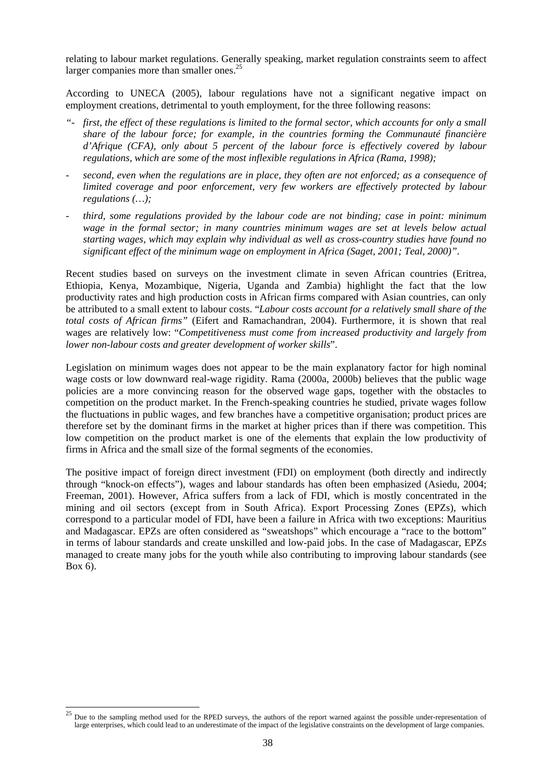relating to labour market regulations. Generally speaking, market regulation constraints seem to affect larger companies more than smaller ones. $^{25}$ 

According to UNECA (2005), labour regulations have not a significant negative impact on employment creations, detrimental to youth employment, for the three following reasons:

- *"- first, the effect of these regulations is limited to the formal sector, which accounts for only a small share of the labour force; for example, in the countries forming the Communauté financière d'Afrique (CFA), only about 5 percent of the labour force is effectively covered by labour regulations, which are some of the most inflexible regulations in Africa (Rama, 1998);*
- *second, even when the regulations are in place, they often are not enforced; as a consequence of limited coverage and poor enforcement, very few workers are effectively protected by labour regulations (…);*
- *third, some regulations provided by the labour code are not binding; case in point: minimum wage in the formal sector; in many countries minimum wages are set at levels below actual starting wages, which may explain why individual as well as cross-country studies have found no significant effect of the minimum wage on employment in Africa (Saget, 2001; Teal, 2000)".*

Recent studies based on surveys on the investment climate in seven African countries (Eritrea, Ethiopia, Kenya, Mozambique, Nigeria, Uganda and Zambia) highlight the fact that the low productivity rates and high production costs in African firms compared with Asian countries, can only be attributed to a small extent to labour costs. "*Labour costs account for a relatively small share of the total costs of African firms"* (Eifert and Ramachandran, 2004). Furthermore, it is shown that real wages are relatively low: "*Competitiveness must come from increased productivity and largely from lower non-labour costs and greater development of worker skills*".

Legislation on minimum wages does not appear to be the main explanatory factor for high nominal wage costs or low downward real-wage rigidity. Rama (2000a, 2000b) believes that the public wage policies are a more convincing reason for the observed wage gaps, together with the obstacles to competition on the product market. In the French-speaking countries he studied, private wages follow the fluctuations in public wages, and few branches have a competitive organisation; product prices are therefore set by the dominant firms in the market at higher prices than if there was competition. This low competition on the product market is one of the elements that explain the low productivity of firms in Africa and the small size of the formal segments of the economies.

The positive impact of foreign direct investment (FDI) on employment (both directly and indirectly through "knock-on effects"), wages and labour standards has often been emphasized (Asiedu, 2004; Freeman, 2001). However, Africa suffers from a lack of FDI, which is mostly concentrated in the mining and oil sectors (except from in South Africa). Export Processing Zones (EPZs), which correspond to a particular model of FDI, have been a failure in Africa with two exceptions: Mauritius and Madagascar. EPZs are often considered as "sweatshops" which encourage a "race to the bottom" in terms of labour standards and create unskilled and low-paid jobs. In the case of Madagascar, EPZs managed to create many jobs for the youth while also contributing to improving labour standards (see Box 6).

 $25$ Due to the sampling method used for the RPED surveys, the authors of the report warned against the possible under-representation of large enterprises, which could lead to an underestimate of the impact of the legislative constraints on the development of large companies.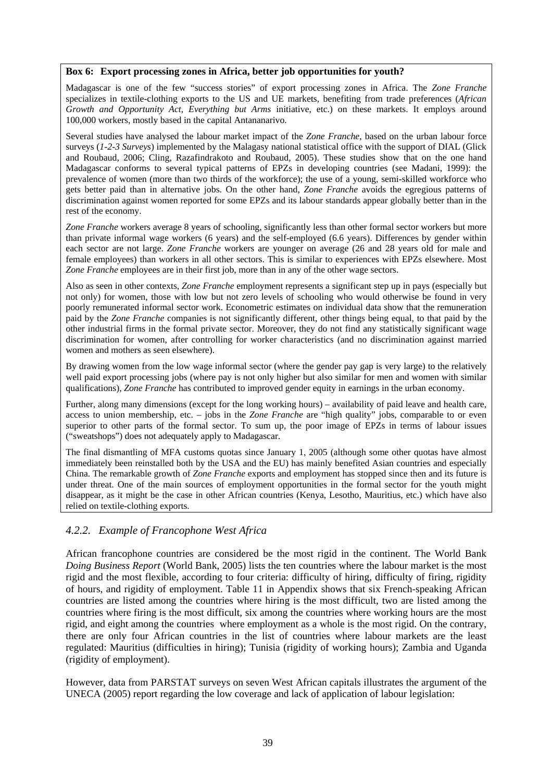#### **Box 6: Export processing zones in Africa, better job opportunities for youth?**

Madagascar is one of the few "success stories" of export processing zones in Africa. The *Zone Franche* specializes in textile-clothing exports to the US and UE markets, benefiting from trade preferences (*African Growth and Opportunity Act*, *Everything but Arms* initiative, etc.) on these markets. It employs around 100,000 workers, mostly based in the capital Antananarivo.

Several studies have analysed the labour market impact of the *Zone Franche*, based on the urban labour force surveys (*1-2-3 Surveys*) implemented by the Malagasy national statistical office with the support of DIAL (Glick and Roubaud, 2006; Cling, Razafindrakoto and Roubaud, 2005). These studies show that on the one hand Madagascar conforms to several typical patterns of EPZs in developing countries (see Madani, 1999): the prevalence of women (more than two thirds of the workforce); the use of a young, semi-skilled workforce who gets better paid than in alternative jobs. On the other hand, *Zone Franche* avoids the egregious patterns of discrimination against women reported for some EPZs and its labour standards appear globally better than in the rest of the economy.

*Zone Franche* workers average 8 years of schooling, significantly less than other formal sector workers but more than private informal wage workers (6 years) and the self-employed (6.6 years). Differences by gender within each sector are not large. *Zone Franche* workers are younger on average (26 and 28 years old for male and female employees) than workers in all other sectors. This is similar to experiences with EPZs elsewhere. Most *Zone Franche* employees are in their first job, more than in any of the other wage sectors.

Also as seen in other contexts, *Zone Franche* employment represents a significant step up in pays (especially but not only) for women, those with low but not zero levels of schooling who would otherwise be found in very poorly remunerated informal sector work. Econometric estimates on individual data show that the remuneration paid by the *Zone Franche* companies is not significantly different, other things being equal, to that paid by the other industrial firms in the formal private sector. Moreover, they do not find any statistically significant wage discrimination for women, after controlling for worker characteristics (and no discrimination against married women and mothers as seen elsewhere).

By drawing women from the low wage informal sector (where the gender pay gap is very large) to the relatively well paid export processing jobs (where pay is not only higher but also similar for men and women with similar qualifications), *Zone Franche* has contributed to improved gender equity in earnings in the urban economy.

Further, along many dimensions (except for the long working hours) – availability of paid leave and health care, access to union membership, etc. – jobs in the *Zone Franche* are "high quality" jobs, comparable to or even superior to other parts of the formal sector. To sum up, the poor image of EPZs in terms of labour issues ("sweatshops") does not adequately apply to Madagascar.

The final dismantling of MFA customs quotas since January 1, 2005 (although some other quotas have almost immediately been reinstalled both by the USA and the EU) has mainly benefited Asian countries and especially China. The remarkable growth of *Zone Franche* exports and employment has stopped since then and its future is under threat. One of the main sources of employment opportunities in the formal sector for the youth might disappear, as it might be the case in other African countries (Kenya, Lesotho, Mauritius, etc.) which have also relied on textile-clothing exports.

# *4.2.2. Example of Francophone West Africa*

African francophone countries are considered be the most rigid in the continent. The World Bank *Doing Business Report* (World Bank, 2005) lists the ten countries where the labour market is the most rigid and the most flexible, according to four criteria: difficulty of hiring, difficulty of firing, rigidity of hours, and rigidity of employment. Table 11 in Appendix shows that six French-speaking African countries are listed among the countries where hiring is the most difficult, two are listed among the countries where firing is the most difficult, six among the countries where working hours are the most rigid, and eight among the countries where employment as a whole is the most rigid. On the contrary, there are only four African countries in the list of countries where labour markets are the least regulated: Mauritius (difficulties in hiring); Tunisia (rigidity of working hours); Zambia and Uganda (rigidity of employment).

However, data from PARSTAT surveys on seven West African capitals illustrates the argument of the UNECA (2005) report regarding the low coverage and lack of application of labour legislation: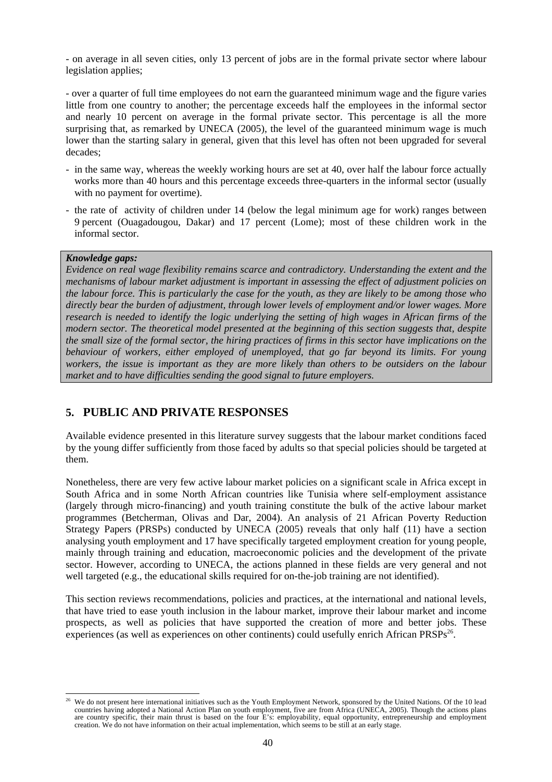- on average in all seven cities, only 13 percent of jobs are in the formal private sector where labour legislation applies;

- over a quarter of full time employees do not earn the guaranteed minimum wage and the figure varies little from one country to another; the percentage exceeds half the employees in the informal sector and nearly 10 percent on average in the formal private sector. This percentage is all the more surprising that, as remarked by UNECA (2005), the level of the guaranteed minimum wage is much lower than the starting salary in general, given that this level has often not been upgraded for several decades;

- in the same way, whereas the weekly working hours are set at 40, over half the labour force actually works more than 40 hours and this percentage exceeds three-quarters in the informal sector (usually with no payment for overtime).
- the rate of activity of children under 14 (below the legal minimum age for work) ranges between 9 percent (Ouagadougou, Dakar) and 17 percent (Lome); most of these children work in the informal sector.

#### *Knowledge gaps:*

*Evidence on real wage flexibility remains scarce and contradictory. Understanding the extent and the mechanisms of labour market adjustment is important in assessing the effect of adjustment policies on the labour force. This is particularly the case for the youth, as they are likely to be among those who directly bear the burden of adjustment, through lower levels of employment and/or lower wages. More research is needed to identify the logic underlying the setting of high wages in African firms of the modern sector. The theoretical model presented at the beginning of this section suggests that, despite the small size of the formal sector, the hiring practices of firms in this sector have implications on the behaviour of workers, either employed of unemployed, that go far beyond its limits. For young workers, the issue is important as they are more likely than others to be outsiders on the labour market and to have difficulties sending the good signal to future employers.* 

# **5. PUBLIC AND PRIVATE RESPONSES**

Available evidence presented in this literature survey suggests that the labour market conditions faced by the young differ sufficiently from those faced by adults so that special policies should be targeted at them.

Nonetheless, there are very few active labour market policies on a significant scale in Africa except in South Africa and in some North African countries like Tunisia where self-employment assistance (largely through micro-financing) and youth training constitute the bulk of the active labour market programmes (Betcherman, Olivas and Dar, 2004). An analysis of 21 African Poverty Reduction Strategy Papers (PRSPs) conducted by UNECA (2005) reveals that only half (11) have a section analysing youth employment and 17 have specifically targeted employment creation for young people, mainly through training and education, macroeconomic policies and the development of the private sector. However, according to UNECA, the actions planned in these fields are very general and not well targeted (e.g., the educational skills required for on-the-job training are not identified).

This section reviews recommendations, policies and practices, at the international and national levels, that have tried to ease youth inclusion in the labour market, improve their labour market and income prospects, as well as policies that have supported the creation of more and better jobs. These experiences (as well as experiences on other continents) could usefully enrich African PRSPs<sup>26</sup>.

 $26$ 26 We do not present here international initiatives such as the Youth Employment Network, sponsored by the United Nations. Of the 10 lead countries having adopted a National Action Plan on youth employment, five are from Africa (UNECA, 2005). Though the actions plans are country specific, their main thrust is based on the four E's: employability, equal opportunity, entrepreneurship and employment creation. We do not have information on their actual implementation, which seems to be still at an early stage.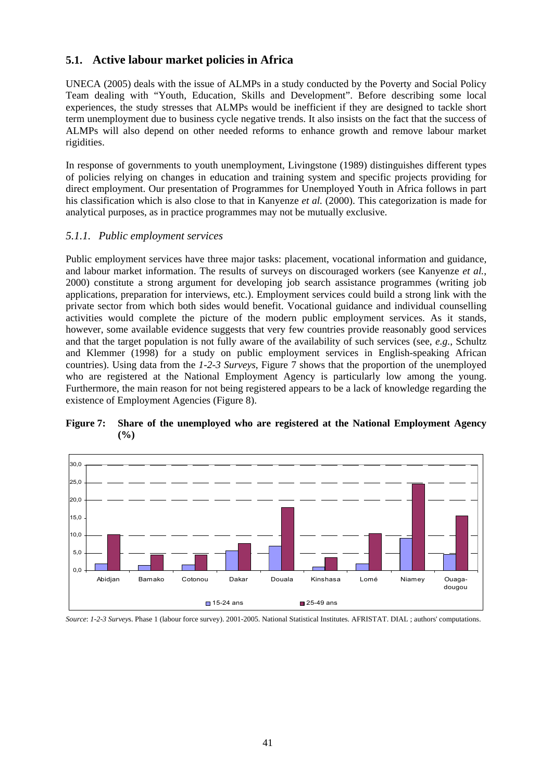# **5.1. Active labour market policies in Africa**

UNECA (2005) deals with the issue of ALMPs in a study conducted by the Poverty and Social Policy Team dealing with "Youth, Education, Skills and Development". Before describing some local experiences, the study stresses that ALMPs would be inefficient if they are designed to tackle short term unemployment due to business cycle negative trends. It also insists on the fact that the success of ALMPs will also depend on other needed reforms to enhance growth and remove labour market rigidities.

In response of governments to youth unemployment, Livingstone (1989) distinguishes different types of policies relying on changes in education and training system and specific projects providing for direct employment. Our presentation of Programmes for Unemployed Youth in Africa follows in part his classification which is also close to that in Kanyenze *et al.* (2000). This categorization is made for analytical purposes, as in practice programmes may not be mutually exclusive.

## *5.1.1. Public employment services*

Public employment services have three major tasks: placement, vocational information and guidance, and labour market information. The results of surveys on discouraged workers (see Kanyenze *et al.*, 2000) constitute a strong argument for developing job search assistance programmes (writing job applications, preparation for interviews, etc.). Employment services could build a strong link with the private sector from which both sides would benefit. Vocational guidance and individual counselling activities would complete the picture of the modern public employment services. As it stands, however, some available evidence suggests that very few countries provide reasonably good services and that the target population is not fully aware of the availability of such services (see, *e.g.*, Schultz and Klemmer (1998) for a study on public employment services in English-speaking African countries). Using data from the *1-2-3 Surveys*, Figure 7 shows that the proportion of the unemployed who are registered at the National Employment Agency is particularly low among the young. Furthermore, the main reason for not being registered appears to be a lack of knowledge regarding the existence of Employment Agencies (Figure 8).





*Source*: *1-2-3 Survey*s. Phase 1 (labour force survey). 2001-2005. National Statistical Institutes. AFRISTAT. DIAL ; authors' computations.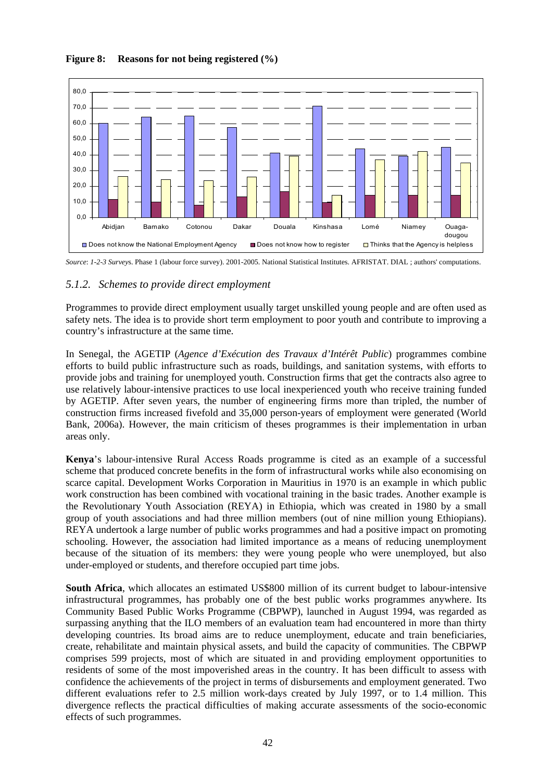



*Source*: *1-2-3 Survey*s. Phase 1 (labour force survey). 2001-2005. National Statistical Institutes. AFRISTAT. DIAL ; authors' computations.

# *5.1.2. Schemes to provide direct employment*

Programmes to provide direct employment usually target unskilled young people and are often used as safety nets. The idea is to provide short term employment to poor youth and contribute to improving a country's infrastructure at the same time.

In Senegal, the AGETIP (*Agence d'Exécution des Travaux d'Intérêt Public*) programmes combine efforts to build public infrastructure such as roads, buildings, and sanitation systems, with efforts to provide jobs and training for unemployed youth. Construction firms that get the contracts also agree to use relatively labour-intensive practices to use local inexperienced youth who receive training funded by AGETIP. After seven years, the number of engineering firms more than tripled, the number of construction firms increased fivefold and 35,000 person-years of employment were generated (World Bank, 2006a). However, the main criticism of theses programmes is their implementation in urban areas only.

**Kenya**'s labour-intensive Rural Access Roads programme is cited as an example of a successful scheme that produced concrete benefits in the form of infrastructural works while also economising on scarce capital. Development Works Corporation in Mauritius in 1970 is an example in which public work construction has been combined with vocational training in the basic trades. Another example is the Revolutionary Youth Association (REYA) in Ethiopia, which was created in 1980 by a small group of youth associations and had three million members (out of nine million young Ethiopians). REYA undertook a large number of public works programmes and had a positive impact on promoting schooling. However, the association had limited importance as a means of reducing unemployment because of the situation of its members: they were young people who were unemployed, but also under-employed or students, and therefore occupied part time jobs.

**South Africa**, which allocates an estimated US\$800 million of its current budget to labour-intensive infrastructural programmes, has probably one of the best public works programmes anywhere. Its Community Based Public Works Programme (CBPWP), launched in August 1994, was regarded as surpassing anything that the ILO members of an evaluation team had encountered in more than thirty developing countries. Its broad aims are to reduce unemployment, educate and train beneficiaries, create, rehabilitate and maintain physical assets, and build the capacity of communities. The CBPWP comprises 599 projects, most of which are situated in and providing employment opportunities to residents of some of the most impoverished areas in the country. It has been difficult to assess with confidence the achievements of the project in terms of disbursements and employment generated. Two different evaluations refer to 2.5 million work-days created by July 1997, or to 1.4 million. This divergence reflects the practical difficulties of making accurate assessments of the socio-economic effects of such programmes.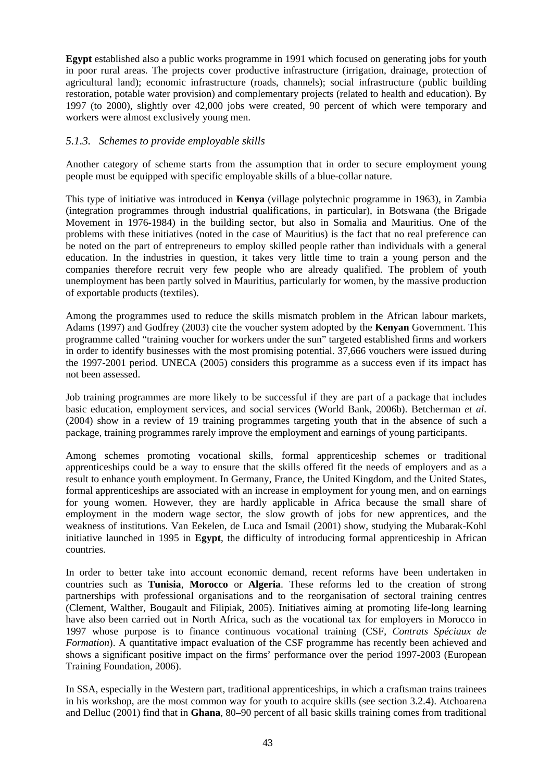**Egypt** established also a public works programme in 1991 which focused on generating jobs for youth in poor rural areas. The projects cover productive infrastructure (irrigation, drainage, protection of agricultural land); economic infrastructure (roads, channels); social infrastructure (public building restoration, potable water provision) and complementary projects (related to health and education). By 1997 (to 2000), slightly over 42,000 jobs were created, 90 percent of which were temporary and workers were almost exclusively young men.

## *5.1.3. Schemes to provide employable skills*

Another category of scheme starts from the assumption that in order to secure employment young people must be equipped with specific employable skills of a blue-collar nature.

This type of initiative was introduced in **Kenya** (village polytechnic programme in 1963), in Zambia (integration programmes through industrial qualifications, in particular), in Botswana (the Brigade Movement in 1976-1984) in the building sector, but also in Somalia and Mauritius. One of the problems with these initiatives (noted in the case of Mauritius) is the fact that no real preference can be noted on the part of entrepreneurs to employ skilled people rather than individuals with a general education. In the industries in question, it takes very little time to train a young person and the companies therefore recruit very few people who are already qualified. The problem of youth unemployment has been partly solved in Mauritius, particularly for women, by the massive production of exportable products (textiles).

Among the programmes used to reduce the skills mismatch problem in the African labour markets, Adams (1997) and Godfrey (2003) cite the voucher system adopted by the **Kenyan** Government. This programme called "training voucher for workers under the sun" targeted established firms and workers in order to identify businesses with the most promising potential. 37,666 vouchers were issued during the 1997-2001 period. UNECA (2005) considers this programme as a success even if its impact has not been assessed.

Job training programmes are more likely to be successful if they are part of a package that includes basic education, employment services, and social services (World Bank, 2006b). Betcherman *et al*. (2004) show in a review of 19 training programmes targeting youth that in the absence of such a package, training programmes rarely improve the employment and earnings of young participants.

Among schemes promoting vocational skills, formal apprenticeship schemes or traditional apprenticeships could be a way to ensure that the skills offered fit the needs of employers and as a result to enhance youth employment. In Germany, France, the United Kingdom, and the United States, formal apprenticeships are associated with an increase in employment for young men, and on earnings for young women. However, they are hardly applicable in Africa because the small share of employment in the modern wage sector, the slow growth of jobs for new apprentices, and the weakness of institutions. Van Eekelen, de Luca and Ismail (2001) show, studying the Mubarak-Kohl initiative launched in 1995 in **Egypt**, the difficulty of introducing formal apprenticeship in African countries.

In order to better take into account economic demand, recent reforms have been undertaken in countries such as **Tunisia**, **Morocco** or **Algeria**. These reforms led to the creation of strong partnerships with professional organisations and to the reorganisation of sectoral training centres (Clement, Walther, Bougault and Filipiak, 2005). Initiatives aiming at promoting life-long learning have also been carried out in North Africa, such as the vocational tax for employers in Morocco in 1997 whose purpose is to finance continuous vocational training (CSF, *Contrats Spéciaux de Formation*). A quantitative impact evaluation of the CSF programme has recently been achieved and shows a significant positive impact on the firms' performance over the period 1997-2003 (European Training Foundation, 2006).

In SSA, especially in the Western part, traditional apprenticeships, in which a craftsman trains trainees in his workshop, are the most common way for youth to acquire skills (see section 3.2.4). Atchoarena and Delluc (2001) find that in **Ghana**, 80–90 percent of all basic skills training comes from traditional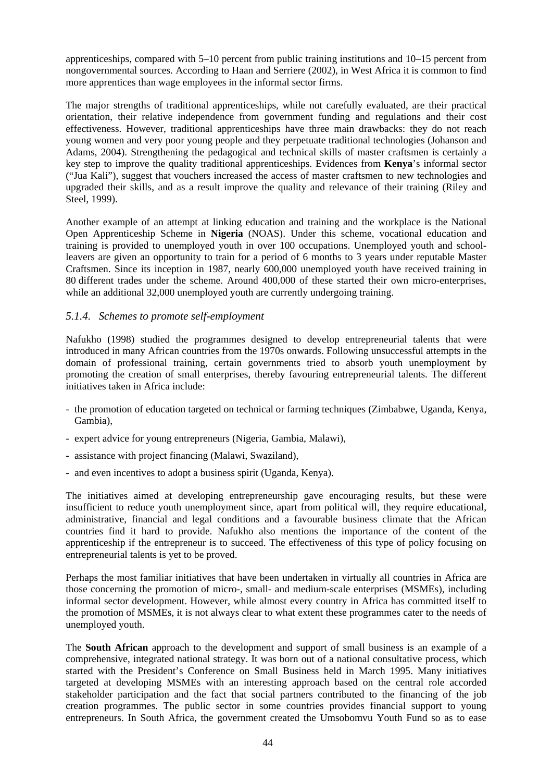apprenticeships, compared with 5–10 percent from public training institutions and 10–15 percent from nongovernmental sources. According to Haan and Serriere (2002), in West Africa it is common to find more apprentices than wage employees in the informal sector firms.

The major strengths of traditional apprenticeships, while not carefully evaluated, are their practical orientation, their relative independence from government funding and regulations and their cost effectiveness. However, traditional apprenticeships have three main drawbacks: they do not reach young women and very poor young people and they perpetuate traditional technologies (Johanson and Adams, 2004). Strengthening the pedagogical and technical skills of master craftsmen is certainly a key step to improve the quality traditional apprenticeships. Evidences from **Kenya**'s informal sector ("Jua Kali"), suggest that vouchers increased the access of master craftsmen to new technologies and upgraded their skills, and as a result improve the quality and relevance of their training (Riley and Steel, 1999).

Another example of an attempt at linking education and training and the workplace is the National Open Apprenticeship Scheme in **Nigeria** (NOAS). Under this scheme, vocational education and training is provided to unemployed youth in over 100 occupations. Unemployed youth and schoolleavers are given an opportunity to train for a period of 6 months to 3 years under reputable Master Craftsmen. Since its inception in 1987, nearly 600,000 unemployed youth have received training in 80 different trades under the scheme. Around 400,000 of these started their own micro-enterprises, while an additional 32,000 unemployed youth are currently undergoing training.

## *5.1.4. Schemes to promote self-employment*

Nafukho (1998) studied the programmes designed to develop entrepreneurial talents that were introduced in many African countries from the 1970s onwards. Following unsuccessful attempts in the domain of professional training, certain governments tried to absorb youth unemployment by promoting the creation of small enterprises, thereby favouring entrepreneurial talents. The different initiatives taken in Africa include:

- the promotion of education targeted on technical or farming techniques (Zimbabwe, Uganda, Kenya, Gambia),
- expert advice for young entrepreneurs (Nigeria, Gambia, Malawi),
- assistance with project financing (Malawi, Swaziland),
- and even incentives to adopt a business spirit (Uganda, Kenya).

The initiatives aimed at developing entrepreneurship gave encouraging results, but these were insufficient to reduce youth unemployment since, apart from political will, they require educational, administrative, financial and legal conditions and a favourable business climate that the African countries find it hard to provide. Nafukho also mentions the importance of the content of the apprenticeship if the entrepreneur is to succeed. The effectiveness of this type of policy focusing on entrepreneurial talents is yet to be proved.

Perhaps the most familiar initiatives that have been undertaken in virtually all countries in Africa are those concerning the promotion of micro-, small- and medium-scale enterprises (MSMEs), including informal sector development. However, while almost every country in Africa has committed itself to the promotion of MSMEs, it is not always clear to what extent these programmes cater to the needs of unemployed youth.

The **South African** approach to the development and support of small business is an example of a comprehensive, integrated national strategy. It was born out of a national consultative process, which started with the President's Conference on Small Business held in March 1995. Many initiatives targeted at developing MSMEs with an interesting approach based on the central role accorded stakeholder participation and the fact that social partners contributed to the financing of the job creation programmes. The public sector in some countries provides financial support to young entrepreneurs. In South Africa, the government created the Umsobomvu Youth Fund so as to ease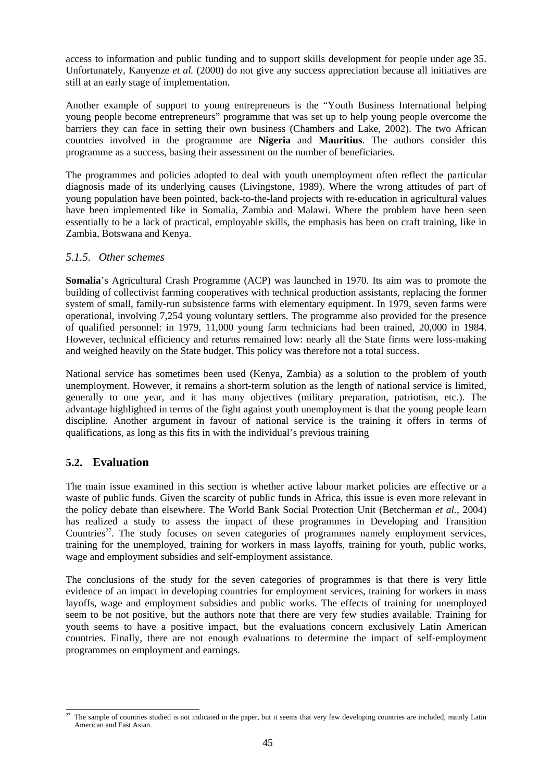access to information and public funding and to support skills development for people under age 35. Unfortunately, Kanyenze *et al.* (2000) do not give any success appreciation because all initiatives are still at an early stage of implementation.

Another example of support to young entrepreneurs is the "Youth Business International helping young people become entrepreneurs" programme that was set up to help young people overcome the barriers they can face in setting their own business (Chambers and Lake, 2002). The two African countries involved in the programme are **Nigeria** and **Mauritius**. The authors consider this programme as a success, basing their assessment on the number of beneficiaries.

The programmes and policies adopted to deal with youth unemployment often reflect the particular diagnosis made of its underlying causes (Livingstone, 1989). Where the wrong attitudes of part of young population have been pointed, back-to-the-land projects with re-education in agricultural values have been implemented like in Somalia, Zambia and Malawi. Where the problem have been seen essentially to be a lack of practical, employable skills, the emphasis has been on craft training, like in Zambia, Botswana and Kenya.

## *5.1.5. Other schemes*

**Somalia**'s Agricultural Crash Programme (ACP) was launched in 1970. Its aim was to promote the building of collectivist farming cooperatives with technical production assistants, replacing the former system of small, family-run subsistence farms with elementary equipment. In 1979, seven farms were operational, involving 7,254 young voluntary settlers. The programme also provided for the presence of qualified personnel: in 1979, 11,000 young farm technicians had been trained, 20,000 in 1984. However, technical efficiency and returns remained low: nearly all the State firms were loss-making and weighed heavily on the State budget. This policy was therefore not a total success.

National service has sometimes been used (Kenya, Zambia) as a solution to the problem of youth unemployment. However, it remains a short-term solution as the length of national service is limited, generally to one year, and it has many objectives (military preparation, patriotism, etc.). The advantage highlighted in terms of the fight against youth unemployment is that the young people learn discipline. Another argument in favour of national service is the training it offers in terms of qualifications, as long as this fits in with the individual's previous training

# **5.2. Evaluation**

The main issue examined in this section is whether active labour market policies are effective or a waste of public funds. Given the scarcity of public funds in Africa, this issue is even more relevant in the policy debate than elsewhere. The World Bank Social Protection Unit (Betcherman *et al.*, 2004) has realized a study to assess the impact of these programmes in Developing and Transition Countries<sup>27</sup>. The study focuses on seven categories of programmes namely employment services, training for the unemployed, training for workers in mass layoffs, training for youth, public works, wage and employment subsidies and self-employment assistance.

The conclusions of the study for the seven categories of programmes is that there is very little evidence of an impact in developing countries for employment services, training for workers in mass layoffs, wage and employment subsidies and public works. The effects of training for unemployed seem to be not positive, but the authors note that there are very few studies available. Training for youth seems to have a positive impact, but the evaluations concern exclusively Latin American countries. Finally, there are not enough evaluations to determine the impact of self-employment programmes on employment and earnings.

 $27$ The sample of countries studied is not indicated in the paper, but it seems that very few developing countries are included, mainly Latin American and East Asian.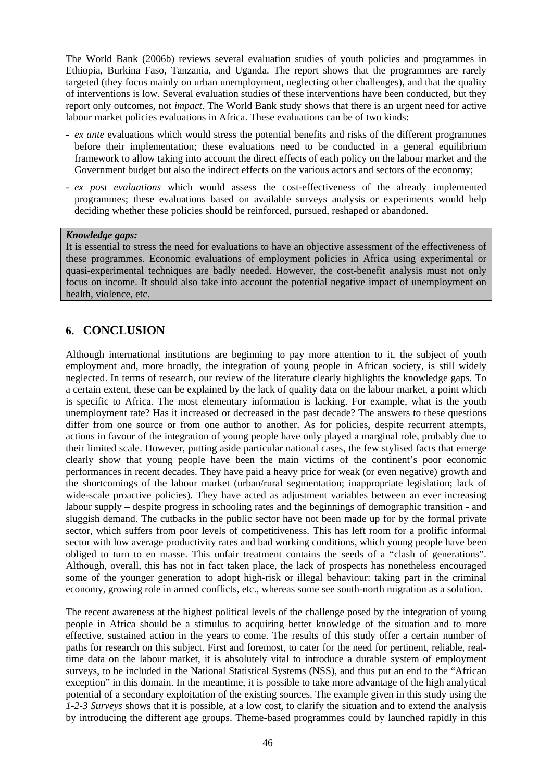The World Bank (2006b) reviews several evaluation studies of youth policies and programmes in Ethiopia, Burkina Faso, Tanzania, and Uganda. The report shows that the programmes are rarely targeted (they focus mainly on urban unemployment, neglecting other challenges), and that the quality of interventions is low. Several evaluation studies of these interventions have been conducted, but they report only outcomes, not *impact*. The World Bank study shows that there is an urgent need for active labour market policies evaluations in Africa. These evaluations can be of two kinds:

- *ex ante* evaluations which would stress the potential benefits and risks of the different programmes before their implementation; these evaluations need to be conducted in a general equilibrium framework to allow taking into account the direct effects of each policy on the labour market and the Government budget but also the indirect effects on the various actors and sectors of the economy;
- *ex post evaluations* which would assess the cost-effectiveness of the already implemented programmes; these evaluations based on available surveys analysis or experiments would help deciding whether these policies should be reinforced, pursued, reshaped or abandoned.

#### *Knowledge gaps:*

It is essential to stress the need for evaluations to have an objective assessment of the effectiveness of these programmes. Economic evaluations of employment policies in Africa using experimental or quasi-experimental techniques are badly needed. However, the cost-benefit analysis must not only focus on income. It should also take into account the potential negative impact of unemployment on health, violence, etc.

# **6. CONCLUSION**

Although international institutions are beginning to pay more attention to it, the subject of youth employment and, more broadly, the integration of young people in African society, is still widely neglected. In terms of research, our review of the literature clearly highlights the knowledge gaps. To a certain extent, these can be explained by the lack of quality data on the labour market, a point which is specific to Africa. The most elementary information is lacking. For example, what is the youth unemployment rate? Has it increased or decreased in the past decade? The answers to these questions differ from one source or from one author to another. As for policies, despite recurrent attempts, actions in favour of the integration of young people have only played a marginal role, probably due to their limited scale. However, putting aside particular national cases, the few stylised facts that emerge clearly show that young people have been the main victims of the continent's poor economic performances in recent decades. They have paid a heavy price for weak (or even negative) growth and the shortcomings of the labour market (urban/rural segmentation; inappropriate legislation; lack of wide-scale proactive policies). They have acted as adjustment variables between an ever increasing labour supply – despite progress in schooling rates and the beginnings of demographic transition - and sluggish demand. The cutbacks in the public sector have not been made up for by the formal private sector, which suffers from poor levels of competitiveness. This has left room for a prolific informal sector with low average productivity rates and bad working conditions, which young people have been obliged to turn to en masse. This unfair treatment contains the seeds of a "clash of generations". Although, overall, this has not in fact taken place, the lack of prospects has nonetheless encouraged some of the younger generation to adopt high-risk or illegal behaviour: taking part in the criminal economy, growing role in armed conflicts, etc., whereas some see south-north migration as a solution.

The recent awareness at the highest political levels of the challenge posed by the integration of young people in Africa should be a stimulus to acquiring better knowledge of the situation and to more effective, sustained action in the years to come. The results of this study offer a certain number of paths for research on this subject. First and foremost, to cater for the need for pertinent, reliable, realtime data on the labour market, it is absolutely vital to introduce a durable system of employment surveys, to be included in the National Statistical Systems (NSS), and thus put an end to the "African exception" in this domain. In the meantime, it is possible to take more advantage of the high analytical potential of a secondary exploitation of the existing sources. The example given in this study using the *1-2-3 Surveys* shows that it is possible, at a low cost, to clarify the situation and to extend the analysis by introducing the different age groups. Theme-based programmes could by launched rapidly in this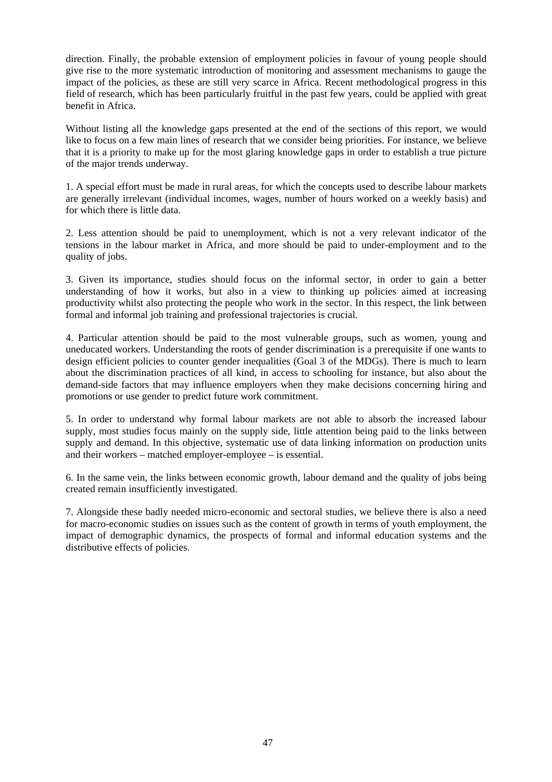direction. Finally, the probable extension of employment policies in favour of young people should give rise to the more systematic introduction of monitoring and assessment mechanisms to gauge the impact of the policies, as these are still very scarce in Africa. Recent methodological progress in this field of research, which has been particularly fruitful in the past few years, could be applied with great benefit in Africa.

Without listing all the knowledge gaps presented at the end of the sections of this report, we would like to focus on a few main lines of research that we consider being priorities. For instance, we believe that it is a priority to make up for the most glaring knowledge gaps in order to establish a true picture of the major trends underway.

1. A special effort must be made in rural areas, for which the concepts used to describe labour markets are generally irrelevant (individual incomes, wages, number of hours worked on a weekly basis) and for which there is little data.

2. Less attention should be paid to unemployment, which is not a very relevant indicator of the tensions in the labour market in Africa, and more should be paid to under-employment and to the quality of jobs.

3. Given its importance, studies should focus on the informal sector, in order to gain a better understanding of how it works, but also in a view to thinking up policies aimed at increasing productivity whilst also protecting the people who work in the sector. In this respect, the link between formal and informal job training and professional trajectories is crucial.

4. Particular attention should be paid to the most vulnerable groups, such as women, young and uneducated workers. Understanding the roots of gender discrimination is a prerequisite if one wants to design efficient policies to counter gender inequalities (Goal 3 of the MDGs). There is much to learn about the discrimination practices of all kind, in access to schooling for instance, but also about the demand-side factors that may influence employers when they make decisions concerning hiring and promotions or use gender to predict future work commitment.

5. In order to understand why formal labour markets are not able to absorb the increased labour supply, most studies focus mainly on the supply side, little attention being paid to the links between supply and demand. In this objective, systematic use of data linking information on production units and their workers – matched employer-employee – is essential.

6. In the same vein, the links between economic growth, labour demand and the quality of jobs being created remain insufficiently investigated.

7. Alongside these badly needed micro-economic and sectoral studies, we believe there is also a need for macro-economic studies on issues such as the content of growth in terms of youth employment, the impact of demographic dynamics, the prospects of formal and informal education systems and the distributive effects of policies.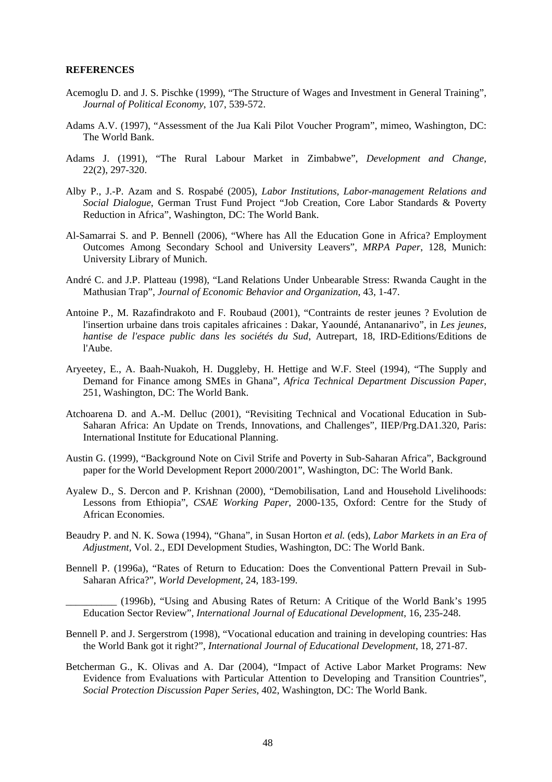#### **REFERENCES**

- Acemoglu D. and J. S. Pischke (1999), "The Structure of Wages and Investment in General Training", *Journal of Political Economy*, 107, 539-572.
- Adams A.V. (1997), "Assessment of the Jua Kali Pilot Voucher Program", mimeo, Washington, DC: The World Bank.
- Adams J. (1991), "The Rural Labour Market in Zimbabwe", *Development and Change*, 22(2), 297-320.
- Alby P., J.-P. Azam and S. Rospabé (2005), *Labor Institutions, Labor-management Relations and Social Dialogue*, German Trust Fund Project "Job Creation, Core Labor Standards & Poverty Reduction in Africa", Washington, DC: The World Bank.
- Al-Samarrai S. and P. Bennell (2006), "Where has All the Education Gone in Africa? Employment Outcomes Among Secondary School and University Leavers", *MRPA Paper*, 128, Munich: University Library of Munich.
- André C. and J.P. Platteau (1998), "Land Relations Under Unbearable Stress: Rwanda Caught in the Mathusian Trap", *Journal of Economic Behavior and Organization*, 43, 1-47.
- Antoine P., M. Razafindrakoto and F. Roubaud (2001), "Contraints de rester jeunes ? Evolution de l'insertion urbaine dans trois capitales africaines : Dakar, Yaoundé, Antananarivo", in *Les jeunes, hantise de l'espace public dans les sociétés du Sud*, Autrepart, 18, IRD-Editions/Editions de l'Aube.
- Aryeetey, E., A. Baah-Nuakoh, H. Duggleby, H. Hettige and W.F. Steel (1994), "The Supply and Demand for Finance among SMEs in Ghana", *Africa Technical Department Discussion Paper*, 251, Washington, DC: The World Bank.
- Atchoarena D. and A.-M. Delluc (2001), "Revisiting Technical and Vocational Education in Sub-Saharan Africa: An Update on Trends, Innovations, and Challenges", IIEP/Prg.DA1.320, Paris: International Institute for Educational Planning.
- Austin G. (1999), "Background Note on Civil Strife and Poverty in Sub-Saharan Africa", Background paper for the World Development Report 2000/2001", Washington, DC: The World Bank.
- Ayalew D., S. Dercon and P. Krishnan (2000), "Demobilisation, Land and Household Livelihoods: Lessons from Ethiopia", *CSAE Working Paper*, 2000-135, Oxford: Centre for the Study of African Economies.
- Beaudry P. and N. K. Sowa (1994), "Ghana", in Susan Horton *et al.* (eds), *Labor Markets in an Era of Adjustment,* Vol. 2., EDI Development Studies, Washington, DC: The World Bank.
- Bennell P. (1996a), "Rates of Return to Education: Does the Conventional Pattern Prevail in Sub-Saharan Africa?", *World Development*, 24, 183-199.

\_\_\_\_\_\_\_\_\_\_ (1996b), "Using and Abusing Rates of Return: A Critique of the World Bank's 1995 Education Sector Review", *International Journal of Educational Development*, 16, 235-248.

- Bennell P. and J. Sergerstrom (1998), "Vocational education and training in developing countries: Has the World Bank got it right?", *International Journal of Educational Development*, 18, 271-87.
- Betcherman G., K. Olivas and A. Dar (2004), "Impact of Active Labor Market Programs: New Evidence from Evaluations with Particular Attention to Developing and Transition Countries", *Social Protection Discussion Paper Series*, 402, Washington, DC: The World Bank.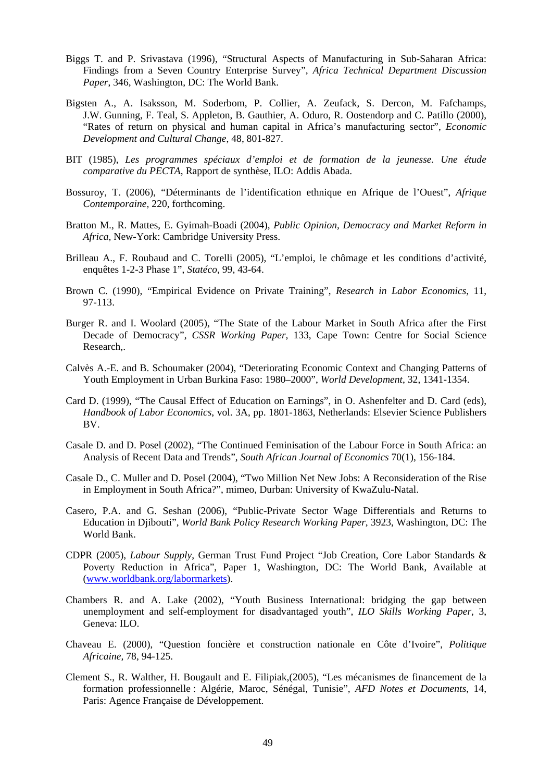- Biggs T. and P. Srivastava (1996), "Structural Aspects of Manufacturing in Sub-Saharan Africa: Findings from a Seven Country Enterprise Survey", *Africa Technical Department Discussion Paper*, 346, Washington, DC: The World Bank.
- Bigsten A., A. Isaksson, M. Soderbom, P. Collier, A. Zeufack, S. Dercon, M. Fafchamps, J.W. Gunning, F. Teal, S. Appleton, B. Gauthier, A. Oduro, R. Oostendorp and C. Patillo (2000), "Rates of return on physical and human capital in Africa's manufacturing sector", *Economic Development and Cultural Change*, 48, 801-827.
- BIT (1985), *Les programmes spéciaux d'emploi et de formation de la jeunesse. Une étude comparative du PECTA*, Rapport de synthèse, ILO: Addis Abada.
- Bossuroy, T. (2006), "Déterminants de l'identification ethnique en Afrique de l'Ouest", *Afrique Contemporaine,* 220, forthcoming.
- Bratton M., R. Mattes, E. Gyimah-Boadi (2004), *Public Opinion, Democracy and Market Reform in Africa*, New-York: Cambridge University Press.
- Brilleau A., F. Roubaud and C. Torelli (2005), "L'emploi, le chômage et les conditions d'activité, enquêtes 1-2-3 Phase 1", *Statéco*, 99, 43-64.
- Brown C. (1990), "Empirical Evidence on Private Training", *Research in Labor Economics*, 11, 97-113.
- Burger R. and I. Woolard (2005), "The State of the Labour Market in South Africa after the First Decade of Democracy", *CSSR Working Paper,* 133, Cape Town: Centre for Social Science Research,.
- Calvès A.-E. and B. Schoumaker (2004), "Deteriorating Economic Context and Changing Patterns of Youth Employment in Urban Burkina Faso: 1980–2000", *World Development*, 32, 1341-1354.
- Card D. (1999), "The Causal Effect of Education on Earnings", in O. Ashenfelter and D. Card (eds), *Handbook of Labor Economics*, vol. 3A, pp. 1801-1863, Netherlands: Elsevier Science Publishers BV.
- Casale D. and D. Posel (2002), "The Continued Feminisation of the Labour Force in South Africa: an Analysis of Recent Data and Trends", *South African Journal of Economics* 70(1), 156-184.
- Casale D., C. Muller and D. Posel (2004), "Two Million Net New Jobs: A Reconsideration of the Rise in Employment in South Africa?", mimeo, Durban: University of KwaZulu-Natal.
- Casero, P.A. and G. Seshan (2006), "Public-Private Sector Wage Differentials and Returns to Education in Djibouti", *World Bank Policy Research Working Paper*, 3923, Washington, DC: The World Bank.
- CDPR (2005), *Labour Supply*, German Trust Fund Project "Job Creation, Core Labor Standards & Poverty Reduction in Africa", Paper 1, Washington, DC: The World Bank, Available at (www.worldbank.org/labormarkets).
- Chambers R. and A. Lake (2002), "Youth Business International: bridging the gap between unemployment and self-employment for disadvantaged youth", *ILO Skills Working Paper*, 3, Geneva: ILO.
- Chaveau E. (2000), "Question foncière et construction nationale en Côte d'Ivoire", *Politique Africaine,* 78, 94-125.
- Clement S., R. Walther, H. Bougault and E. Filipiak,(2005), "Les mécanismes de financement de la formation professionnelle : Algérie, Maroc, Sénégal, Tunisie"*, AFD Notes et Documents*, 14, Paris: Agence Française de Développement.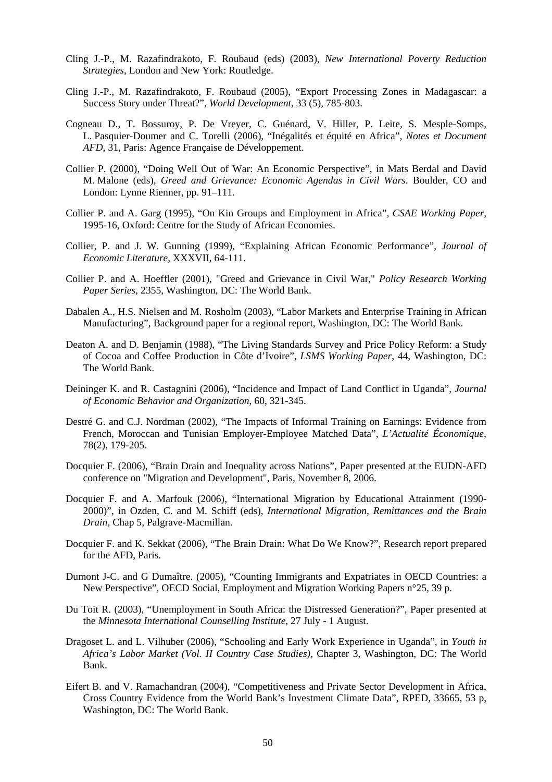- Cling J.-P., M. Razafindrakoto, F. Roubaud (eds) (2003), *New International Poverty Reduction Strategies*, London and New York: Routledge.
- Cling J.-P., M. Razafindrakoto, F. Roubaud (2005), "Export Processing Zones in Madagascar: a Success Story under Threat?", *World Development*, 33 (5), 785-803.
- Cogneau D., T. Bossuroy, P. De Vreyer, C. Guénard, V. Hiller, P. Leite, S. Mesple-Somps, L. Pasquier-Doumer and C. Torelli (2006), "Inégalités et équité en Africa", *Notes et Document AFD*, 31, Paris: Agence Française de Développement.
- Collier P. (2000), "Doing Well Out of War: An Economic Perspective", in Mats Berdal and David M. Malone (eds), *Greed and Grievance: Economic Agendas in Civil Wars*. Boulder, CO and London: Lynne Rienner, pp. 91–111.
- Collier P. and A. Garg (1995), "On Kin Groups and Employment in Africa", *CSAE Working Paper*, 1995-16, Oxford: Centre for the Study of African Economies.
- Collier, P. and J. W. Gunning (1999), "Explaining African Economic Performance", *Journal of Economic Literature*, XXXVII, 64-111.
- Collier P. and A. Hoeffler (2001), "Greed and Grievance in Civil War," *Policy Research Working Paper Series,* 2355, Washington, DC: The World Bank.
- Dabalen A., H.S. Nielsen and M. Rosholm (2003), "Labor Markets and Enterprise Training in African Manufacturing", Background paper for a regional report, Washington, DC: The World Bank.
- Deaton A. and D. Benjamin (1988), "The Living Standards Survey and Price Policy Reform: a Study of Cocoa and Coffee Production in Côte d'Ivoire", *LSMS Working Paper*, 44, Washington, DC: The World Bank.
- Deininger K. and R. Castagnini (2006), "Incidence and Impact of Land Conflict in Uganda", *Journal of Economic Behavior and Organization*, 60, 321-345.
- Destré G. and C.J. Nordman (2002), "The Impacts of Informal Training on Earnings: Evidence from French, Moroccan and Tunisian Employer-Employee Matched Data", *L'Actualité Économique*, 78(2), 179-205.
- Docquier F. (2006), "Brain Drain and Inequality across Nations", Paper presented at the EUDN-AFD conference on "Migration and Development", Paris, November 8, 2006.
- Docquier F. and A. Marfouk (2006), "International Migration by Educational Attainment (1990- 2000)", in Ozden, C. and M. Schiff (eds), *International Migration, Remittances and the Brain Drain*, Chap 5, Palgrave-Macmillan.
- Docquier F. and K. Sekkat (2006), "The Brain Drain: What Do We Know?", Research report prepared for the AFD, Paris.
- Dumont J-C. and G Dumaître. (2005), "Counting Immigrants and Expatriates in OECD Countries: a New Perspective", OECD Social, Employment and Migration Working Papers n°25, 39 p.
- Du Toit R. (2003), "Unemployment in South Africa: the Distressed Generation?", Paper presented at the *Minnesota International Counselling Institute*, 27 July - 1 August.
- Dragoset L. and L. Vilhuber (2006), "Schooling and Early Work Experience in Uganda", in *Youth in Africa's Labor Market (Vol. II Country Case Studies)*, Chapter 3, Washington, DC: The World Bank.
- Eifert B. and V. Ramachandran (2004), "Competitiveness and Private Sector Development in Africa, Cross Country Evidence from the World Bank's Investment Climate Data", RPED, 33665, 53 p, Washington, DC: The World Bank.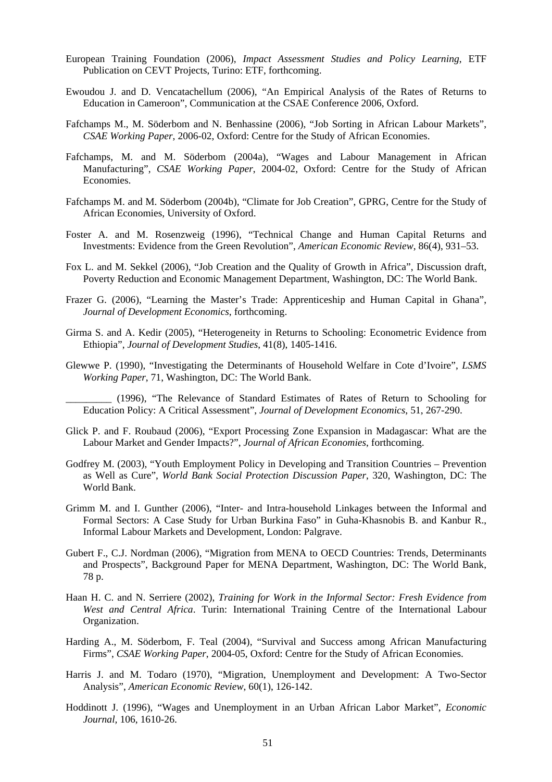- European Training Foundation (2006), *Impact Assessment Studies and Policy Learning*, ETF Publication on CEVT Projects, Turino: ETF, forthcoming.
- Ewoudou J. and D. Vencatachellum (2006), "An Empirical Analysis of the Rates of Returns to Education in Cameroon", Communication at the CSAE Conference 2006, Oxford.
- Fafchamps M., M. Söderbom and N. Benhassine (2006), "Job Sorting in African Labour Markets", *CSAE Working Paper*, 2006-02, Oxford: Centre for the Study of African Economies.
- Fafchamps, M. and M. Söderbom (2004a), "Wages and Labour Management in African Manufacturing", *CSAE Working Paper*, 2004-02, Oxford: Centre for the Study of African Economies.
- Fafchamps M. and M. Söderbom (2004b), "Climate for Job Creation", GPRG, Centre for the Study of African Economies, University of Oxford.
- Foster A. and M. Rosenzweig (1996), "Technical Change and Human Capital Returns and Investments: Evidence from the Green Revolution", *American Economic Review*, 86(4), 931–53.
- Fox L. and M. Sekkel (2006), "Job Creation and the Quality of Growth in Africa", Discussion draft, Poverty Reduction and Economic Management Department, Washington, DC: The World Bank.
- Frazer G. (2006), "Learning the Master's Trade: Apprenticeship and Human Capital in Ghana", *Journal of Development Economics*, forthcoming.
- Girma S. and A. Kedir (2005), "Heterogeneity in Returns to Schooling: Econometric Evidence from Ethiopia", *Journal of Development Studies*, 41(8), 1405-1416.
- Glewwe P. (1990), "Investigating the Determinants of Household Welfare in Cote d'Ivoire", *LSMS Working Paper*, 71, Washington, DC: The World Bank.
	- \_\_\_\_\_\_\_\_\_ (1996), "The Relevance of Standard Estimates of Rates of Return to Schooling for Education Policy: A Critical Assessment", *Journal of Development Economics*, 51, 267-290.
- Glick P. and F. Roubaud (2006), "Export Processing Zone Expansion in Madagascar: What are the Labour Market and Gender Impacts?", *Journal of African Economies*, forthcoming.
- Godfrey M. (2003), "Youth Employment Policy in Developing and Transition Countries Prevention as Well as Cure", *World Bank Social Protection Discussion Paper*, 320, Washington, DC: The World Bank.
- Grimm M. and I. Gunther (2006), "Inter- and Intra-household Linkages between the Informal and Formal Sectors: A Case Study for Urban Burkina Faso" in Guha-Khasnobis B. and Kanbur R., Informal Labour Markets and Development, London: Palgrave.
- Gubert F., C.J. Nordman (2006), "Migration from MENA to OECD Countries: Trends, Determinants and Prospects", Background Paper for MENA Department, Washington, DC: The World Bank, 78 p.
- Haan H. C. and N. Serriere (2002), *Training for Work in the Informal Sector: Fresh Evidence from West and Central Africa*. Turin: International Training Centre of the International Labour Organization.
- Harding A., M. Söderbom, F. Teal (2004), "Survival and Success among African Manufacturing Firms", *CSAE Working Paper*, 2004-05, Oxford: Centre for the Study of African Economies.
- Harris J. and M. Todaro (1970), "Migration, Unemployment and Development: A Two-Sector Analysis", *American Economic Review*, 60(1), 126-142.
- Hoddinott J. (1996), "Wages and Unemployment in an Urban African Labor Market", *Economic Journal,* 106, 1610-26.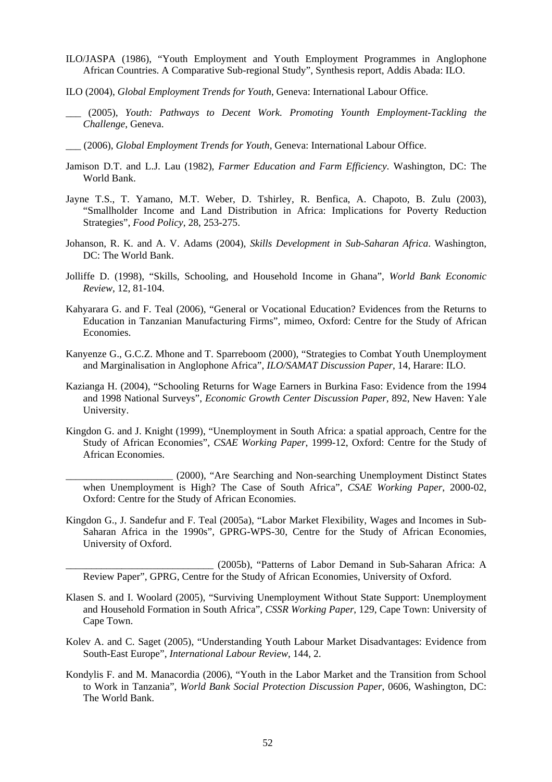- ILO/JASPA (1986), "Youth Employment and Youth Employment Programmes in Anglophone African Countries. A Comparative Sub-regional Study", Synthesis report, Addis Abada: ILO.
- ILO (2004), *Global Employment Trends for Youth*, Geneva: International Labour Office.
- \_\_\_ (2005), *Youth: Pathways to Decent Work. Promoting Younth Employment-Tackling the Challenge*, Geneva.
- \_\_\_ (2006), *Global Employment Trends for Youth*, Geneva: International Labour Office.
- Jamison D.T. and L.J. Lau (1982), *Farmer Education and Farm Efficiency*. Washington, DC: The World Bank.
- Jayne T.S., T. Yamano, M.T. Weber, D. Tshirley, R. Benfica, A. Chapoto, B. Zulu (2003), "Smallholder Income and Land Distribution in Africa: Implications for Poverty Reduction Strategies", *Food Policy*, 28, 253-275.
- Johanson, R. K. and A. V. Adams (2004), *Skills Development in Sub-Saharan Africa*. Washington, DC: The World Bank.
- Jolliffe D. (1998), "Skills, Schooling, and Household Income in Ghana", *World Bank Economic Review*, 12, 81-104.
- Kahyarara G. and F. Teal (2006), "General or Vocational Education? Evidences from the Returns to Education in Tanzanian Manufacturing Firms", mimeo, Oxford: Centre for the Study of African Economies.
- Kanyenze G., G.C.Z. Mhone and T. Sparreboom (2000), "Strategies to Combat Youth Unemployment and Marginalisation in Anglophone Africa", *ILO/SAMAT Discussion Paper*, 14, Harare: ILO.
- Kazianga H. (2004), "Schooling Returns for Wage Earners in Burkina Faso: Evidence from the 1994 and 1998 National Surveys", *Economic Growth Center Discussion Paper,* 892, New Haven: Yale University.
- Kingdon G. and J. Knight (1999), "Unemployment in South Africa: a spatial approach, Centre for the Study of African Economies", *CSAE Working Paper*, 1999-12, Oxford: Centre for the Study of African Economies.
	- \_\_\_\_\_\_\_\_\_\_\_\_\_\_\_\_\_\_\_\_\_ (2000), "Are Searching and Non-searching Unemployment Distinct States when Unemployment is High? The Case of South Africa", *CSAE Working Paper*, 2000-02, Oxford: Centre for the Study of African Economies.
- Kingdon G., J. Sandefur and F. Teal (2005a), "Labor Market Flexibility, Wages and Incomes in Sub-Saharan Africa in the 1990s", GPRG-WPS-30, Centre for the Study of African Economies, University of Oxford.

\_\_\_\_\_\_\_\_\_\_\_\_\_\_\_\_\_\_\_\_\_\_\_\_\_\_\_\_\_ (2005b), "Patterns of Labor Demand in Sub-Saharan Africa: A Review Paper", GPRG, Centre for the Study of African Economies, University of Oxford.

- Klasen S. and I. Woolard (2005), "Surviving Unemployment Without State Support: Unemployment and Household Formation in South Africa", *CSSR Working Paper*, 129, Cape Town: University of Cape Town.
- Kolev A. and C. Saget (2005), "Understanding Youth Labour Market Disadvantages: Evidence from South-East Europe", *International Labour Review*, 144, 2.
- Kondylis F. and M. Manacordia (2006), "Youth in the Labor Market and the Transition from School to Work in Tanzania", *World Bank Social Protection Discussion Paper*, 0606, Washington, DC: The World Bank.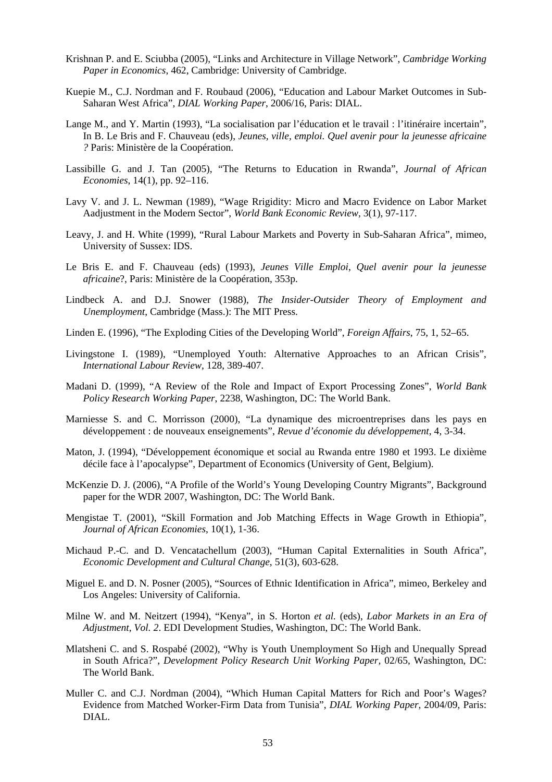- Krishnan P. and E. Sciubba (2005), "Links and Architecture in Village Network", *Cambridge Working Paper in Economics*, 462, Cambridge: University of Cambridge.
- Kuepie M., C.J. Nordman and F. Roubaud (2006), "Education and Labour Market Outcomes in Sub-Saharan West Africa", *DIAL Working Paper*, 2006/16, Paris: DIAL.
- Lange M., and Y. Martin (1993), "La socialisation par l'éducation et le travail : l'itinéraire incertain", In B. Le Bris and F. Chauveau (eds), *Jeunes, ville, emploi. Quel avenir pour la jeunesse africaine ?* Paris: Ministère de la Coopération.
- Lassibille G. and J. Tan (2005), "The Returns to Education in Rwanda", *Journal of African Economies*, 14(1), pp. 92–116.
- Lavy V. and J. L. Newman (1989), "Wage Rrigidity: Micro and Macro Evidence on Labor Market Aadjustment in the Modern Sector", *World Bank Economic Review,* 3(1), 97-117.
- Leavy, J. and H. White (1999), "Rural Labour Markets and Poverty in Sub-Saharan Africa", mimeo, University of Sussex: IDS.
- Le Bris E. and F. Chauveau (eds) (1993), *Jeunes Ville Emploi*, *Quel avenir pour la jeunesse africaine*?, Paris: Ministère de la Coopération, 353p.
- Lindbeck A. and D.J. Snower (1988), *The Insider-Outsider Theory of Employment and Unemployment*, Cambridge (Mass.): The MIT Press.
- Linden E. (1996), "The Exploding Cities of the Developing World", *Foreign Affairs*, 75, 1, 52–65.
- Livingstone I. (1989), "Unemployed Youth: Alternative Approaches to an African Crisis", *International Labour Review*, 128, 389-407.
- Madani D. (1999), "A Review of the Role and Impact of Export Processing Zones", *World Bank Policy Research Working Paper*, 2238, Washington, DC: The World Bank.
- Marniesse S. and C. Morrisson (2000), "La dynamique des microentreprises dans les pays en développement : de nouveaux enseignements", *Revue d'économie du développement*, 4, 3-34.
- Maton, J. (1994), "Développement économique et social au Rwanda entre 1980 et 1993. Le dixième décile face à l'apocalypse", Department of Economics (University of Gent, Belgium).
- McKenzie D. J. (2006), "A Profile of the World's Young Developing Country Migrants", Background paper for the WDR 2007, Washington, DC: The World Bank.
- Mengistae T. (2001), "Skill Formation and Job Matching Effects in Wage Growth in Ethiopia", *Journal of African Economies*, 10(1), 1-36.
- Michaud P.-C. and D. Vencatachellum (2003), "Human Capital Externalities in South Africa", *Economic Development and Cultural Change*, 51(3), 603-628.
- Miguel E. and D. N. Posner (2005), "Sources of Ethnic Identification in Africa", mimeo, Berkeley and Los Angeles: University of California.
- Milne W. and M. Neitzert (1994), "Kenya", in S. Horton *et al.* (eds), *Labor Markets in an Era of Adjustment*, *Vol. 2*. EDI Development Studies, Washington, DC: The World Bank.
- Mlatsheni C. and S. Rospabé (2002), "Why is Youth Unemployment So High and Unequally Spread in South Africa?", *Development Policy Research Unit Working Paper,* 02/65, Washington, DC: The World Bank.
- Muller C. and C.J. Nordman (2004), "Which Human Capital Matters for Rich and Poor's Wages? Evidence from Matched Worker-Firm Data from Tunisia", *DIAL Working Paper*, 2004/09, Paris: DIAL.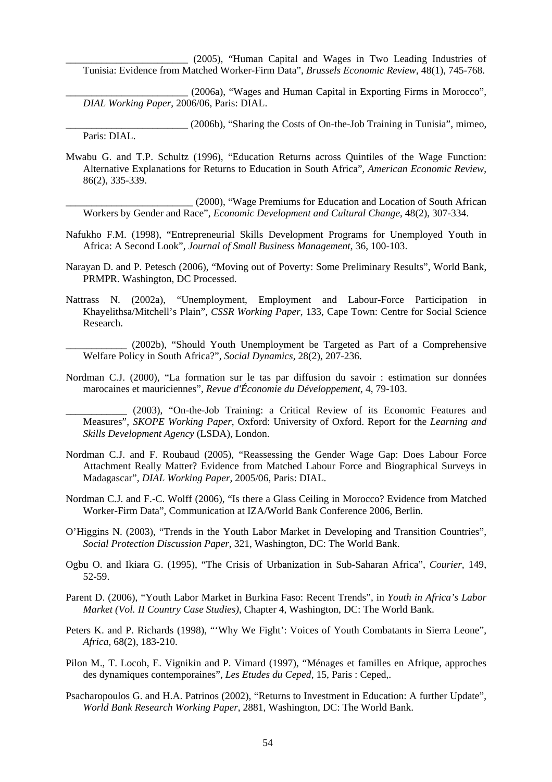\_\_\_\_\_\_\_\_\_\_\_\_\_\_\_\_\_\_\_\_\_\_\_\_ (2005), "Human Capital and Wages in Two Leading Industries of Tunisia: Evidence from Matched Worker-Firm Data", *Brussels Economic Review*, 48(1), 745-768.

\_\_\_\_\_\_\_\_\_\_\_\_\_\_\_\_\_\_\_\_\_\_\_\_ (2006a), "Wages and Human Capital in Exporting Firms in Morocco", *DIAL Working Paper*, 2006/06, Paris: DIAL.

\_\_\_\_\_\_\_\_\_\_\_\_\_\_\_\_\_\_\_\_\_\_\_\_ (2006b), "Sharing the Costs of On-the-Job Training in Tunisia", mimeo, Paris: DIAL.

Mwabu G. and T.P. Schultz (1996), "Education Returns across Quintiles of the Wage Function: Alternative Explanations for Returns to Education in South Africa", *American Economic Review*, 86(2), 335-339.

\_\_\_\_\_\_\_\_\_\_\_\_\_\_\_\_\_\_\_\_\_\_\_\_\_ (2000), "Wage Premiums for Education and Location of South African Workers by Gender and Race", *Economic Development and Cultural Change*, 48(2), 307-334.

- Nafukho F.M. (1998), "Entrepreneurial Skills Development Programs for Unemployed Youth in Africa: A Second Look", *Journal of Small Business Management*, 36, 100-103.
- Narayan D. and P. Petesch (2006), "Moving out of Poverty: Some Preliminary Results", World Bank, PRMPR. Washington, DC Processed.
- Nattrass N. (2002a), "Unemployment, Employment and Labour-Force Participation in Khayelithsa/Mitchell's Plain", *CSSR Working Paper*, 133, Cape Town: Centre for Social Science Research.

\_\_\_\_\_\_\_\_\_\_\_\_ (2002b), "Should Youth Unemployment be Targeted as Part of a Comprehensive Welfare Policy in South Africa?", *Social Dynamics*, 28(2), 207-236.

Nordman C.J. (2000), "La formation sur le tas par diffusion du savoir : estimation sur données marocaines et mauriciennes", *Revue d'Économie du Développement*, 4, 79-103.

(2003), "On-the-Job Training: a Critical Review of its Economic Features and Measures", *SKOPE Working Paper*, Oxford: University of Oxford. Report for the *Learning and Skills Development Agency* (LSDA), London.

- Nordman C.J. and F. Roubaud (2005), "Reassessing the Gender Wage Gap: Does Labour Force Attachment Really Matter? Evidence from Matched Labour Force and Biographical Surveys in Madagascar", *DIAL Working Paper*, 2005/06, Paris: DIAL.
- Nordman C.J. and F.-C. Wolff (2006), "Is there a Glass Ceiling in Morocco? Evidence from Matched Worker-Firm Data", Communication at IZA/World Bank Conference 2006, Berlin.
- O'Higgins N. (2003), "Trends in the Youth Labor Market in Developing and Transition Countries", *Social Protection Discussion Paper*, 321, Washington, DC: The World Bank.
- Ogbu O. and Ikiara G. (1995), "The Crisis of Urbanization in Sub-Saharan Africa", *Courier,* 149, 52-59.
- Parent D. (2006), "Youth Labor Market in Burkina Faso: Recent Trends", in *Youth in Africa's Labor Market (Vol. II Country Case Studies)*, Chapter 4, Washington, DC: The World Bank.
- Peters K. and P. Richards (1998), "'Why We Fight': Voices of Youth Combatants in Sierra Leone", *Africa*, 68(2), 183-210.
- Pilon M., T. Locoh, E. Vignikin and P. Vimard (1997), "Ménages et familles en Afrique, approches des dynamiques contemporaines", *Les Etudes du Ceped*, 15, Paris : Ceped,.
- Psacharopoulos G. and H.A. Patrinos (2002), "Returns to Investment in Education: A further Update", *World Bank Research Working Paper*, 2881, Washington, DC: The World Bank.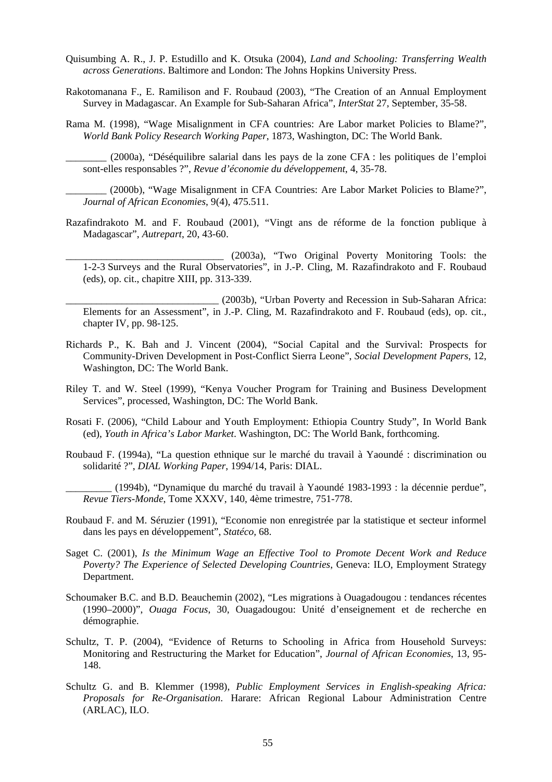- Quisumbing A. R., J. P. Estudillo and K. Otsuka (2004), *Land and Schooling: Transferring Wealth across Generations*. Baltimore and London: The Johns Hopkins University Press.
- Rakotomanana F., E. Ramilison and F. Roubaud (2003), "The Creation of an Annual Employment Survey in Madagascar. An Example for Sub-Saharan Africa", *InterStat* 27, September, 35-58.
- Rama M. (1998), "Wage Misalignment in CFA countries: Are Labor market Policies to Blame?", *World Bank Policy Research Working Paper*, 1873, Washington, DC: The World Bank.

\_\_\_\_\_\_\_\_ (2000a), "Déséquilibre salarial dans les pays de la zone CFA : les politiques de l'emploi sont-elles responsables ?", *Revue d'économie du développement*, 4, 35-78.

(2000b), "Wage Misalignment in CFA Countries: Are Labor Market Policies to Blame?", *Journal of African Economies*, 9(4), 475.511.

- Razafindrakoto M. and F. Roubaud (2001), "Vingt ans de réforme de la fonction publique à Madagascar", *Autrepart*, 20, 43-60.
	- \_\_\_\_\_\_\_\_\_\_\_\_\_\_\_\_\_\_\_\_\_\_\_\_\_\_\_\_\_\_\_ (2003a), "Two Original Poverty Monitoring Tools: the 1-2-3 Surveys and the Rural Observatories", in J.-P. Cling, M. Razafindrakoto and F. Roubaud (eds), op. cit., chapitre XIII, pp. 313-339.

\_\_\_\_\_\_\_\_\_\_\_\_\_\_\_\_\_\_\_\_\_\_\_\_\_\_\_\_\_\_ (2003b), "Urban Poverty and Recession in Sub-Saharan Africa: Elements for an Assessment", in J.-P. Cling, M. Razafindrakoto and F. Roubaud (eds), op. cit., chapter IV, pp. 98-125.

- Richards P., K. Bah and J. Vincent (2004), "Social Capital and the Survival: Prospects for Community-Driven Development in Post-Conflict Sierra Leone", *Social Development Papers*, 12, Washington, DC: The World Bank.
- Riley T. and W. Steel (1999), "Kenya Voucher Program for Training and Business Development Services", processed, Washington, DC: The World Bank.
- Rosati F. (2006), "Child Labour and Youth Employment: Ethiopia Country Study", In World Bank (ed), *Youth in Africa's Labor Market*. Washington, DC: The World Bank, forthcoming.
- Roubaud F. (1994a), "La question ethnique sur le marché du travail à Yaoundé : discrimination ou solidarité ?", *DIAL Working Paper*, 1994/14, Paris: DIAL.
	- \_\_\_\_\_\_\_\_\_ (1994b), "Dynamique du marché du travail à Yaoundé 1983-1993 : la décennie perdue", *Revue Tiers-Monde*, Tome XXXV, 140, 4ème trimestre, 751-778.
- Roubaud F. and M. Séruzier (1991), "Economie non enregistrée par la statistique et secteur informel dans les pays en développement", *Statéco,* 68.
- Saget C. (2001), *Is the Minimum Wage an Effective Tool to Promote Decent Work and Reduce Poverty? The Experience of Selected Developing Countries*, Geneva: ILO, Employment Strategy Department.
- Schoumaker B.C. and B.D. Beauchemin (2002), "Les migrations à Ouagadougou : tendances récentes (1990–2000)", *Ouaga Focus*, 30, Ouagadougou: Unité d'enseignement et de recherche en démographie.
- Schultz, T. P. (2004), "Evidence of Returns to Schooling in Africa from Household Surveys: Monitoring and Restructuring the Market for Education", *Journal of African Economies*, 13, 95- 148.
- Schultz G. and B. Klemmer (1998), *Public Employment Services in English-speaking Africa: Proposals for Re-Organisation*. Harare: African Regional Labour Administration Centre (ARLAC), ILO.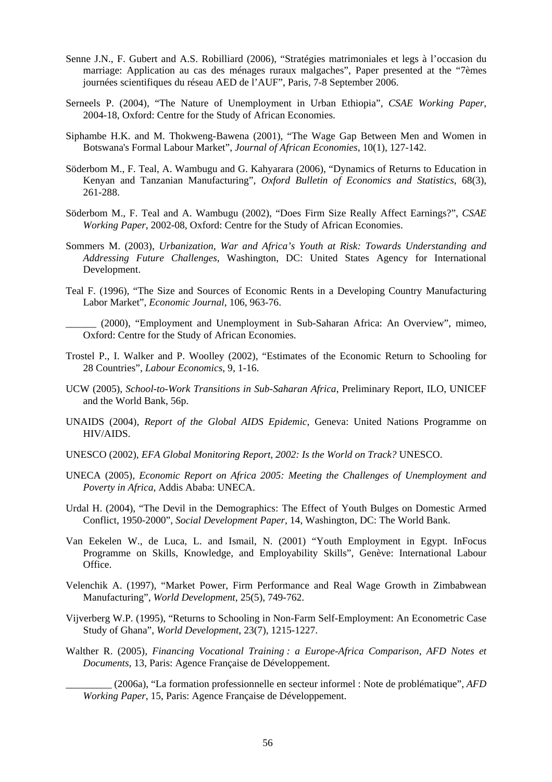- Senne J.N., F. Gubert and A.S. Robilliard (2006), "Stratégies matrimoniales et legs à l'occasion du marriage: Application au cas des ménages ruraux malgaches", Paper presented at the "7èmes journées scientifiques du réseau AED de l'AUF", Paris, 7-8 September 2006.
- Serneels P. (2004), "The Nature of Unemployment in Urban Ethiopia", *CSAE Working Paper*, 2004-18, Oxford: Centre for the Study of African Economies.
- Siphambe H.K. and M. Thokweng-Bawena (2001), "The Wage Gap Between Men and Women in Botswana's Formal Labour Market", *Journal of African Economies*, 10(1), 127-142.
- Söderbom M., F. Teal, A. Wambugu and G. Kahyarara (2006), "Dynamics of Returns to Education in Kenyan and Tanzanian Manufacturing", *Oxford Bulletin of Economics and Statistics*, 68(3), 261-288.
- Söderbom M., F. Teal and A. Wambugu (2002), "Does Firm Size Really Affect Earnings?", *CSAE Working Paper*, 2002-08, Oxford: Centre for the Study of African Economies.
- Sommers M. (2003), *Urbanization, War and Africa's Youth at Risk: Towards Understanding and Addressing Future Challenges*, Washington, DC: United States Agency for International Development.
- Teal F. (1996), "The Size and Sources of Economic Rents in a Developing Country Manufacturing Labor Market", *Economic Journal*, 106, 963-76.
	- \_\_\_\_\_\_ (2000), "Employment and Unemployment in Sub-Saharan Africa: An Overview", mimeo, Oxford: Centre for the Study of African Economies.
- Trostel P., I. Walker and P. Woolley (2002), "Estimates of the Economic Return to Schooling for 28 Countries", *Labour Economics*, 9, 1-16.
- UCW (2005), *School-to-Work Transitions in Sub-Saharan Africa*, Preliminary Report, ILO, UNICEF and the World Bank, 56p.
- UNAIDS (2004), *Report of the Global AIDS Epidemic*, Geneva: United Nations Programme on HIV/AIDS.
- UNESCO (2002), *EFA Global Monitoring Report, 2002: Is the World on Track?* UNESCO.
- UNECA (2005), *Economic Report on Africa 2005: Meeting the Challenges of Unemployment and Poverty in Africa*, Addis Ababa: UNECA.
- Urdal H. (2004), "The Devil in the Demographics: The Effect of Youth Bulges on Domestic Armed Conflict, 1950-2000", *Social Development Paper,* 14, Washington, DC: The World Bank.
- Van Eekelen W., de Luca, L. and Ismail, N. (2001) "Youth Employment in Egypt. InFocus Programme on Skills, Knowledge, and Employability Skills", Genève: International Labour Office.
- Velenchik A. (1997), "Market Power, Firm Performance and Real Wage Growth in Zimbabwean Manufacturing", *World Development*, 25(5), 749-762.
- Vijverberg W.P. (1995), "Returns to Schooling in Non-Farm Self-Employment: An Econometric Case Study of Ghana", *World Development*, 23(7), 1215-1227.
- Walther R. (2005), *Financing Vocational Training : a Europe-Africa Comparison, AFD Notes et Documents,* 13, Paris: Agence Française de Développement.

\_\_\_\_\_\_\_\_\_ (2006a), "La formation professionnelle en secteur informel : Note de problématique", *AFD Working Paper*, 15, Paris: Agence Française de Développement.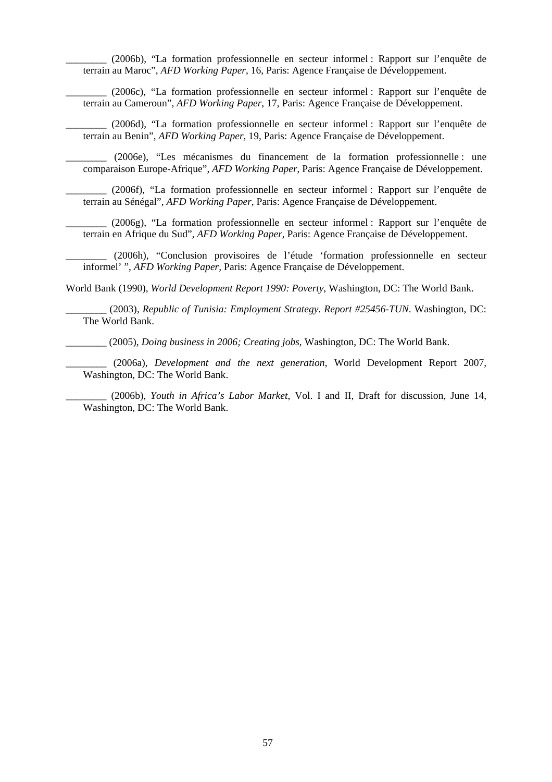\_\_\_\_\_\_\_\_ (2006b), "La formation professionnelle en secteur informel : Rapport sur l'enquête de terrain au Maroc", *AFD Working Paper*, 16, Paris: Agence Française de Développement.

\_\_\_\_\_\_\_\_ (2006c), "La formation professionnelle en secteur informel : Rapport sur l'enquête de terrain au Cameroun", *AFD Working Paper*, 17, Paris: Agence Française de Développement.

\_\_\_\_\_\_\_\_ (2006d), "La formation professionnelle en secteur informel : Rapport sur l'enquête de terrain au Benin", *AFD Working Paper*, 19, Paris: Agence Française de Développement.

\_\_\_\_\_\_\_\_ (2006e), "Les mécanismes du financement de la formation professionnelle : une comparaison Europe-Afrique", *AFD Working Paper*, Paris: Agence Française de Développement.

\_\_\_\_\_\_\_\_ (2006f), "La formation professionnelle en secteur informel : Rapport sur l'enquête de terrain au Sénégal", *AFD Working Paper*, Paris: Agence Française de Développement.

\_\_\_\_\_\_\_\_ (2006g), "La formation professionnelle en secteur informel : Rapport sur l'enquête de terrain en Afrique du Sud", *AFD Working Paper*, Paris: Agence Française de Développement.

\_\_\_\_\_\_\_\_ (2006h), "Conclusion provisoires de l'étude 'formation professionnelle en secteur informel' ", *AFD Working Paper,* Paris: Agence Française de Développement.

World Bank (1990), *World Development Report 1990: Poverty*, Washington, DC: The World Bank.

\_\_\_\_\_\_\_\_ (2003), *Republic of Tunisia: Employment Strategy. Report #25456-TUN*. Washington, DC: The World Bank.

\_\_\_\_\_\_\_\_ (2005), *Doing business in 2006; Creating jobs*, Washington, DC: The World Bank.

\_\_\_\_\_\_\_\_ (2006a), *Development and the next generation*, World Development Report 2007*,*  Washington, DC: The World Bank.

\_\_\_\_\_\_\_\_ (2006b), *Youth in Africa's Labor Market*, Vol. I and II*,* Draft for discussion, June 14, Washington, DC: The World Bank.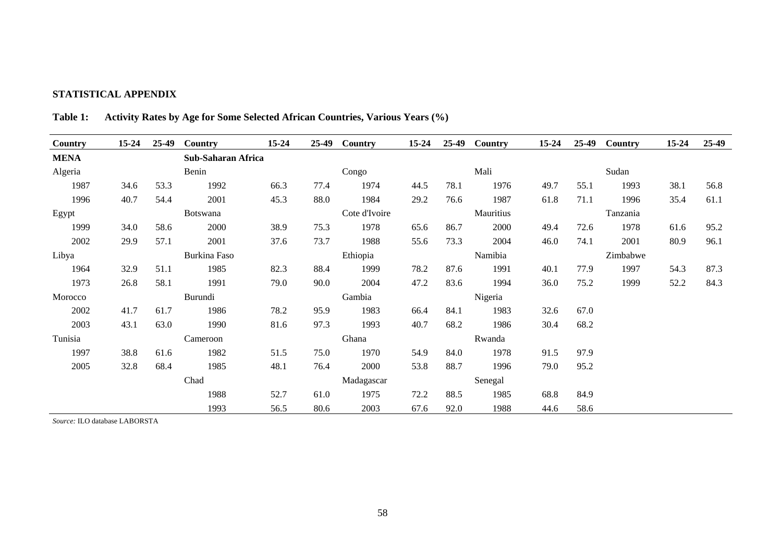#### **STATISTICAL APPENDIX**

| Country     | 15-24 | 25-49 | Country            | $15 - 24$ | $25-49$ | Country       | $15 - 24$ | 25-49 | Country   | $15 - 24$ | 25-49 | Country  | $15 - 24$ | 25-49 |
|-------------|-------|-------|--------------------|-----------|---------|---------------|-----------|-------|-----------|-----------|-------|----------|-----------|-------|
| <b>MENA</b> |       |       | Sub-Saharan Africa |           |         |               |           |       |           |           |       |          |           |       |
| Algeria     |       |       | Benin              |           |         | Congo         |           |       | Mali      |           |       | Sudan    |           |       |
| 1987        | 34.6  | 53.3  | 1992               | 66.3      | 77.4    | 1974          | 44.5      | 78.1  | 1976      | 49.7      | 55.1  | 1993     | 38.1      | 56.8  |
| 1996        | 40.7  | 54.4  | 2001               | 45.3      | 88.0    | 1984          | 29.2      | 76.6  | 1987      | 61.8      | 71.1  | 1996     | 35.4      | 61.1  |
| Egypt       |       |       | Botswana           |           |         | Cote d'Ivoire |           |       | Mauritius |           |       | Tanzania |           |       |
| 1999        | 34.0  | 58.6  | 2000               | 38.9      | 75.3    | 1978          | 65.6      | 86.7  | 2000      | 49.4      | 72.6  | 1978     | 61.6      | 95.2  |
| 2002        | 29.9  | 57.1  | 2001               | 37.6      | 73.7    | 1988          | 55.6      | 73.3  | 2004      | 46.0      | 74.1  | 2001     | 80.9      | 96.1  |
| Libya       |       |       | Burkina Faso       |           |         | Ethiopia      |           |       | Namibia   |           |       | Zimbabwe |           |       |
| 1964        | 32.9  | 51.1  | 1985               | 82.3      | 88.4    | 1999          | 78.2      | 87.6  | 1991      | 40.1      | 77.9  | 1997     | 54.3      | 87.3  |
| 1973        | 26.8  | 58.1  | 1991               | 79.0      | 90.0    | 2004          | 47.2      | 83.6  | 1994      | 36.0      | 75.2  | 1999     | 52.2      | 84.3  |
| Morocco     |       |       | Burundi            |           |         | Gambia        |           |       | Nigeria   |           |       |          |           |       |
| 2002        | 41.7  | 61.7  | 1986               | 78.2      | 95.9    | 1983          | 66.4      | 84.1  | 1983      | 32.6      | 67.0  |          |           |       |
| 2003        | 43.1  | 63.0  | 1990               | 81.6      | 97.3    | 1993          | 40.7      | 68.2  | 1986      | 30.4      | 68.2  |          |           |       |
| Tunisia     |       |       | Cameroon           |           |         | Ghana         |           |       | Rwanda    |           |       |          |           |       |
| 1997        | 38.8  | 61.6  | 1982               | 51.5      | 75.0    | 1970          | 54.9      | 84.0  | 1978      | 91.5      | 97.9  |          |           |       |
| 2005        | 32.8  | 68.4  | 1985               | 48.1      | 76.4    | 2000          | 53.8      | 88.7  | 1996      | 79.0      | 95.2  |          |           |       |
|             |       |       | Chad               |           |         | Madagascar    |           |       | Senegal   |           |       |          |           |       |
|             |       |       | 1988               | 52.7      | 61.0    | 1975          | 72.2      | 88.5  | 1985      | 68.8      | 84.9  |          |           |       |
|             |       |       | 1993               | 56.5      | 80.6    | 2003          | 67.6      | 92.0  | 1988      | 44.6      | 58.6  |          |           |       |

**Table 1: Activity Rates by Age for Some Selected African Countries, Various Years (%)** 

*Source:* ILO database LABORSTA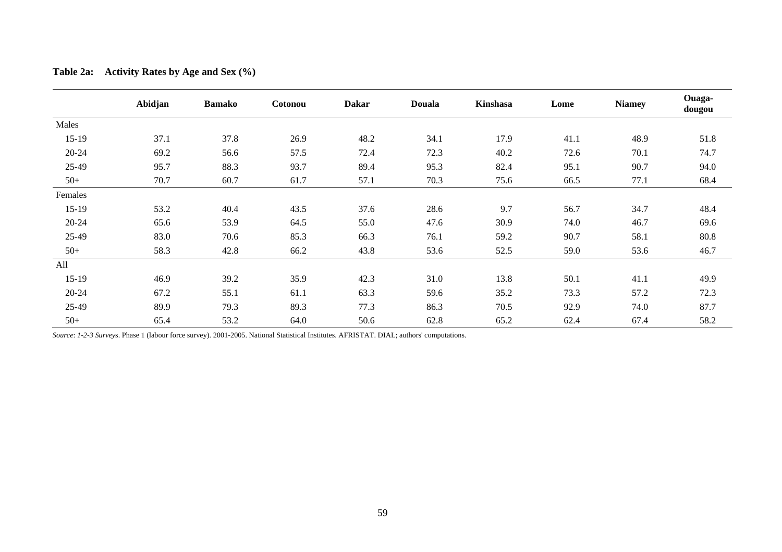|           | Abidjan | <b>Bamako</b> | Cotonou | <b>Dakar</b> | <b>Douala</b> | Kinshasa | Lome | <b>Niamey</b> | Ouaga-<br>dougou |
|-----------|---------|---------------|---------|--------------|---------------|----------|------|---------------|------------------|
| Males     |         |               |         |              |               |          |      |               |                  |
| $15-19$   | 37.1    | 37.8          | 26.9    | 48.2         | 34.1          | 17.9     | 41.1 | 48.9          | 51.8             |
| $20 - 24$ | 69.2    | 56.6          | 57.5    | 72.4         | 72.3          | 40.2     | 72.6 | 70.1          | 74.7             |
| 25-49     | 95.7    | 88.3          | 93.7    | 89.4         | 95.3          | 82.4     | 95.1 | 90.7          | 94.0             |
| $50+$     | 70.7    | 60.7          | 61.7    | 57.1         | 70.3          | 75.6     | 66.5 | 77.1          | 68.4             |
| Females   |         |               |         |              |               |          |      |               |                  |
| $15-19$   | 53.2    | 40.4          | 43.5    | 37.6         | 28.6          | 9.7      | 56.7 | 34.7          | 48.4             |
| $20 - 24$ | 65.6    | 53.9          | 64.5    | 55.0         | 47.6          | 30.9     | 74.0 | 46.7          | 69.6             |
| 25-49     | 83.0    | 70.6          | 85.3    | 66.3         | 76.1          | 59.2     | 90.7 | 58.1          | 80.8             |
| $50+$     | 58.3    | 42.8          | 66.2    | 43.8         | 53.6          | 52.5     | 59.0 | 53.6          | 46.7             |
| All       |         |               |         |              |               |          |      |               |                  |
| $15-19$   | 46.9    | 39.2          | 35.9    | 42.3         | 31.0          | 13.8     | 50.1 | 41.1          | 49.9             |
| $20 - 24$ | 67.2    | 55.1          | 61.1    | 63.3         | 59.6          | 35.2     | 73.3 | 57.2          | 72.3             |
| 25-49     | 89.9    | 79.3          | 89.3    | 77.3         | 86.3          | 70.5     | 92.9 | 74.0          | 87.7             |
| $50+$     | 65.4    | 53.2          | 64.0    | 50.6         | 62.8          | 65.2     | 62.4 | 67.4          | 58.2             |

| <b>Table 2a:</b> | Activity Rates by Age and Sex $(\% )$ |  |  |  |
|------------------|---------------------------------------|--|--|--|
|                  |                                       |  |  |  |

*Source*: *1-2-3 Survey*s. Phase 1 (labour force survey). 2001-2005. National Statistical Institutes. AFRISTAT. DIAL; authors' computations.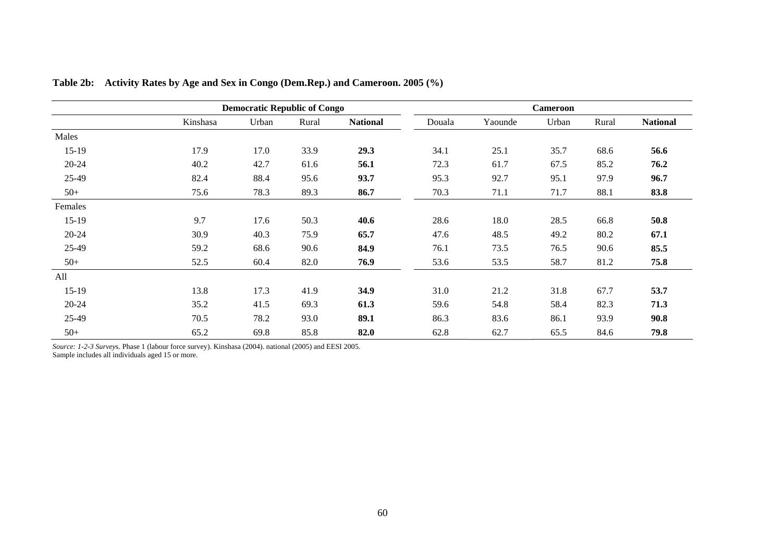|           |          | <b>Democratic Republic of Congo</b> |       |                 |        |         | <b>Cameroon</b> |       |                 |
|-----------|----------|-------------------------------------|-------|-----------------|--------|---------|-----------------|-------|-----------------|
|           | Kinshasa | Urban                               | Rural | <b>National</b> | Douala | Yaounde | Urban           | Rural | <b>National</b> |
| Males     |          |                                     |       |                 |        |         |                 |       |                 |
| $15-19$   | 17.9     | 17.0                                | 33.9  | 29.3            | 34.1   | 25.1    | 35.7            | 68.6  | 56.6            |
| $20 - 24$ | 40.2     | 42.7                                | 61.6  | 56.1            | 72.3   | 61.7    | 67.5            | 85.2  | 76.2            |
| 25-49     | 82.4     | 88.4                                | 95.6  | 93.7            | 95.3   | 92.7    | 95.1            | 97.9  | 96.7            |
| $50+$     | 75.6     | 78.3                                | 89.3  | 86.7            | 70.3   | 71.1    | 71.7            | 88.1  | 83.8            |
| Females   |          |                                     |       |                 |        |         |                 |       |                 |
| $15-19$   | 9.7      | 17.6                                | 50.3  | 40.6            | 28.6   | 18.0    | 28.5            | 66.8  | 50.8            |
| $20 - 24$ | 30.9     | 40.3                                | 75.9  | 65.7            | 47.6   | 48.5    | 49.2            | 80.2  | 67.1            |
| 25-49     | 59.2     | 68.6                                | 90.6  | 84.9            | 76.1   | 73.5    | 76.5            | 90.6  | 85.5            |
| $50+$     | 52.5     | 60.4                                | 82.0  | 76.9            | 53.6   | 53.5    | 58.7            | 81.2  | 75.8            |
| All       |          |                                     |       |                 |        |         |                 |       |                 |
| $15-19$   | 13.8     | 17.3                                | 41.9  | 34.9            | 31.0   | 21.2    | 31.8            | 67.7  | 53.7            |
| $20 - 24$ | 35.2     | 41.5                                | 69.3  | 61.3            | 59.6   | 54.8    | 58.4            | 82.3  | 71.3            |
| 25-49     | 70.5     | 78.2                                | 93.0  | 89.1            | 86.3   | 83.6    | 86.1            | 93.9  | 90.8            |
| $50+$     | 65.2     | 69.8                                | 85.8  | 82.0            | 62.8   | 62.7    | 65.5            | 84.6  | 79.8            |

**Table 2b: Activity Rates by Age and Sex in Congo (Dem.Rep.) and Cameroon. 2005 (%)** 

*Source: 1-2-3 Survey*s. Phase 1 (labour force survey). Kinshasa (2004). national (2005) and EESI 2005. Sample includes all individuals aged 15 or more.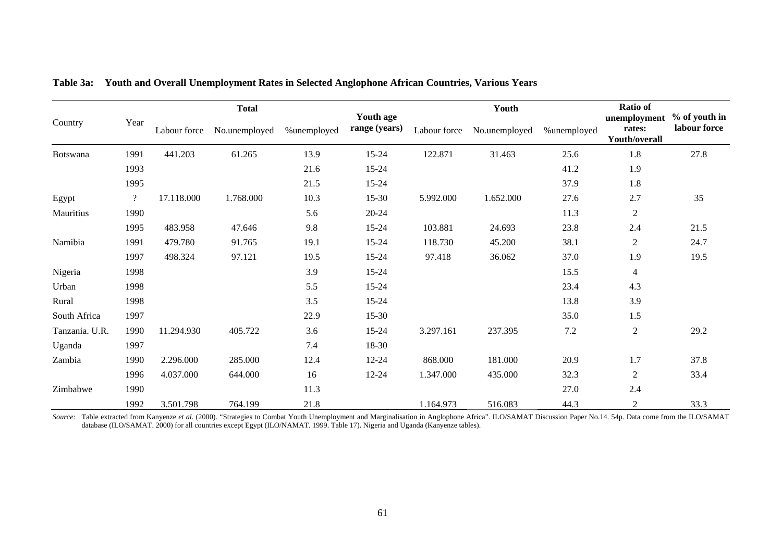|                |                          |              | <b>Total</b>  |             |                            |              | Youth         |             | <b>Ratio of</b>                         | % of youth in |  |
|----------------|--------------------------|--------------|---------------|-------------|----------------------------|--------------|---------------|-------------|-----------------------------------------|---------------|--|
| Country        | Year                     | Labour force | No.unemployed | %unemployed | Youth age<br>range (years) | Labour force | No.unemployed | %unemployed | unemployment<br>rates:<br>Youth/overall | labour force  |  |
| Botswana       | 1991                     | 441.203      | 61.265        | 13.9        | $15 - 24$                  | 122.871      | 31.463        | 25.6        | 1.8                                     | 27.8          |  |
|                | 1993                     |              |               | 21.6        | $15 - 24$                  |              |               | 41.2        | 1.9                                     |               |  |
|                | 1995                     |              |               | 21.5        | 15-24                      |              |               | 37.9        | 1.8                                     |               |  |
| Egypt          | $\overline{\mathcal{L}}$ | 17.118.000   | 1.768.000     | 10.3        | $15-30$                    | 5.992.000    | 1.652.000     | 27.6        | 2.7                                     | 35            |  |
| Mauritius      | 1990                     |              |               | 5.6         | $20 - 24$                  |              |               | 11.3        | $\overline{c}$                          |               |  |
|                | 1995                     | 483.958      | 47.646        | 9.8         | 15-24                      | 103.881      | 24.693        | 23.8        | 2.4                                     | 21.5          |  |
| Namibia        | 1991                     | 479.780      | 91.765        | 19.1        | $15 - 24$                  | 118.730      | 45.200        | 38.1        | $\overline{c}$                          | 24.7          |  |
|                | 1997                     | 498.324      | 97.121        | 19.5        | 15-24                      | 97.418       | 36.062        | 37.0        | 1.9                                     | 19.5          |  |
| Nigeria        | 1998                     |              |               | 3.9         | $15 - 24$                  |              |               | 15.5        | $\overline{4}$                          |               |  |
| Urban          | 1998                     |              |               | 5.5         | 15-24                      |              |               | 23.4        | 4.3                                     |               |  |
| Rural          | 1998                     |              |               | 3.5         | $15 - 24$                  |              |               | 13.8        | 3.9                                     |               |  |
| South Africa   | 1997                     |              |               | 22.9        | $15-30$                    |              |               | 35.0        | 1.5                                     |               |  |
| Tanzania. U.R. | 1990                     | 11.294.930   | 405.722       | 3.6         | $15 - 24$                  | 3.297.161    | 237.395       | 7.2         | $\overline{c}$                          | 29.2          |  |
| Uganda         | 1997                     |              |               | 7.4         | 18-30                      |              |               |             |                                         |               |  |
| Zambia         | 1990                     | 2.296.000    | 285.000       | 12.4        | $12 - 24$                  | 868.000      | 181.000       | 20.9        | 1.7                                     | 37.8          |  |
|                | 1996                     | 4.037.000    | 644.000       | 16          | 12-24                      | 1.347.000    | 435.000       | 32.3        | $\boldsymbol{2}$                        | 33.4          |  |
| Zimbabwe       | 1990                     |              |               | 11.3        |                            |              |               | 27.0        | 2.4                                     |               |  |
|                | 1992                     | 3.501.798    | 764.199       | 21.8        |                            | 1.164.973    | 516.083       | 44.3        | $\boldsymbol{2}$                        | 33.3          |  |

|  | Table 3a:     Youth and Overall Unemployment Rates in Selected Anglophone African Countries, Various Years |  |  |  |  |
|--|------------------------------------------------------------------------------------------------------------|--|--|--|--|
|  |                                                                                                            |  |  |  |  |

*Source:* Table extracted from Kanyenze *et al.* (2000). "Strategies to Combat Youth Unemployment and Marginalisation in Anglophone Africa". ILO/SAMAT Discussion Paper No.14. 54p. Data come from the ILO/SAMAT database (ILO/SAMAT. 2000) for all countries except Egypt (ILO/NAMAT. 1999. Table 17). Nigeria and Uganda (Kanyenze tables).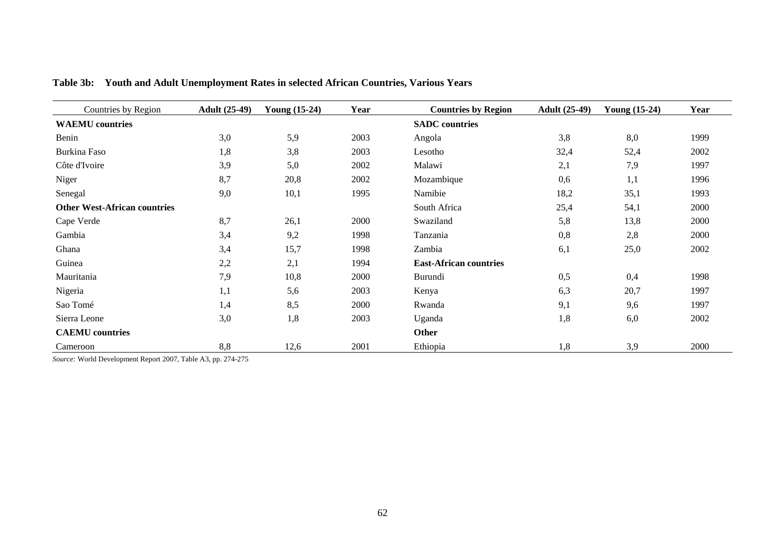| Countries by Region                 | <b>Adult</b> (25-49) | <b>Young (15-24)</b> | Year | <b>Countries by Region</b>    | <b>Adult</b> (25-49) | <b>Young (15-24)</b> | Year |
|-------------------------------------|----------------------|----------------------|------|-------------------------------|----------------------|----------------------|------|
| <b>WAEMU</b> countries              |                      |                      |      | <b>SADC</b> countries         |                      |                      |      |
| Benin                               | 3,0                  | 5,9                  | 2003 | Angola                        | 3,8                  | 8,0                  | 1999 |
| Burkina Faso                        | 1,8                  | 3,8                  | 2003 | Lesotho                       | 32,4                 | 52,4                 | 2002 |
| Côte d'Ivoire                       | 3,9                  | 5,0                  | 2002 | Malawi                        | 2,1                  | 7,9                  | 1997 |
| Niger                               | 8,7                  | 20,8                 | 2002 | Mozambique                    | 0,6                  | 1,1                  | 1996 |
| Senegal                             | 9,0                  | 10,1                 | 1995 | Namibie                       | 18,2                 | 35,1                 | 1993 |
| <b>Other West-African countries</b> |                      |                      |      | South Africa                  | 25,4                 | 54,1                 | 2000 |
| Cape Verde                          | 8,7                  | 26,1                 | 2000 | Swaziland                     | 5,8                  | 13,8                 | 2000 |
| Gambia                              | 3,4                  | 9,2                  | 1998 | Tanzania                      | 0,8                  | 2,8                  | 2000 |
| Ghana                               | 3,4                  | 15,7                 | 1998 | Zambia                        | 6,1                  | 25,0                 | 2002 |
| Guinea                              | 2,2                  | 2,1                  | 1994 | <b>East-African countries</b> |                      |                      |      |
| Mauritania                          | 7,9                  | 10,8                 | 2000 | Burundi                       | 0,5                  | 0,4                  | 1998 |
| Nigeria                             | 1,1                  | 5,6                  | 2003 | Kenya                         | 6,3                  | 20,7                 | 1997 |
| Sao Tomé                            | 1,4                  | 8,5                  | 2000 | Rwanda                        | 9,1                  | 9,6                  | 1997 |
| Sierra Leone                        | 3,0                  | 1,8                  | 2003 | Uganda                        | 1,8                  | 6,0                  | 2002 |
| <b>CAEMU</b> countries              |                      |                      |      | <b>Other</b>                  |                      |                      |      |
| Cameroon                            | 8,8                  | 12,6                 | 2001 | Ethiopia                      | 1,8                  | 3,9                  | 2000 |

**Table 3b: Youth and Adult Unemployment Rates in selected African Countries, Various Years** 

*Source:* World Development Report 2007, Table A3, pp. 274-275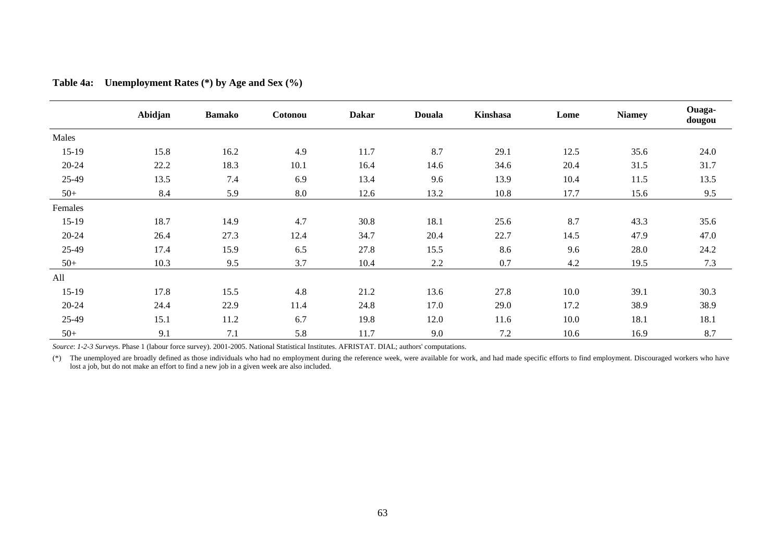|         | Abidjan | <b>Bamako</b> | Cotonou | <b>Dakar</b> | <b>Douala</b> | Kinshasa | Lome | <b>Niamey</b> | Ouaga-<br>dougou |
|---------|---------|---------------|---------|--------------|---------------|----------|------|---------------|------------------|
| Males   |         |               |         |              |               |          |      |               |                  |
| 15-19   | 15.8    | 16.2          | 4.9     | 11.7         | 8.7           | 29.1     | 12.5 | 35.6          | 24.0             |
| 20-24   | 22.2    | 18.3          | 10.1    | 16.4         | 14.6          | 34.6     | 20.4 | 31.5          | 31.7             |
| 25-49   | 13.5    | 7.4           | 6.9     | 13.4         | 9.6           | 13.9     | 10.4 | 11.5          | 13.5             |
| $50+$   | 8.4     | 5.9           | 8.0     | 12.6         | 13.2          | 10.8     | 17.7 | 15.6          | 9.5              |
| Females |         |               |         |              |               |          |      |               |                  |
| $15-19$ | 18.7    | 14.9          | 4.7     | 30.8         | 18.1          | 25.6     | 8.7  | 43.3          | 35.6             |
| 20-24   | 26.4    | 27.3          | 12.4    | 34.7         | 20.4          | 22.7     | 14.5 | 47.9          | 47.0             |
| 25-49   | 17.4    | 15.9          | 6.5     | 27.8         | 15.5          | 8.6      | 9.6  | 28.0          | 24.2             |
| $50+$   | 10.3    | 9.5           | 3.7     | 10.4         | 2.2           | 0.7      | 4.2  | 19.5          | 7.3              |
| All     |         |               |         |              |               |          |      |               |                  |
| $15-19$ | 17.8    | 15.5          | 4.8     | 21.2         | 13.6          | 27.8     | 10.0 | 39.1          | 30.3             |
| 20-24   | 24.4    | 22.9          | 11.4    | 24.8         | 17.0          | 29.0     | 17.2 | 38.9          | 38.9             |
| 25-49   | 15.1    | 11.2          | 6.7     | 19.8         | 12.0          | 11.6     | 10.0 | 18.1          | 18.1             |
| $50+$   | 9.1     | 7.1           | 5.8     | 11.7         | 9.0           | 7.2      | 10.6 | 16.9          | 8.7              |

**Table 4a: Unemployment Rates (\*) by Age and Sex (%)** 

*Source*: *1-2-3 Survey*s. Phase 1 (labour force survey). 2001-2005. National Statistical Institutes. AFRISTAT. DIAL; authors' computations.

(\*) The unemployed are broadly defined as those individuals who had no employment during the reference week, were available for work, and had made specific efforts to find employment. Discouraged workers who have lost a job, but do not make an effort to find a new job in a given week are also included.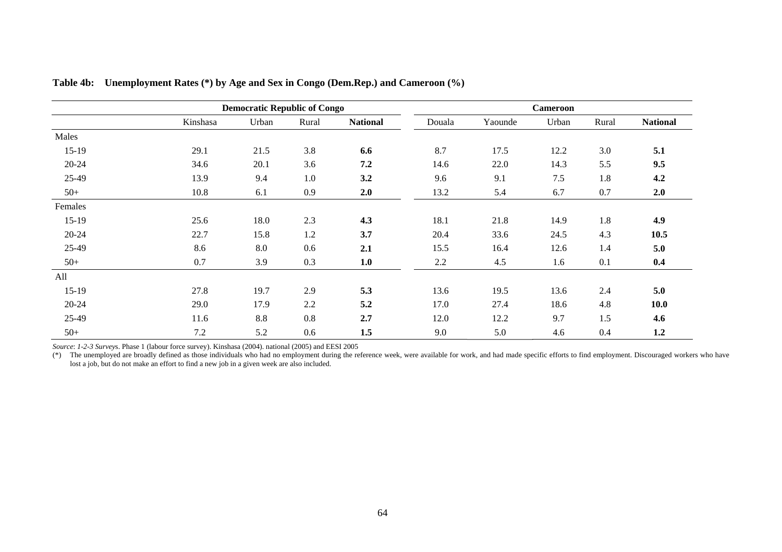|           |          | <b>Democratic Republic of Congo</b> |       |                 |        |         | <b>Cameroon</b> |       |                 |
|-----------|----------|-------------------------------------|-------|-----------------|--------|---------|-----------------|-------|-----------------|
|           | Kinshasa | Urban                               | Rural | <b>National</b> | Douala | Yaounde | Urban           | Rural | <b>National</b> |
| Males     |          |                                     |       |                 |        |         |                 |       |                 |
| $15-19$   | 29.1     | 21.5                                | 3.8   | 6.6             | 8.7    | 17.5    | 12.2            | 3.0   | 5.1             |
| $20 - 24$ | 34.6     | 20.1                                | 3.6   | 7.2             | 14.6   | 22.0    | 14.3            | 5.5   | 9.5             |
| 25-49     | 13.9     | 9.4                                 | 1.0   | 3.2             | 9.6    | 9.1     | 7.5             | 1.8   | 4.2             |
| $50+$     | 10.8     | 6.1                                 | 0.9   | 2.0             | 13.2   | 5.4     | 6.7             | 0.7   | 2.0             |
| Females   |          |                                     |       |                 |        |         |                 |       |                 |
| $15-19$   | 25.6     | 18.0                                | 2.3   | 4.3             | 18.1   | 21.8    | 14.9            | 1.8   | 4.9             |
| $20 - 24$ | 22.7     | 15.8                                | 1.2   | 3.7             | 20.4   | 33.6    | 24.5            | 4.3   | 10.5            |
| 25-49     | 8.6      | 8.0                                 | 0.6   | 2.1             | 15.5   | 16.4    | 12.6            | 1.4   | 5.0             |
| $50+$     | 0.7      | 3.9                                 | 0.3   | 1.0             | 2.2    | 4.5     | 1.6             | 0.1   | 0.4             |
| All       |          |                                     |       |                 |        |         |                 |       |                 |
| $15-19$   | 27.8     | 19.7                                | 2.9   | 5.3             | 13.6   | 19.5    | 13.6            | 2.4   | 5.0             |
| $20 - 24$ | 29.0     | 17.9                                | 2.2   | 5.2             | 17.0   | 27.4    | 18.6            | 4.8   | 10.0            |
| 25-49     | 11.6     | 8.8                                 | 0.8   | 2.7             | 12.0   | 12.2    | 9.7             | 1.5   | 4.6             |
| $50+$     | 7.2      | 5.2                                 | 0.6   | 1.5             | 9.0    | 5.0     | 4.6             | 0.4   | 1.2             |

**Table 4b: Unemployment Rates (\*) by Age and Sex in Congo (Dem.Rep.) and Cameroon (%)** 

*Source*: *1-2-3 Survey*s. Phase 1 (labour force survey). Kinshasa (2004). national (2005) and EESI 2005

(\*) The unemployed are broadly defined as those individuals who had no employment during the reference week, were available for work, and had made specific efforts to find employment. Discouraged workers who have lost a job, but do not make an effort to find a new job in a given week are also included.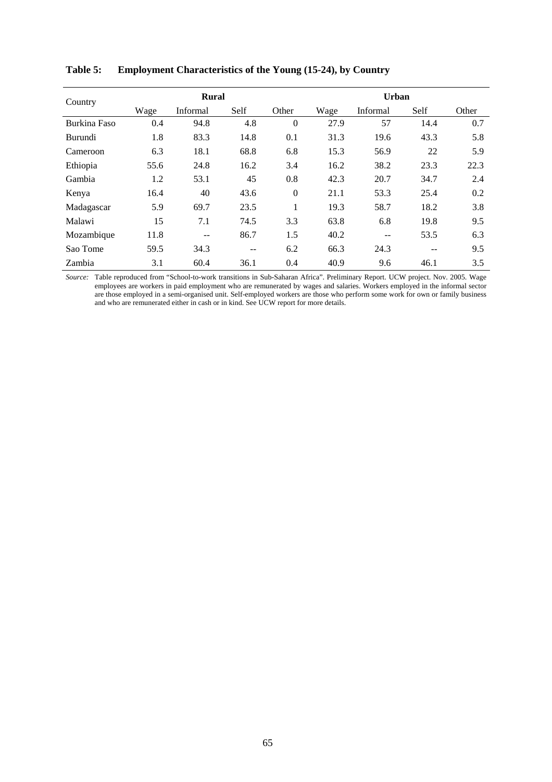| Country      |      | <b>Rural</b>   |       |          | Urban |          |       |       |  |  |
|--------------|------|----------------|-------|----------|-------|----------|-------|-------|--|--|
|              | Wage | Informal       | Self  | Other    | Wage  | Informal | Self  | Other |  |  |
| Burkina Faso | 0.4  | 94.8           | 4.8   | $\Omega$ | 27.9  | 57       | 14.4  | 0.7   |  |  |
| Burundi      | 1.8  | 83.3           | 14.8  | 0.1      | 31.3  | 19.6     | 43.3  | 5.8   |  |  |
| Cameroon     | 6.3  | 18.1           | 68.8  | 6.8      | 15.3  | 56.9     | 22    | 5.9   |  |  |
| Ethiopia     | 55.6 | 24.8           | 16.2  | 3.4      | 16.2  | 38.2     | 23.3  | 22.3  |  |  |
| Gambia       | 1.2  | 53.1           | 45    | 0.8      | 42.3  | 20.7     | 34.7  | 2.4   |  |  |
| Kenya        | 16.4 | 40             | 43.6  | $\Omega$ | 21.1  | 53.3     | 25.4  | 0.2   |  |  |
| Madagascar   | 5.9  | 69.7           | 23.5  |          | 19.3  | 58.7     | 18.2  | 3.8   |  |  |
| Malawi       | 15   | 7.1            | 74.5  | 3.3      | 63.8  | 6.8      | 19.8  | 9.5   |  |  |
| Mozambique   | 11.8 | $\overline{a}$ | 86.7  | 1.5      | 40.2  | --       | 53.5  | 6.3   |  |  |
| Sao Tome     | 59.5 | 34.3           | $- -$ | 6.2      | 66.3  | 24.3     | $- -$ | 9.5   |  |  |
| Zambia       | 3.1  | 60.4           | 36.1  | 0.4      | 40.9  | 9.6      | 46.1  | 3.5   |  |  |

**Table 5: Employment Characteristics of the Young (15-24), by Country** 

*Source:* Table reproduced from "School-to-work transitions in Sub-Saharan Africa". Preliminary Report. UCW project. Nov. 2005. Wage employees are workers in paid employment who are remunerated by wages and salaries. Workers employed in the informal sector are those employed in a semi-organised unit. Self-employed workers are those who perform some work for own or family business and who are remunerated either in cash or in kind. See UCW report for more details.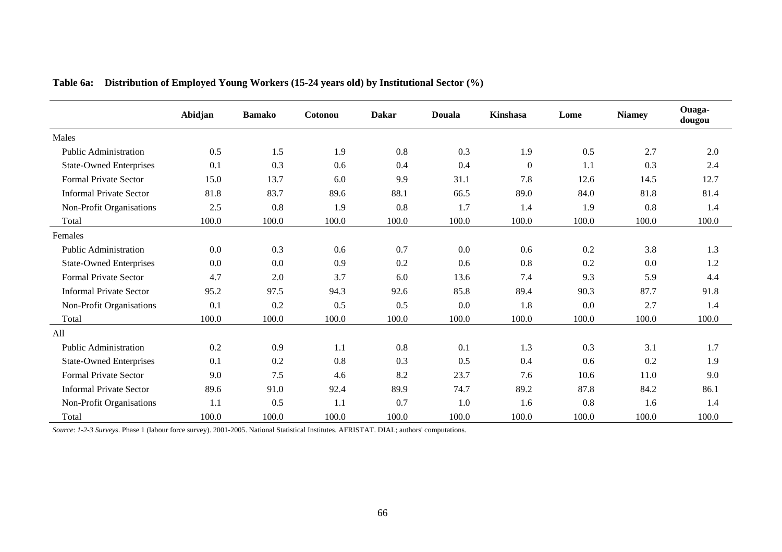|                                | Abidjan | <b>Bamako</b> | Cotonou | <b>Dakar</b> | <b>Douala</b> | Kinshasa       | Lome  | <b>Niamey</b> | Ouaga-<br>dougou |
|--------------------------------|---------|---------------|---------|--------------|---------------|----------------|-------|---------------|------------------|
| Males                          |         |               |         |              |               |                |       |               |                  |
| <b>Public Administration</b>   | 0.5     | 1.5           | 1.9     | 0.8          | 0.3           | 1.9            | 0.5   | 2.7           | 2.0              |
| <b>State-Owned Enterprises</b> | 0.1     | 0.3           | 0.6     | 0.4          | 0.4           | $\overline{0}$ | 1.1   | 0.3           | 2.4              |
| Formal Private Sector          | 15.0    | 13.7          | 6.0     | 9.9          | 31.1          | 7.8            | 12.6  | 14.5          | 12.7             |
| <b>Informal Private Sector</b> | 81.8    | 83.7          | 89.6    | 88.1         | 66.5          | 89.0           | 84.0  | 81.8          | 81.4             |
| Non-Profit Organisations       | 2.5     | 0.8           | 1.9     | 0.8          | 1.7           | 1.4            | 1.9   | 0.8           | 1.4              |
| Total                          | 100.0   | 100.0         | 100.0   | 100.0        | 100.0         | 100.0          | 100.0 | 100.0         | 100.0            |
| Females                        |         |               |         |              |               |                |       |               |                  |
| <b>Public Administration</b>   | 0.0     | 0.3           | 0.6     | 0.7          | 0.0           | 0.6            | 0.2   | 3.8           | 1.3              |
| <b>State-Owned Enterprises</b> | 0.0     | 0.0           | 0.9     | 0.2          | 0.6           | 0.8            | 0.2   | 0.0           | 1.2              |
| <b>Formal Private Sector</b>   | 4.7     | 2.0           | 3.7     | 6.0          | 13.6          | 7.4            | 9.3   | 5.9           | 4.4              |
| <b>Informal Private Sector</b> | 95.2    | 97.5          | 94.3    | 92.6         | 85.8          | 89.4           | 90.3  | 87.7          | 91.8             |
| Non-Profit Organisations       | 0.1     | 0.2           | 0.5     | 0.5          | 0.0           | 1.8            | 0.0   | 2.7           | 1.4              |
| Total                          | 100.0   | 100.0         | 100.0   | 100.0        | 100.0         | 100.0          | 100.0 | 100.0         | 100.0            |
| All                            |         |               |         |              |               |                |       |               |                  |
| <b>Public Administration</b>   | 0.2     | 0.9           | 1.1     | 0.8          | 0.1           | 1.3            | 0.3   | 3.1           | 1.7              |
| <b>State-Owned Enterprises</b> | 0.1     | 0.2           | 0.8     | 0.3          | 0.5           | 0.4            | 0.6   | 0.2           | 1.9              |
| <b>Formal Private Sector</b>   | 9.0     | 7.5           | 4.6     | 8.2          | 23.7          | 7.6            | 10.6  | 11.0          | 9.0              |
| <b>Informal Private Sector</b> | 89.6    | 91.0          | 92.4    | 89.9         | 74.7          | 89.2           | 87.8  | 84.2          | 86.1             |
| Non-Profit Organisations       | 1.1     | 0.5           | 1.1     | 0.7          | 1.0           | 1.6            | 0.8   | 1.6           | 1.4              |
| Total                          | 100.0   | 100.0         | 100.0   | 100.0        | 100.0         | 100.0          | 100.0 | 100.0         | 100.0            |

**Table 6a: Distribution of Employed Young Workers (15-24 years old) by Institutional Sector (%)** 

*Source*: *1-2-3 Survey*s. Phase 1 (labour force survey). 2001-2005. National Statistical Institutes. AFRISTAT. DIAL; authors' computations.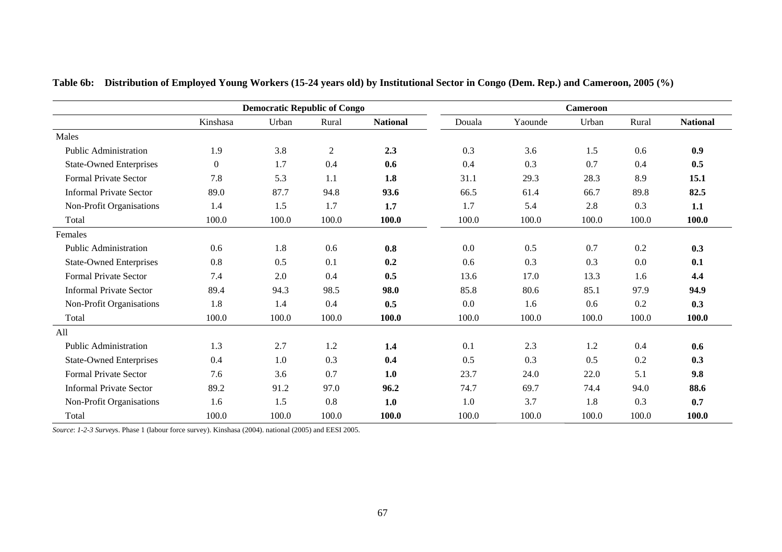|                                |                  | <b>Democratic Republic of Congo</b> |                |                 |        |         | <b>Cameroon</b> |       |                 |
|--------------------------------|------------------|-------------------------------------|----------------|-----------------|--------|---------|-----------------|-------|-----------------|
|                                | Kinshasa         | Urban                               | Rural          | <b>National</b> | Douala | Yaounde | Urban           | Rural | <b>National</b> |
| Males                          |                  |                                     |                |                 |        |         |                 |       |                 |
| <b>Public Administration</b>   | 1.9              | 3.8                                 | $\overline{2}$ | 2.3             | 0.3    | 3.6     | 1.5             | 0.6   | 0.9             |
| <b>State-Owned Enterprises</b> | $\boldsymbol{0}$ | 1.7                                 | 0.4            | 0.6             | 0.4    | 0.3     | 0.7             | 0.4   | 0.5             |
| <b>Formal Private Sector</b>   | 7.8              | 5.3                                 | 1.1            | 1.8             | 31.1   | 29.3    | 28.3            | 8.9   | 15.1            |
| <b>Informal Private Sector</b> | 89.0             | 87.7                                | 94.8           | 93.6            | 66.5   | 61.4    | 66.7            | 89.8  | 82.5            |
| Non-Profit Organisations       | 1.4              | 1.5                                 | 1.7            | 1.7             | 1.7    | 5.4     | 2.8             | 0.3   | 1.1             |
| Total                          | 100.0            | 100.0                               | 100.0          | 100.0           | 100.0  | 100.0   | 100.0           | 100.0 | 100.0           |
| Females                        |                  |                                     |                |                 |        |         |                 |       |                 |
| <b>Public Administration</b>   | 0.6              | 1.8                                 | 0.6            | 0.8             | 0.0    | 0.5     | 0.7             | 0.2   | 0.3             |
| <b>State-Owned Enterprises</b> | 0.8              | 0.5                                 | 0.1            | 0.2             | 0.6    | 0.3     | 0.3             | 0.0   | 0.1             |
| <b>Formal Private Sector</b>   | 7.4              | 2.0                                 | 0.4            | 0.5             | 13.6   | 17.0    | 13.3            | 1.6   | 4.4             |
| <b>Informal Private Sector</b> | 89.4             | 94.3                                | 98.5           | 98.0            | 85.8   | 80.6    | 85.1            | 97.9  | 94.9            |
| Non-Profit Organisations       | 1.8              | 1.4                                 | 0.4            | 0.5             | 0.0    | 1.6     | 0.6             | 0.2   | 0.3             |
| Total                          | 100.0            | 100.0                               | 100.0          | 100.0           | 100.0  | 100.0   | 100.0           | 100.0 | 100.0           |
| All                            |                  |                                     |                |                 |        |         |                 |       |                 |
| <b>Public Administration</b>   | 1.3              | 2.7                                 | 1.2            | 1.4             | 0.1    | 2.3     | 1.2             | 0.4   | 0.6             |
| <b>State-Owned Enterprises</b> | 0.4              | 1.0                                 | 0.3            | 0.4             | 0.5    | 0.3     | 0.5             | 0.2   | 0.3             |
| <b>Formal Private Sector</b>   | 7.6              | 3.6                                 | 0.7            | 1.0             | 23.7   | 24.0    | 22.0            | 5.1   | 9.8             |
| <b>Informal Private Sector</b> | 89.2             | 91.2                                | 97.0           | 96.2            | 74.7   | 69.7    | 74.4            | 94.0  | 88.6            |
| Non-Profit Organisations       | 1.6              | 1.5                                 | 0.8            | 1.0             | 1.0    | 3.7     | 1.8             | 0.3   | 0.7             |
| Total                          | 100.0            | 100.0                               | 100.0          | 100.0           | 100.0  | 100.0   | 100.0           | 100.0 | 100.0           |

**Table 6b: Distribution of Employed Young Workers (15-24 years old) by Institutional Sector in Congo (Dem. Rep.) and Cameroon, 2005 (%)** 

*Source*: *1-2-3 Survey*s. Phase 1 (labour force survey). Kinshasa (2004). national (2005) and EESI 2005.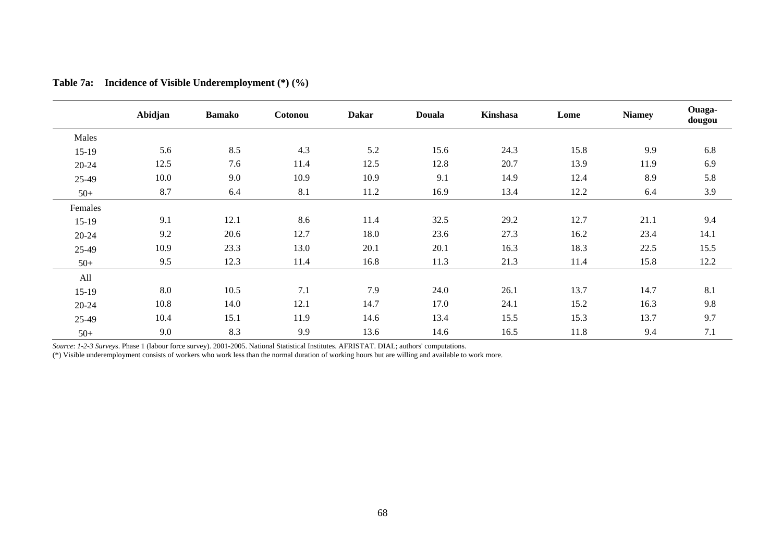|           | Abidjan | <b>Bamako</b> | Cotonou | <b>Dakar</b> | <b>Douala</b> | Kinshasa | Lome | <b>Niamey</b> | Ouaga-<br>dougou |
|-----------|---------|---------------|---------|--------------|---------------|----------|------|---------------|------------------|
| Males     |         |               |         |              |               |          |      |               |                  |
| $15-19$   | 5.6     | 8.5           | 4.3     | 5.2          | 15.6          | 24.3     | 15.8 | 9.9           | 6.8              |
| $20 - 24$ | 12.5    | 7.6           | 11.4    | 12.5         | 12.8          | 20.7     | 13.9 | 11.9          | 6.9              |
| 25-49     | 10.0    | 9.0           | 10.9    | 10.9         | 9.1           | 14.9     | 12.4 | 8.9           | 5.8              |
| $50+$     | 8.7     | 6.4           | 8.1     | 11.2         | 16.9          | 13.4     | 12.2 | 6.4           | 3.9              |
| Females   |         |               |         |              |               |          |      |               |                  |
| $15-19$   | 9.1     | 12.1          | 8.6     | 11.4         | 32.5          | 29.2     | 12.7 | 21.1          | 9.4              |
| $20 - 24$ | 9.2     | 20.6          | 12.7    | 18.0         | 23.6          | 27.3     | 16.2 | 23.4          | 14.1             |
| 25-49     | 10.9    | 23.3          | 13.0    | 20.1         | 20.1          | 16.3     | 18.3 | 22.5          | 15.5             |
| $50+$     | 9.5     | 12.3          | 11.4    | 16.8         | 11.3          | 21.3     | 11.4 | 15.8          | 12.2             |
| All       |         |               |         |              |               |          |      |               |                  |
| $15-19$   | 8.0     | 10.5          | 7.1     | 7.9          | 24.0          | 26.1     | 13.7 | 14.7          | 8.1              |
| $20 - 24$ | 10.8    | 14.0          | 12.1    | 14.7         | 17.0          | 24.1     | 15.2 | 16.3          | 9.8              |
| 25-49     | 10.4    | 15.1          | 11.9    | 14.6         | 13.4          | 15.5     | 15.3 | 13.7          | 9.7              |
| $50+$     | 9.0     | 8.3           | 9.9     | 13.6         | 14.6          | 16.5     | 11.8 | 9.4           | 7.1              |

**Table 7a: Incidence of Visible Underemployment (\*) (%)** 

*Source*: *1-2-3 Survey*s. Phase 1 (labour force survey). 2001-2005. National Statistical Institutes. AFRISTAT. DIAL; authors' computations.

(\*) Visible underemployment consists of workers who work less than the normal duration of working hours but are willing and available to work more.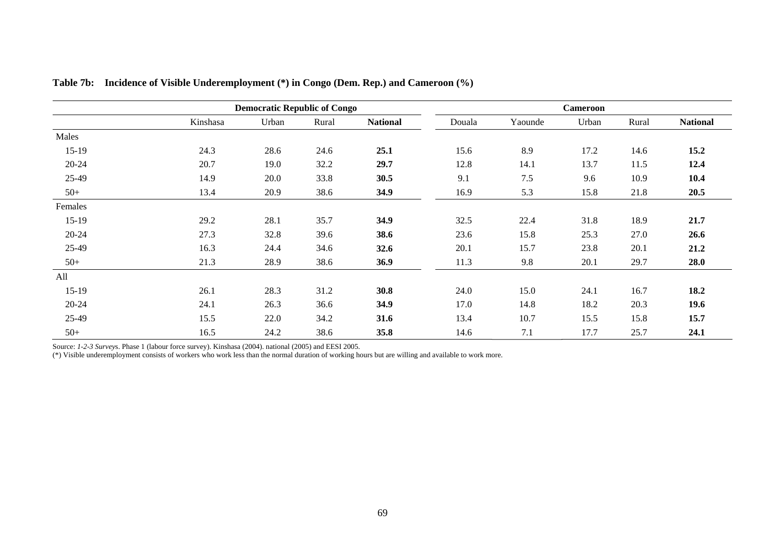|           |          | <b>Democratic Republic of Congo</b> |       |                 |        | Cameroon |       |       |                 |  |
|-----------|----------|-------------------------------------|-------|-----------------|--------|----------|-------|-------|-----------------|--|
|           | Kinshasa | Urban                               | Rural | <b>National</b> | Douala | Yaounde  | Urban | Rural | <b>National</b> |  |
| Males     |          |                                     |       |                 |        |          |       |       |                 |  |
| $15-19$   | 24.3     | 28.6                                | 24.6  | 25.1            | 15.6   | 8.9      | 17.2  | 14.6  | 15.2            |  |
| 20-24     | 20.7     | 19.0                                | 32.2  | 29.7            | 12.8   | 14.1     | 13.7  | 11.5  | 12.4            |  |
| 25-49     | 14.9     | 20.0                                | 33.8  | 30.5            | 9.1    | 7.5      | 9.6   | 10.9  | 10.4            |  |
| $50+$     | 13.4     | 20.9                                | 38.6  | 34.9            | 16.9   | 5.3      | 15.8  | 21.8  | 20.5            |  |
| Females   |          |                                     |       |                 |        |          |       |       |                 |  |
| $15-19$   | 29.2     | 28.1                                | 35.7  | 34.9            | 32.5   | 22.4     | 31.8  | 18.9  | 21.7            |  |
| $20 - 24$ | 27.3     | 32.8                                | 39.6  | 38.6            | 23.6   | 15.8     | 25.3  | 27.0  | 26.6            |  |
| 25-49     | 16.3     | 24.4                                | 34.6  | 32.6            | 20.1   | 15.7     | 23.8  | 20.1  | 21.2            |  |
| $50+$     | 21.3     | 28.9                                | 38.6  | 36.9            | 11.3   | 9.8      | 20.1  | 29.7  | 28.0            |  |
| All       |          |                                     |       |                 |        |          |       |       |                 |  |
| $15-19$   | 26.1     | 28.3                                | 31.2  | 30.8            | 24.0   | 15.0     | 24.1  | 16.7  | 18.2            |  |
| 20-24     | 24.1     | 26.3                                | 36.6  | 34.9            | 17.0   | 14.8     | 18.2  | 20.3  | 19.6            |  |
| 25-49     | 15.5     | 22.0                                | 34.2  | 31.6            | 13.4   | 10.7     | 15.5  | 15.8  | 15.7            |  |
| $50+$     | 16.5     | 24.2                                | 38.6  | 35.8            | 14.6   | 7.1      | 17.7  | 25.7  | 24.1            |  |

**Table 7b: Incidence of Visible Underemployment (\*) in Congo (Dem. Rep.) and Cameroon (%)** 

Source: *1-2-3 Survey*s. Phase 1 (labour force survey). Kinshasa (2004). national (2005) and EESI 2005.

(\*) Visible underemployment consists of workers who work less than the normal duration of working hours but are willing and available to work more.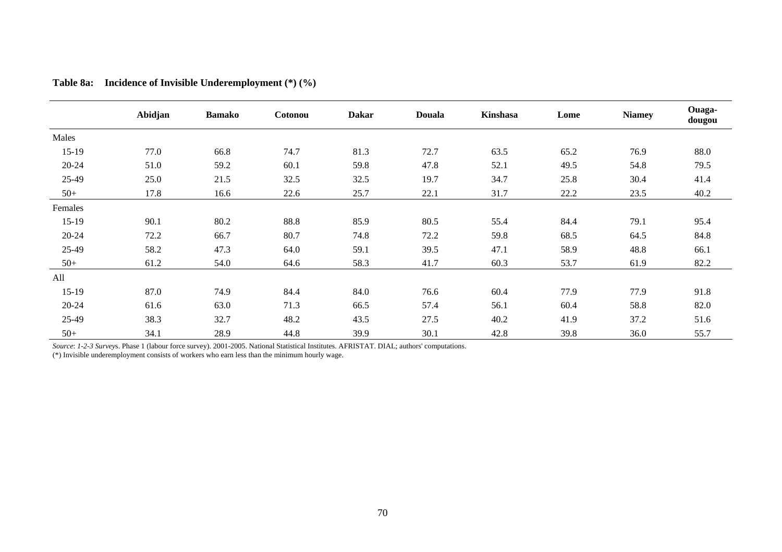|         | Abidjan | <b>Bamako</b> | Cotonou | <b>Dakar</b> | <b>Douala</b> | <b>Kinshasa</b> | Lome | <b>Niamey</b> | Ouaga-<br>dougou |
|---------|---------|---------------|---------|--------------|---------------|-----------------|------|---------------|------------------|
| Males   |         |               |         |              |               |                 |      |               |                  |
| $15-19$ | 77.0    | 66.8          | 74.7    | 81.3         | 72.7          | 63.5            | 65.2 | 76.9          | 88.0             |
| 20-24   | 51.0    | 59.2          | 60.1    | 59.8         | 47.8          | 52.1            | 49.5 | 54.8          | 79.5             |
| 25-49   | 25.0    | 21.5          | 32.5    | 32.5         | 19.7          | 34.7            | 25.8 | 30.4          | 41.4             |
| $50+$   | 17.8    | 16.6          | 22.6    | 25.7         | 22.1          | 31.7            | 22.2 | 23.5          | 40.2             |
| Females |         |               |         |              |               |                 |      |               |                  |
| $15-19$ | 90.1    | 80.2          | 88.8    | 85.9         | 80.5          | 55.4            | 84.4 | 79.1          | 95.4             |
| 20-24   | 72.2    | 66.7          | 80.7    | 74.8         | 72.2          | 59.8            | 68.5 | 64.5          | 84.8             |
| 25-49   | 58.2    | 47.3          | 64.0    | 59.1         | 39.5          | 47.1            | 58.9 | 48.8          | 66.1             |
| $50+$   | 61.2    | 54.0          | 64.6    | 58.3         | 41.7          | 60.3            | 53.7 | 61.9          | 82.2             |
| All     |         |               |         |              |               |                 |      |               |                  |
| $15-19$ | 87.0    | 74.9          | 84.4    | 84.0         | 76.6          | 60.4            | 77.9 | 77.9          | 91.8             |
| 20-24   | 61.6    | 63.0          | 71.3    | 66.5         | 57.4          | 56.1            | 60.4 | 58.8          | 82.0             |
| 25-49   | 38.3    | 32.7          | 48.2    | 43.5         | 27.5          | 40.2            | 41.9 | 37.2          | 51.6             |
| $50+$   | 34.1    | 28.9          | 44.8    | 39.9         | 30.1          | 42.8            | 39.8 | 36.0          | 55.7             |

| <b>Table 8a:</b> | Incidence of Invisible Underemployment $(*)$ $(*)$ |  |  |  |  |  |
|------------------|----------------------------------------------------|--|--|--|--|--|
|------------------|----------------------------------------------------|--|--|--|--|--|

*Source*: *1-2-3 Survey*s. Phase 1 (labour force survey). 2001-2005. National Statistical Institutes. AFRISTAT. DIAL; authors' computations.

(\*) Invisible underemployment consists of workers who earn less than the minimum hourly wage.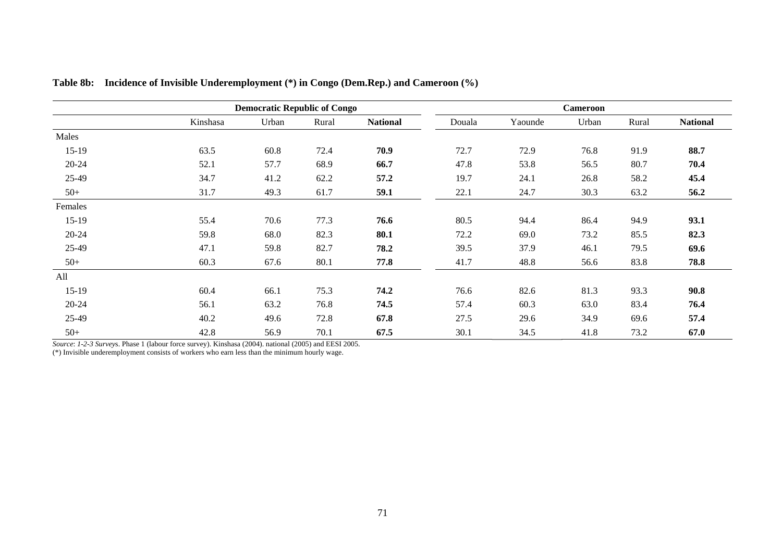|         |          | <b>Democratic Republic of Congo</b> |       |                 |        | <b>Cameroon</b> |       |       |                 |  |
|---------|----------|-------------------------------------|-------|-----------------|--------|-----------------|-------|-------|-----------------|--|
|         | Kinshasa | Urban                               | Rural | <b>National</b> | Douala | Yaounde         | Urban | Rural | <b>National</b> |  |
| Males   |          |                                     |       |                 |        |                 |       |       |                 |  |
| $15-19$ | 63.5     | 60.8                                | 72.4  | 70.9            | 72.7   | 72.9            | 76.8  | 91.9  | 88.7            |  |
| 20-24   | 52.1     | 57.7                                | 68.9  | 66.7            | 47.8   | 53.8            | 56.5  | 80.7  | 70.4            |  |
| 25-49   | 34.7     | 41.2                                | 62.2  | 57.2            | 19.7   | 24.1            | 26.8  | 58.2  | 45.4            |  |
| $50+$   | 31.7     | 49.3                                | 61.7  | 59.1            | 22.1   | 24.7            | 30.3  | 63.2  | 56.2            |  |
| Females |          |                                     |       |                 |        |                 |       |       |                 |  |
| $15-19$ | 55.4     | 70.6                                | 77.3  | 76.6            | 80.5   | 94.4            | 86.4  | 94.9  | 93.1            |  |
| 20-24   | 59.8     | 68.0                                | 82.3  | 80.1            | 72.2   | 69.0            | 73.2  | 85.5  | 82.3            |  |
| 25-49   | 47.1     | 59.8                                | 82.7  | 78.2            | 39.5   | 37.9            | 46.1  | 79.5  | 69.6            |  |
| $50+$   | 60.3     | 67.6                                | 80.1  | 77.8            | 41.7   | 48.8            | 56.6  | 83.8  | 78.8            |  |
| All     |          |                                     |       |                 |        |                 |       |       |                 |  |
| $15-19$ | 60.4     | 66.1                                | 75.3  | 74.2            | 76.6   | 82.6            | 81.3  | 93.3  | 90.8            |  |
| 20-24   | 56.1     | 63.2                                | 76.8  | 74.5            | 57.4   | 60.3            | 63.0  | 83.4  | 76.4            |  |
| 25-49   | 40.2     | 49.6                                | 72.8  | 67.8            | 27.5   | 29.6            | 34.9  | 69.6  | 57.4            |  |
| $50+$   | 42.8     | 56.9                                | 70.1  | 67.5            | 30.1   | 34.5            | 41.8  | 73.2  | 67.0            |  |

**Table 8b: Incidence of Invisible Underemployment (\*) in Congo (Dem.Rep.) and Cameroon (%)** 

*Source*: *1-2-3 Survey*s. Phase 1 (labour force survey). Kinshasa (2004). national (2005) and EESI 2005.

(\*) Invisible underemployment consists of workers who earn less than the minimum hourly wage.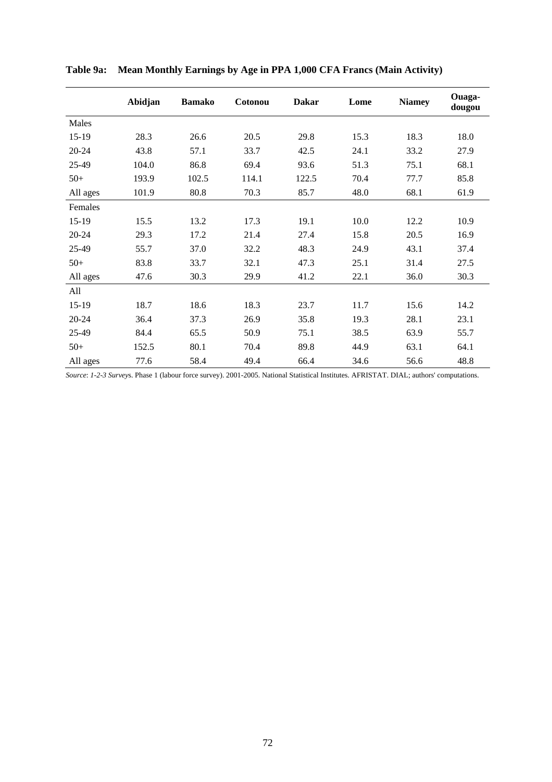|           | Abidjan | <b>Bamako</b> | Cotonou | <b>Dakar</b> | Lome | <b>Niamey</b> | Ouaga-<br>dougou |
|-----------|---------|---------------|---------|--------------|------|---------------|------------------|
| Males     |         |               |         |              |      |               |                  |
| $15-19$   | 28.3    | 26.6          | 20.5    | 29.8         | 15.3 | 18.3          | 18.0             |
| 20-24     | 43.8    | 57.1          | 33.7    | 42.5         | 24.1 | 33.2          | 27.9             |
| 25-49     | 104.0   | 86.8          | 69.4    | 93.6         | 51.3 | 75.1          | 68.1             |
| $50+$     | 193.9   | 102.5         | 114.1   | 122.5        | 70.4 | 77.7          | 85.8             |
| All ages  | 101.9   | 80.8          | 70.3    | 85.7         | 48.0 | 68.1          | 61.9             |
| Females   |         |               |         |              |      |               |                  |
| 15-19     | 15.5    | 13.2          | 17.3    | 19.1         | 10.0 | 12.2          | 10.9             |
| $20 - 24$ | 29.3    | 17.2          | 21.4    | 27.4         | 15.8 | 20.5          | 16.9             |
| 25-49     | 55.7    | 37.0          | 32.2    | 48.3         | 24.9 | 43.1          | 37.4             |
| $50+$     | 83.8    | 33.7          | 32.1    | 47.3         | 25.1 | 31.4          | 27.5             |
| All ages  | 47.6    | 30.3          | 29.9    | 41.2         | 22.1 | 36.0          | 30.3             |
| All       |         |               |         |              |      |               |                  |
| 15-19     | 18.7    | 18.6          | 18.3    | 23.7         | 11.7 | 15.6          | 14.2             |
| 20-24     | 36.4    | 37.3          | 26.9    | 35.8         | 19.3 | 28.1          | 23.1             |
| 25-49     | 84.4    | 65.5          | 50.9    | 75.1         | 38.5 | 63.9          | 55.7             |
| $50+$     | 152.5   | 80.1          | 70.4    | 89.8         | 44.9 | 63.1          | 64.1             |
| All ages  | 77.6    | 58.4          | 49.4    | 66.4         | 34.6 | 56.6          | 48.8             |

**Table 9a: Mean Monthly Earnings by Age in PPA 1,000 CFA Francs (Main Activity)** 

*Source*: *1-2-3 Survey*s. Phase 1 (labour force survey). 2001-2005. National Statistical Institutes. AFRISTAT. DIAL; authors' computations.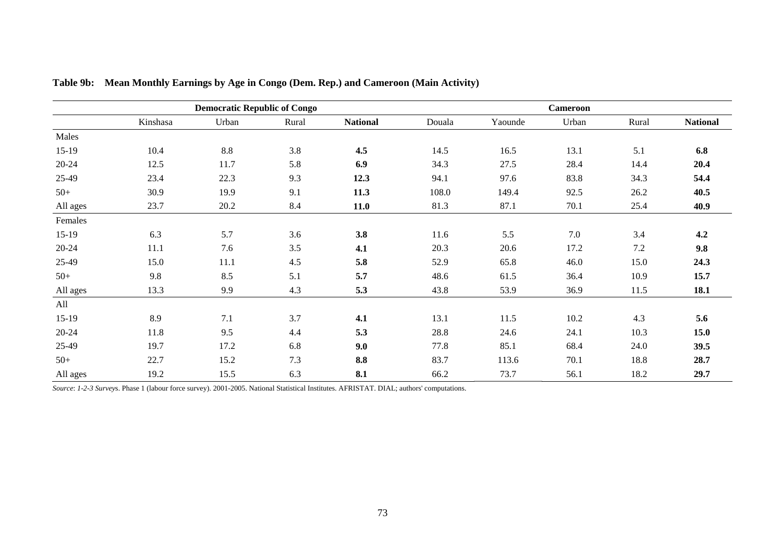|           | <b>Democratic Republic of Congo</b> |       |       |                 | <b>Cameroon</b> |         |       |         |                 |
|-----------|-------------------------------------|-------|-------|-----------------|-----------------|---------|-------|---------|-----------------|
|           | Kinshasa                            | Urban | Rural | <b>National</b> | Douala          | Yaounde | Urban | Rural   | <b>National</b> |
| Males     |                                     |       |       |                 |                 |         |       |         |                 |
| $15-19$   | 10.4                                | 8.8   | 3.8   | 4.5             | 14.5            | 16.5    | 13.1  | 5.1     | 6.8             |
| 20-24     | 12.5                                | 11.7  | 5.8   | 6.9             | 34.3            | 27.5    | 28.4  | 14.4    | 20.4            |
| 25-49     | 23.4                                | 22.3  | 9.3   | 12.3            | 94.1            | 97.6    | 83.8  | 34.3    | 54.4            |
| $50+$     | 30.9                                | 19.9  | 9.1   | 11.3            | 108.0           | 149.4   | 92.5  | 26.2    | 40.5            |
| All ages  | 23.7                                | 20.2  | 8.4   | 11.0            | 81.3            | 87.1    | 70.1  | 25.4    | 40.9            |
| Females   |                                     |       |       |                 |                 |         |       |         |                 |
| $15-19$   | 6.3                                 | 5.7   | 3.6   | 3.8             | 11.6            | 5.5     | 7.0   | 3.4     | 4.2             |
| $20 - 24$ | 11.1                                | 7.6   | 3.5   | 4.1             | 20.3            | 20.6    | 17.2  | $7.2\,$ | 9.8             |
| 25-49     | 15.0                                | 11.1  | 4.5   | 5.8             | 52.9            | 65.8    | 46.0  | 15.0    | 24.3            |
| $50+$     | 9.8                                 | 8.5   | 5.1   | 5.7             | 48.6            | 61.5    | 36.4  | 10.9    | 15.7            |
| All ages  | 13.3                                | 9.9   | 4.3   | 5.3             | 43.8            | 53.9    | 36.9  | 11.5    | 18.1            |
| All       |                                     |       |       |                 |                 |         |       |         |                 |
| $15-19$   | 8.9                                 | 7.1   | 3.7   | 4.1             | 13.1            | 11.5    | 10.2  | 4.3     | 5.6             |
| 20-24     | 11.8                                | 9.5   | 4.4   | 5.3             | 28.8            | 24.6    | 24.1  | 10.3    | 15.0            |
| 25-49     | 19.7                                | 17.2  | 6.8   | 9.0             | 77.8            | 85.1    | 68.4  | 24.0    | 39.5            |
| $50+$     | 22.7                                | 15.2  | 7.3   | 8.8             | 83.7            | 113.6   | 70.1  | 18.8    | 28.7            |
| All ages  | 19.2                                | 15.5  | 6.3   | 8.1             | 66.2            | 73.7    | 56.1  | 18.2    | 29.7            |

**Table 9b: Mean Monthly Earnings by Age in Congo (Dem. Rep.) and Cameroon (Main Activity)** 

*Source*: *1-2-3 Survey*s. Phase 1 (labour force survey). 2001-2005. National Statistical Institutes. AFRISTAT. DIAL; authors' computations.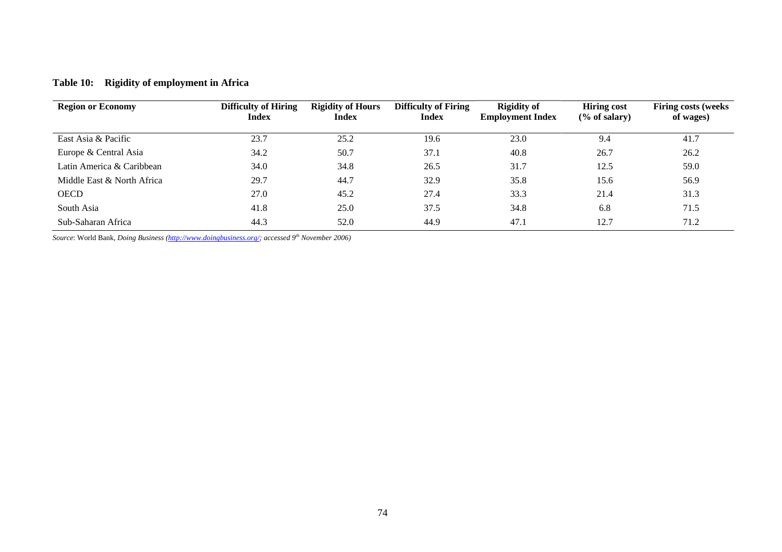# **Table 10: Rigidity of employment in Africa**

| <b>Region or Economy</b>   | <b>Difficulty of Hiring</b><br><b>Index</b> | <b>Rigidity of Hours</b><br><b>Index</b> | <b>Difficulty of Firing</b><br><b>Index</b> | <b>Rigidity of</b><br><b>Employment Index</b> | <b>Hiring cost</b><br>$(\%$ of salary) | <b>Firing costs (weeks)</b><br>of wages) |
|----------------------------|---------------------------------------------|------------------------------------------|---------------------------------------------|-----------------------------------------------|----------------------------------------|------------------------------------------|
| East Asia & Pacific        | 23.7                                        | 25.2                                     | 19.6                                        | 23.0                                          | 9.4                                    | 41.7                                     |
| Europe & Central Asia      | 34.2                                        | 50.7                                     | 37.1                                        | 40.8                                          | 26.7                                   | 26.2                                     |
| Latin America & Caribbean  | 34.0                                        | 34.8                                     | 26.5                                        | 31.7                                          | 12.5                                   | 59.0                                     |
| Middle East & North Africa | 29.7                                        | 44.7                                     | 32.9                                        | 35.8                                          | 15.6                                   | 56.9                                     |
| <b>OECD</b>                | 27.0                                        | 45.2                                     | 27.4                                        | 33.3                                          | 21.4                                   | 31.3                                     |
| South Asia                 | 41.8                                        | 25.0                                     | 37.5                                        | 34.8                                          | 6.8                                    | 71.5                                     |
| Sub-Saharan Africa         | 44.3                                        | 52.0                                     | 44.9                                        | 47.1                                          | 12.7                                   | 71.2                                     |

*Source*: World Bank, *Doing Business (http://www.doingbusiness.org/; accessed 9th November 2006)*